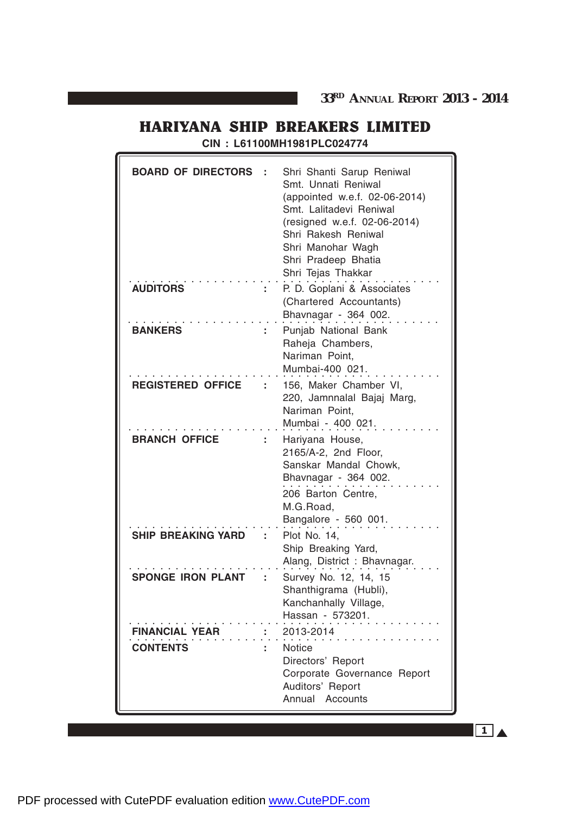**CIN : L61100MH1981PLC024774**

| <b>BOARD OF DIRECTORS</b>                |    | Shri Shanti Sarup Reniwal<br>Smt. Unnati Reniwal<br>(appointed w.e.f. 02-06-2014)<br>Smt. Lalitadevi Reniwal<br>(resigned w.e.f. 02-06-2014)<br>Shri Rakesh Reniwal<br>Shri Manohar Wagh<br>Shri Pradeep Bhatia<br>Shri Tejas Thakkar |
|------------------------------------------|----|---------------------------------------------------------------------------------------------------------------------------------------------------------------------------------------------------------------------------------------|
| <b>AUDITORS</b>                          |    | P. D. Goplani & Associates<br>(Chartered Accountants)<br>Bhavnagar - 364 002.                                                                                                                                                         |
| <b>BANKERS</b>                           |    | Punjab National Bank<br>Raheja Chambers,<br>Nariman Point,<br>Mumbai-400 021.                                                                                                                                                         |
| <b>REGISTERED OFFICE</b>                 |    | 156, Maker Chamber VI,<br>220, Jamnnalal Bajaj Marg,<br>Nariman Point,<br>Mumbai - 400 021.                                                                                                                                           |
| <b>BRANCH OFFICE</b>                     | ÷. | Hariyana House,<br>2165/A-2, 2nd Floor,<br>Sanskar Mandal Chowk,<br>Bhavnagar - 364 002.<br>206 Barton Centre,<br>M.G.Road,<br>Bangalore - 560 001.                                                                                   |
| <b>SHIP BREAKING YARD</b>                |    | Plot No. 14,<br>Ship Breaking Yard,<br>Alang, District: Bhavnagar.                                                                                                                                                                    |
| <b>SPONGE IRON PLANT</b>                 |    | Survey No. 12, 14, 15<br>Shanthigrama (Hubli),<br>Kanchanhally Village,<br>Hassan - 573201.                                                                                                                                           |
| <b>FINANCIAL YEAR</b><br><b>CONTENTS</b> |    | 2013-2014<br><b>Notice</b><br>Directors' Report<br>Corporate Governance Report<br>Auditors' Report<br>Annual Accounts                                                                                                                 |

 $1_A$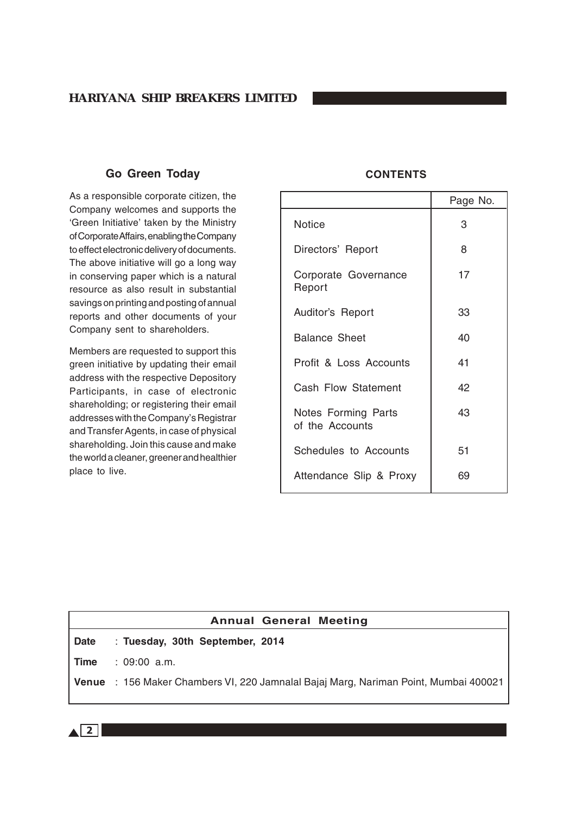# **Go Green Today**

As a responsible corporate citizen, the Company welcomes and supports the 'Green Initiative' taken by the Ministry of Corporate Affairs, enabling the Company to effect electronic delivery of documents. The above initiative will go a long way in conserving paper which is a natural resource as also result in substantial savings on printing and posting of annual reports and other documents of your Company sent to shareholders.

Members are requested to support this green initiative by updating their email address with the respective Depository Participants, in case of electronic shareholding; or registering their email addresses with the Company's Registrar and Transfer Agents, in case of physical shareholding. Join this cause and make the world a cleaner, greener and healthier place to live.

### **CONTENTS**

|                                               | Page No. |
|-----------------------------------------------|----------|
| <b>Notice</b>                                 | 3        |
| Directors' Report                             | 8        |
| Corporate Governance<br>Report                | 17       |
| Auditor's Report                              | 33       |
| <b>Balance Sheet</b>                          | 40       |
| Profit & Loss Accounts                        | 41       |
| Cash Flow Statement                           | 42       |
| <b>Notes Forming Parts</b><br>of the Accounts | 43       |
| Schedules to Accounts                         | 51       |
| Attendance Slip & Proxy                       | 69       |

|      | <b>Annual General Meeting</b>                                                        |
|------|--------------------------------------------------------------------------------------|
| Date | : Tuesday, 30th September, 2014                                                      |
| Time | : 09:00 a.m.                                                                         |
|      | Venue : 156 Maker Chambers VI, 220 Jamnalal Bajaj Marg, Nariman Point, Mumbai 400021 |
|      |                                                                                      |

 $\sqrt{2}$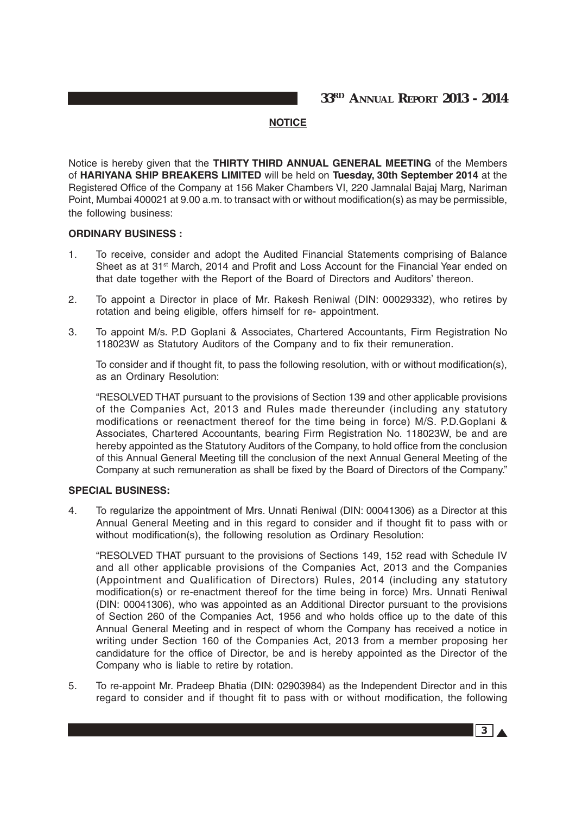### **NOTICE**

Notice is hereby given that the **THIRTY THIRD ANNUAL GENERAL MEETING** of the Members of **HARIYANA SHIP BREAKERS LIMITED** will be held on **Tuesday, 30th September 2014** at the Registered Office of the Company at 156 Maker Chambers VI, 220 Jamnalal Bajaj Marg, Nariman Point, Mumbai 400021 at 9.00 a.m. to transact with or without modification(s) as may be permissible, the following business:

### **ORDINARY BUSINESS :**

- 1. To receive, consider and adopt the Audited Financial Statements comprising of Balance Sheet as at 31<sup>st</sup> March, 2014 and Profit and Loss Account for the Financial Year ended on that date together with the Report of the Board of Directors and Auditors' thereon.
- 2. To appoint a Director in place of Mr. Rakesh Reniwal (DIN: 00029332), who retires by rotation and being eligible, offers himself for re- appointment.
- 3. To appoint M/s. P.D Goplani & Associates, Chartered Accountants, Firm Registration No 118023W as Statutory Auditors of the Company and to fix their remuneration.

To consider and if thought fit, to pass the following resolution, with or without modification(s), as an Ordinary Resolution:

"RESOLVED THAT pursuant to the provisions of Section 139 and other applicable provisions of the Companies Act, 2013 and Rules made thereunder (including any statutory modifications or reenactment thereof for the time being in force) M/S. P.D.Goplani & Associates, Chartered Accountants, bearing Firm Registration No. 118023W, be and are hereby appointed as the Statutory Auditors of the Company, to hold office from the conclusion of this Annual General Meeting till the conclusion of the next Annual General Meeting of the Company at such remuneration as shall be fixed by the Board of Directors of the Company."

### **SPECIAL BUSINESS:**

4. To regularize the appointment of Mrs. Unnati Reniwal (DIN: 00041306) as a Director at this Annual General Meeting and in this regard to consider and if thought fit to pass with or without modification(s), the following resolution as Ordinary Resolution:

"RESOLVED THAT pursuant to the provisions of Sections 149, 152 read with Schedule IV and all other applicable provisions of the Companies Act, 2013 and the Companies (Appointment and Qualification of Directors) Rules, 2014 (including any statutory modification(s) or re-enactment thereof for the time being in force) Mrs. Unnati Reniwal (DIN: 00041306), who was appointed as an Additional Director pursuant to the provisions of Section 260 of the Companies Act, 1956 and who holds office up to the date of this Annual General Meeting and in respect of whom the Company has received a notice in writing under Section 160 of the Companies Act, 2013 from a member proposing her candidature for the office of Director, be and is hereby appointed as the Director of the Company who is liable to retire by rotation.

5. To re-appoint Mr. Pradeep Bhatia (DIN: 02903984) as the Independent Director and in this regard to consider and if thought fit to pass with or without modification, the following

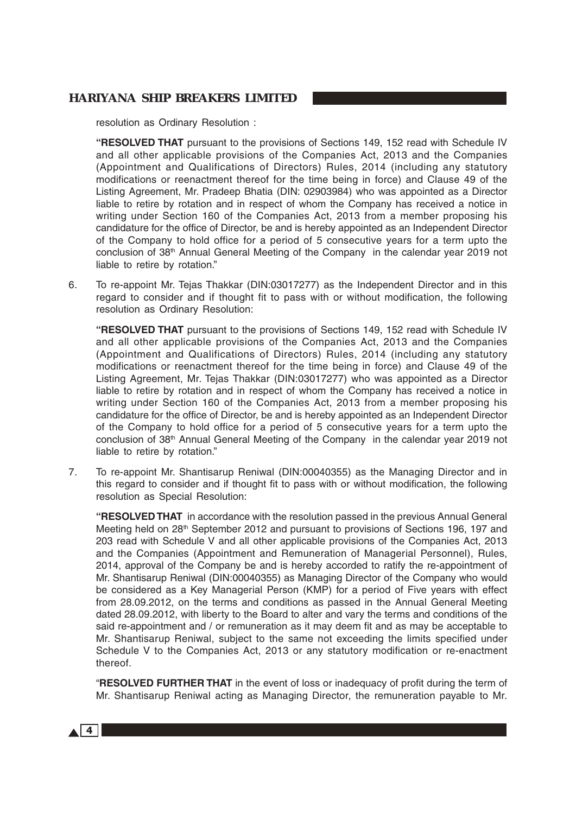resolution as Ordinary Resolution :

**"RESOLVED THAT** pursuant to the provisions of Sections 149, 152 read with Schedule IV and all other applicable provisions of the Companies Act, 2013 and the Companies (Appointment and Qualifications of Directors) Rules, 2014 (including any statutory modifications or reenactment thereof for the time being in force) and Clause 49 of the Listing Agreement, Mr. Pradeep Bhatia (DIN: 02903984) who was appointed as a Director liable to retire by rotation and in respect of whom the Company has received a notice in writing under Section 160 of the Companies Act, 2013 from a member proposing his candidature for the office of Director, be and is hereby appointed as an Independent Director of the Company to hold office for a period of 5 consecutive years for a term upto the conclusion of  $38<sup>th</sup>$  Annual General Meeting of the Company in the calendar year 2019 not liable to retire by rotation."

6. To re-appoint Mr. Tejas Thakkar (DIN:03017277) as the Independent Director and in this regard to consider and if thought fit to pass with or without modification, the following resolution as Ordinary Resolution:

**"RESOLVED THAT** pursuant to the provisions of Sections 149, 152 read with Schedule IV and all other applicable provisions of the Companies Act, 2013 and the Companies (Appointment and Qualifications of Directors) Rules, 2014 (including any statutory modifications or reenactment thereof for the time being in force) and Clause 49 of the Listing Agreement, Mr. Tejas Thakkar (DIN:03017277) who was appointed as a Director liable to retire by rotation and in respect of whom the Company has received a notice in writing under Section 160 of the Companies Act, 2013 from a member proposing his candidature for the office of Director, be and is hereby appointed as an Independent Director of the Company to hold office for a period of 5 consecutive years for a term upto the conclusion of 38th Annual General Meeting of the Company in the calendar year 2019 not liable to retire by rotation."

7. To re-appoint Mr. Shantisarup Reniwal (DIN:00040355) as the Managing Director and in this regard to consider and if thought fit to pass with or without modification, the following resolution as Special Resolution:

**"RESOLVED THAT** in accordance with the resolution passed in the previous Annual General Meeting held on 28<sup>th</sup> September 2012 and pursuant to provisions of Sections 196, 197 and 203 read with Schedule V and all other applicable provisions of the Companies Act, 2013 and the Companies (Appointment and Remuneration of Managerial Personnel), Rules, 2014, approval of the Company be and is hereby accorded to ratify the re-appointment of Mr. Shantisarup Reniwal (DIN:00040355) as Managing Director of the Company who would be considered as a Key Managerial Person (KMP) for a period of Five years with effect from 28.09.2012, on the terms and conditions as passed in the Annual General Meeting dated 28.09.2012, with liberty to the Board to alter and vary the terms and conditions of the said re-appointment and / or remuneration as it may deem fit and as may be acceptable to Mr. Shantisarup Reniwal, subject to the same not exceeding the limits specified under Schedule V to the Companies Act, 2013 or any statutory modification or re-enactment thereof.

"**RESOLVED FURTHER THAT** in the event of loss or inadequacy of profit during the term of Mr. Shantisarup Reniwal acting as Managing Director, the remuneration payable to Mr.

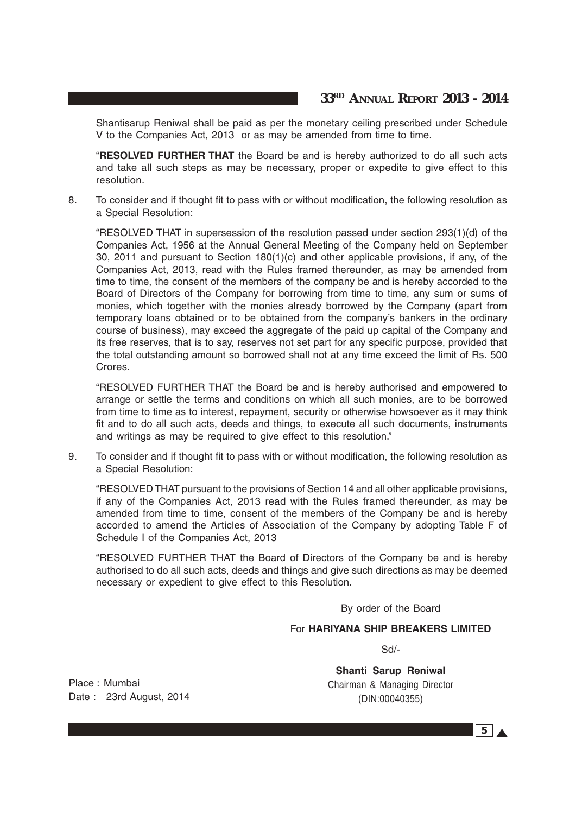Shantisarup Reniwal shall be paid as per the monetary ceiling prescribed under Schedule V to the Companies Act, 2013 or as may be amended from time to time.

"**RESOLVED FURTHER THAT** the Board be and is hereby authorized to do all such acts and take all such steps as may be necessary, proper or expedite to give effect to this resolution.

8. To consider and if thought fit to pass with or without modification, the following resolution as a Special Resolution:

"RESOLVED THAT in supersession of the resolution passed under section 293(1)(d) of the Companies Act, 1956 at the Annual General Meeting of the Company held on September 30, 2011 and pursuant to Section 180(1)(c) and other applicable provisions, if any, of the Companies Act, 2013, read with the Rules framed thereunder, as may be amended from time to time, the consent of the members of the company be and is hereby accorded to the Board of Directors of the Company for borrowing from time to time, any sum or sums of monies, which together with the monies already borrowed by the Company (apart from temporary loans obtained or to be obtained from the company's bankers in the ordinary course of business), may exceed the aggregate of the paid up capital of the Company and its free reserves, that is to say, reserves not set part for any specific purpose, provided that the total outstanding amount so borrowed shall not at any time exceed the limit of Rs. 500 Crores.

"RESOLVED FURTHER THAT the Board be and is hereby authorised and empowered to arrange or settle the terms and conditions on which all such monies, are to be borrowed from time to time as to interest, repayment, security or otherwise howsoever as it may think fit and to do all such acts, deeds and things, to execute all such documents, instruments and writings as may be required to give effect to this resolution."

9. To consider and if thought fit to pass with or without modification, the following resolution as a Special Resolution:

"RESOLVED THAT pursuant to the provisions of Section 14 and all other applicable provisions, if any of the Companies Act, 2013 read with the Rules framed thereunder, as may be amended from time to time, consent of the members of the Company be and is hereby accorded to amend the Articles of Association of the Company by adopting Table F of Schedule I of the Companies Act, 2013

"RESOLVED FURTHER THAT the Board of Directors of the Company be and is hereby authorised to do all such acts, deeds and things and give such directions as may be deemed necessary or expedient to give effect to this Resolution.

By order of the Board

For **HARIYANA SHIP BREAKERS LIMITED**

Sd/-

**Shanti Sarup Reniwal** Chairman & Managing Director (DIN:00040355)

Place : Mumbai Date :23rd August, 2014

 $5\lambda$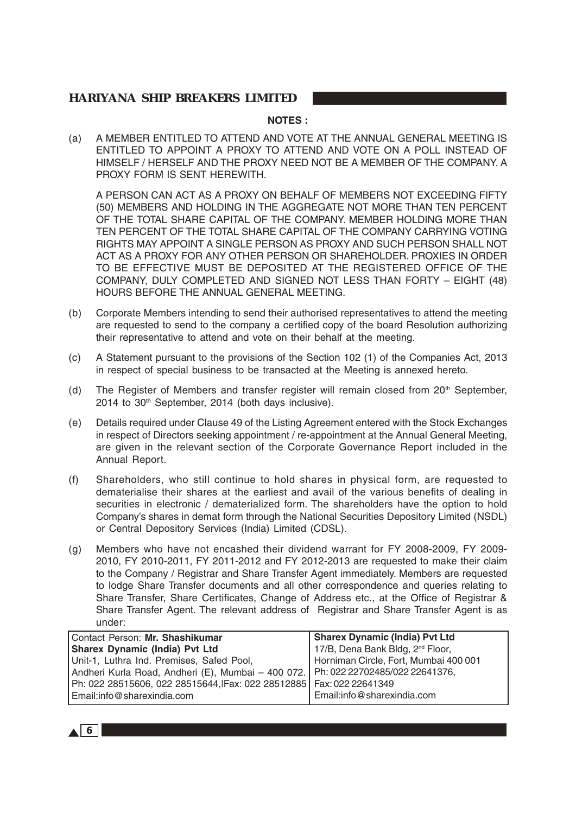### **NOTES :**

(a) A MEMBER ENTITLED TO ATTEND AND VOTE AT THE ANNUAL GENERAL MEETING IS ENTITLED TO APPOINT A PROXY TO ATTEND AND VOTE ON A POLL INSTEAD OF HIMSELF / HERSELF AND THE PROXY NEED NOT BE A MEMBER OF THE COMPANY. A PROXY FORM IS SENT HEREWITH.

A PERSON CAN ACT AS A PROXY ON BEHALF OF MEMBERS NOT EXCEEDING FIFTY (50) MEMBERS AND HOLDING IN THE AGGREGATE NOT MORE THAN TEN PERCENT OF THE TOTAL SHARE CAPITAL OF THE COMPANY. MEMBER HOLDING MORE THAN TEN PERCENT OF THE TOTAL SHARE CAPITAL OF THE COMPANY CARRYING VOTING RIGHTS MAY APPOINT A SINGLE PERSON AS PROXY AND SUCH PERSON SHALL NOT ACT AS A PROXY FOR ANY OTHER PERSON OR SHAREHOLDER. PROXIES IN ORDER TO BE EFFECTIVE MUST BE DEPOSITED AT THE REGISTERED OFFICE OF THE COMPANY, DULY COMPLETED AND SIGNED NOT LESS THAN FORTY – EIGHT (48) HOURS BEFORE THE ANNUAL GENERAL MEETING.

- (b) Corporate Members intending to send their authorised representatives to attend the meeting are requested to send to the company a certified copy of the board Resolution authorizing their representative to attend and vote on their behalf at the meeting.
- (c) A Statement pursuant to the provisions of the Section 102 (1) of the Companies Act, 2013 in respect of special business to be transacted at the Meeting is annexed hereto.
- (d) The Register of Members and transfer register will remain closed from  $20<sup>th</sup>$  September, 2014 to 30<sup>th</sup> September, 2014 (both days inclusive).
- (e) Details required under Clause 49 of the Listing Agreement entered with the Stock Exchanges in respect of Directors seeking appointment / re-appointment at the Annual General Meeting, are given in the relevant section of the Corporate Governance Report included in the Annual Report.
- (f) Shareholders, who still continue to hold shares in physical form, are requested to dematerialise their shares at the earliest and avail of the various benefits of dealing in securities in electronic / dematerialized form. The shareholders have the option to hold Company's shares in demat form through the National Securities Depository Limited (NSDL) or Central Depository Services (India) Limited (CDSL).
- (g) Members who have not encashed their dividend warrant for FY 2008-2009, FY 2009- 2010, FY 2010-2011, FY 2011-2012 and FY 2012-2013 are requested to make their claim to the Company / Registrar and Share Transfer Agent immediately. Members are requested to lodge Share Transfer documents and all other correspondence and queries relating to Share Transfer, Share Certificates, Change of Address etc., at the Office of Registrar & Share Transfer Agent. The relevant address of Registrar and Share Transfer Agent is as under:

| Contact Person: Mr. Shashikumar                                                     | <b>Sharex Dynamic (India) Pvt Ltd</b>        |
|-------------------------------------------------------------------------------------|----------------------------------------------|
| Sharex Dynamic (India) Pvt Ltd                                                      | 17/B, Dena Bank Bldg, 2 <sup>nd</sup> Floor, |
| Unit-1, Luthra Ind. Premises, Safed Pool,                                           | Horniman Circle, Fort, Mumbai 400 001        |
| Andheri Kurla Road, Andheri (E), Mumbai - 400 072.   Ph: 022 22702485/022 22641376, |                                              |
| Ph: 022 28515606, 022 28515644,IFax: 022 28512885   Fax: 022 22641349               |                                              |
| Email:info@sharexindia.com                                                          | Email:info@sharexindia.com                   |

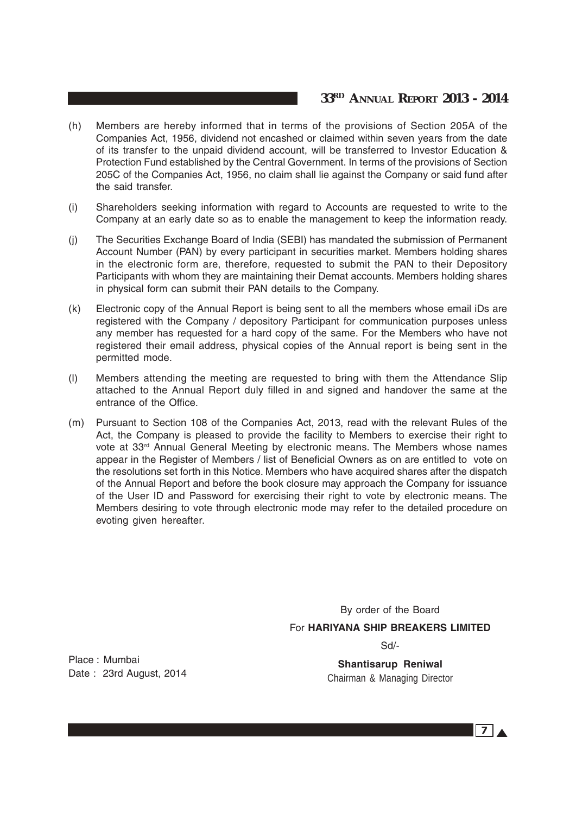# **33RD ANNUAL REPORT 2013 - 2014**

- (h) Members are hereby informed that in terms of the provisions of Section 205A of the Companies Act, 1956, dividend not encashed or claimed within seven years from the date of its transfer to the unpaid dividend account, will be transferred to Investor Education & Protection Fund established by the Central Government. In terms of the provisions of Section 205C of the Companies Act, 1956, no claim shall lie against the Company or said fund after the said transfer.
- (i) Shareholders seeking information with regard to Accounts are requested to write to the Company at an early date so as to enable the management to keep the information ready.
- (j) The Securities Exchange Board of India (SEBI) has mandated the submission of Permanent Account Number (PAN) by every participant in securities market. Members holding shares in the electronic form are, therefore, requested to submit the PAN to their Depository Participants with whom they are maintaining their Demat accounts. Members holding shares in physical form can submit their PAN details to the Company.
- (k) Electronic copy of the Annual Report is being sent to all the members whose email iDs are registered with the Company / depository Participant for communication purposes unless any member has requested for a hard copy of the same. For the Members who have not registered their email address, physical copies of the Annual report is being sent in the permitted mode.
- (l) Members attending the meeting are requested to bring with them the Attendance Slip attached to the Annual Report duly filled in and signed and handover the same at the entrance of the Office.
- (m) Pursuant to Section 108 of the Companies Act, 2013, read with the relevant Rules of the Act, the Company is pleased to provide the facility to Members to exercise their right to vote at 33rd Annual General Meeting by electronic means. The Members whose names appear in the Register of Members / list of Beneficial Owners as on are entitled to vote on the resolutions set forth in this Notice. Members who have acquired shares after the dispatch of the Annual Report and before the book closure may approach the Company for issuance of the User ID and Password for exercising their right to vote by electronic means. The Members desiring to vote through electronic mode may refer to the detailed procedure on evoting given hereafter.

By order of the Board For **HARIYANA SHIP BREAKERS LIMITED** Sd/-

Place : Mumbai Date : 23rd August, 2014

**Shantisarup Reniwal** Chairman & Managing Director

 $7\vert$   $\vert$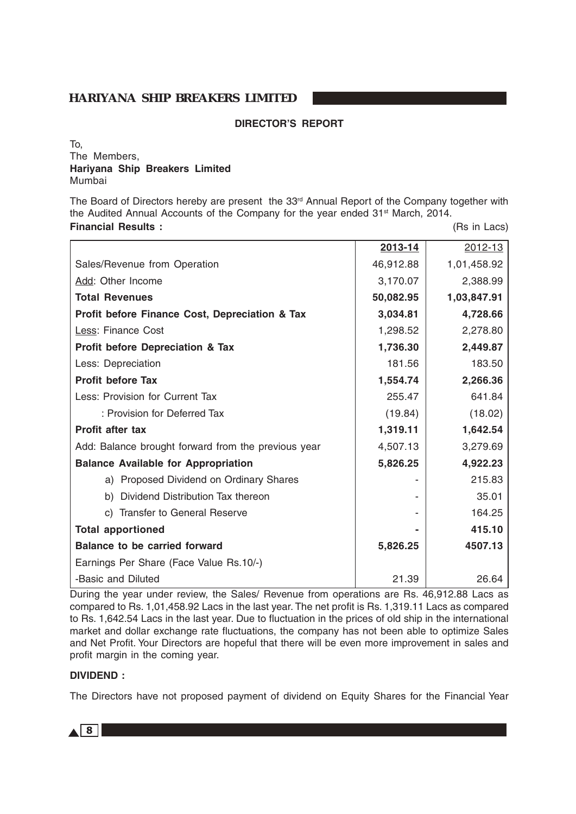### **DIRECTOR'S REPORT**

To, The Members, **Hariyana Ship Breakers Limited** Mumbai

The Board of Directors hereby are present the 33<sup>rd</sup> Annual Report of the Company together with the Audited Annual Accounts of the Company for the year ended 31<sup>st</sup> March, 2014.

### **Financial Results :** (Rs in Lacs)

|                                                     | 2013-14   | 2012-13     |
|-----------------------------------------------------|-----------|-------------|
| Sales/Revenue from Operation                        | 46,912.88 | 1,01,458.92 |
| Add: Other Income                                   | 3,170.07  | 2,388.99    |
| <b>Total Revenues</b>                               | 50,082.95 | 1,03,847.91 |
| Profit before Finance Cost, Depreciation & Tax      | 3,034.81  | 4,728.66    |
| Less: Finance Cost                                  | 1,298.52  | 2,278.80    |
| <b>Profit before Depreciation &amp; Tax</b>         | 1,736.30  | 2,449.87    |
| Less: Depreciation                                  | 181.56    | 183.50      |
| <b>Profit before Tax</b>                            | 1,554.74  | 2,266.36    |
| Less: Provision for Current Tax                     | 255.47    | 641.84      |
| : Provision for Deferred Tax                        | (19.84)   | (18.02)     |
| <b>Profit after tax</b>                             | 1,319.11  | 1,642.54    |
| Add: Balance brought forward from the previous year | 4,507.13  | 3,279.69    |
| <b>Balance Available for Appropriation</b>          | 5,826.25  | 4,922.23    |
| a) Proposed Dividend on Ordinary Shares             |           | 215.83      |
| b) Dividend Distribution Tax thereon                |           | 35.01       |
| c) Transfer to General Reserve                      |           | 164.25      |
| <b>Total apportioned</b>                            |           | 415.10      |
| <b>Balance to be carried forward</b>                | 5,826.25  | 4507.13     |
| Earnings Per Share (Face Value Rs.10/-)             |           |             |
| -Basic and Diluted                                  | 21.39     | 26.64       |

During the year under review, the Sales/ Revenue from operations are Rs. 46,912.88 Lacs as compared to Rs. 1,01,458.92 Lacs in the last year. The net profit is Rs. 1,319.11 Lacs as compared to Rs. 1,642.54 Lacs in the last year. Due to fluctuation in the prices of old ship in the international market and dollar exchange rate fluctuations, the company has not been able to optimize Sales and Net Profit. Your Directors are hopeful that there will be even more improvement in sales and profit margin in the coming year.

### **DIVIDEND :**

The Directors have not proposed payment of dividend on Equity Shares for the Financial Year

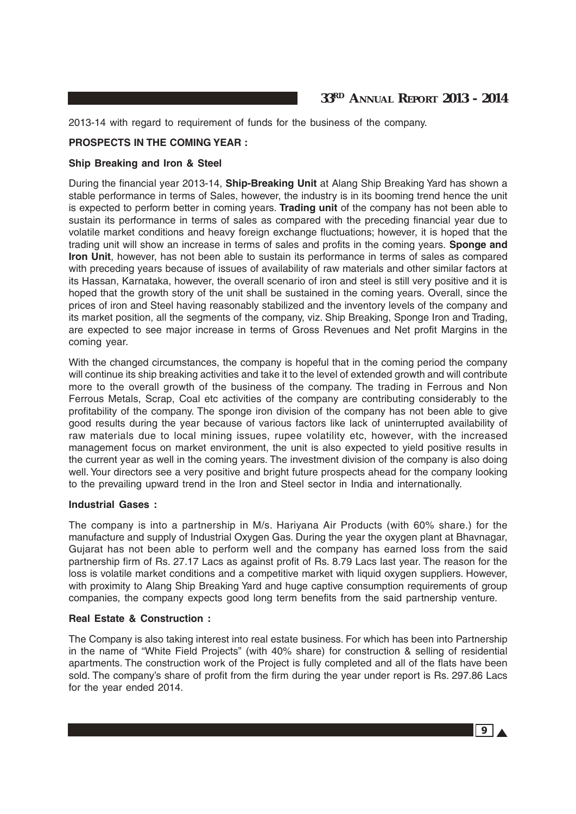2013-14 with regard to requirement of funds for the business of the company.

### **PROSPECTS IN THE COMING YEAR :**

### **Ship Breaking and Iron & Steel**

During the financial year 2013-14, **Ship-Breaking Unit** at Alang Ship Breaking Yard has shown a stable performance in terms of Sales, however, the industry is in its booming trend hence the unit is expected to perform better in coming years. **Trading unit** of the company has not been able to sustain its performance in terms of sales as compared with the preceding financial year due to volatile market conditions and heavy foreign exchange fluctuations; however, it is hoped that the trading unit will show an increase in terms of sales and profits in the coming years. **Sponge and Iron Unit**, however, has not been able to sustain its performance in terms of sales as compared with preceding years because of issues of availability of raw materials and other similar factors at its Hassan, Karnataka, however, the overall scenario of iron and steel is still very positive and it is hoped that the growth story of the unit shall be sustained in the coming years. Overall, since the prices of iron and Steel having reasonably stabilized and the inventory levels of the company and its market position, all the segments of the company, viz. Ship Breaking, Sponge Iron and Trading, are expected to see major increase in terms of Gross Revenues and Net profit Margins in the coming year.

With the changed circumstances, the company is hopeful that in the coming period the company will continue its ship breaking activities and take it to the level of extended growth and will contribute more to the overall growth of the business of the company. The trading in Ferrous and Non Ferrous Metals, Scrap, Coal etc activities of the company are contributing considerably to the profitability of the company. The sponge iron division of the company has not been able to give good results during the year because of various factors like lack of uninterrupted availability of raw materials due to local mining issues, rupee volatility etc, however, with the increased management focus on market environment, the unit is also expected to yield positive results in the current year as well in the coming years. The investment division of the company is also doing well. Your directors see a very positive and bright future prospects ahead for the company looking to the prevailing upward trend in the Iron and Steel sector in India and internationally.

### **Industrial Gases :**

The company is into a partnership in M/s. Hariyana Air Products (with 60% share.) for the manufacture and supply of Industrial Oxygen Gas. During the year the oxygen plant at Bhavnagar, Gujarat has not been able to perform well and the company has earned loss from the said partnership firm of Rs. 27.17 Lacs as against profit of Rs. 8.79 Lacs last year. The reason for the loss is volatile market conditions and a competitive market with liquid oxygen suppliers. However, with proximity to Alang Ship Breaking Yard and huge captive consumption requirements of group companies, the company expects good long term benefits from the said partnership venture.

### **Real Estate & Construction :**

The Company is also taking interest into real estate business. For which has been into Partnership in the name of "White Field Projects" (with 40% share) for construction & selling of residential apartments. The construction work of the Project is fully completed and all of the flats have been sold. The company's share of profit from the firm during the year under report is Rs. 297.86 Lacs for the year ended 2014.

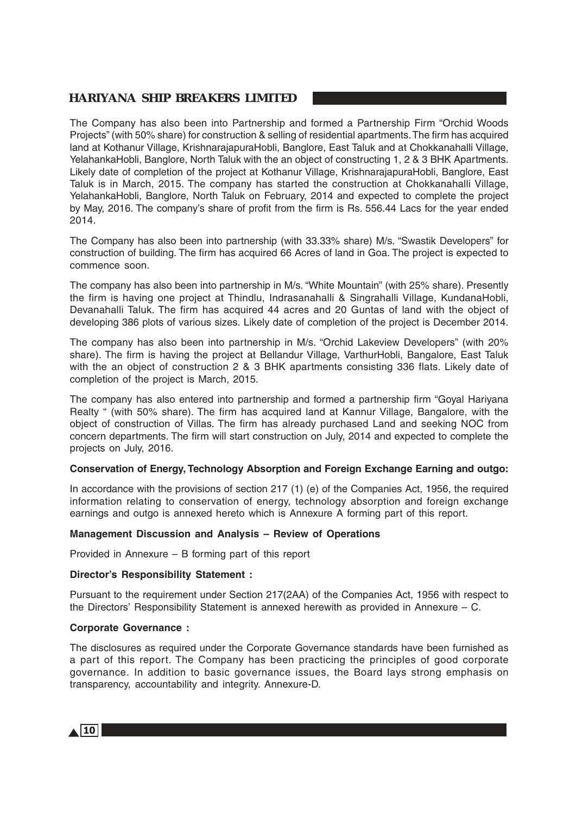The Company has also been into Partnership and formed a Partnership Firm "Orchid Woods Projects" (with 50% share) for construction & selling of residential apartments. The firm has acquired land at Kothanur Village, KrishnarajapuraHobli, Banglore, East Taluk and at Chokkanahalli Village, YelahankaHobli, Banglore, North Taluk with the an object of constructing 1, 2 & 3 BHK Apartments. Likely date of completion of the project at Kothanur Village, KrishnarajapuraHobli, Banglore, East Taluk is in March, 2015. The company has started the construction at Chokkanahalli Village, YelahankaHobli, Banglore, North Taluk on February, 2014 and expected to complete the project by May, 2016. The company's share of profit from the firm is Rs. 556.44 Lacs for the year ended 2014.

The Company has also been into partnership (with 33.33% share) M/s. "Swastik Developers" for construction of building. The firm has acquired 66 Acres of land in Goa. The project is expected to commence soon.

The company has also been into partnership in M/s. "White Mountain" (with 25% share). Presently the firm is having one project at Thindlu, Indrasanahalli & Singrahalli Village, KundanaHobli, Devanahalli Taluk. The firm has acquired 44 acres and 20 Guntas of land with the object of developing 386 plots of various sizes. Likely date of completion of the project is December 2014.

The company has also been into partnership in M/s. "Orchid Lakeview Developers" (with 20% share). The firm is having the project at Bellandur Village, VarthurHobli, Bangalore, East Taluk with the an object of construction 2 & 3 BHK apartments consisting 336 flats. Likely date of completion of the project is March, 2015.

The company has also entered into partnership and formed a partnership firm "Goyal Hariyana Realty " (with 50% share). The firm has acquired land at Kannur Village, Bangalore, with the object of construction of Villas. The firm has already purchased Land and seeking NOC from concern departments. The firm will start construction on July, 2014 and expected to complete the projects on July, 2016.

### **Conservation of Energy, Technology Absorption and Foreign Exchange Earning and outgo:**

In accordance with the provisions of section 217 (1) (e) of the Companies Act, 1956, the required information relating to conservation of energy, technology absorption and foreign exchange earnings and outgo is annexed hereto which is Annexure A forming part of this report.

### **Management Discussion and Analysis – Review of Operations**

Provided in Annexure – B forming part of this report

### **Director's Responsibility Statement :**

Pursuant to the requirement under Section 217(2AA) of the Companies Act, 1956 with respect to the Directors' Responsibility Statement is annexed herewith as provided in Annexure – C.

### **Corporate Governance :**

The disclosures as required under the Corporate Governance standards have been furnished as a part of this report. The Company has been practicing the principles of good corporate governance. In addition to basic governance issues, the Board lays strong emphasis on transparency, accountability and integrity. Annexure-D.

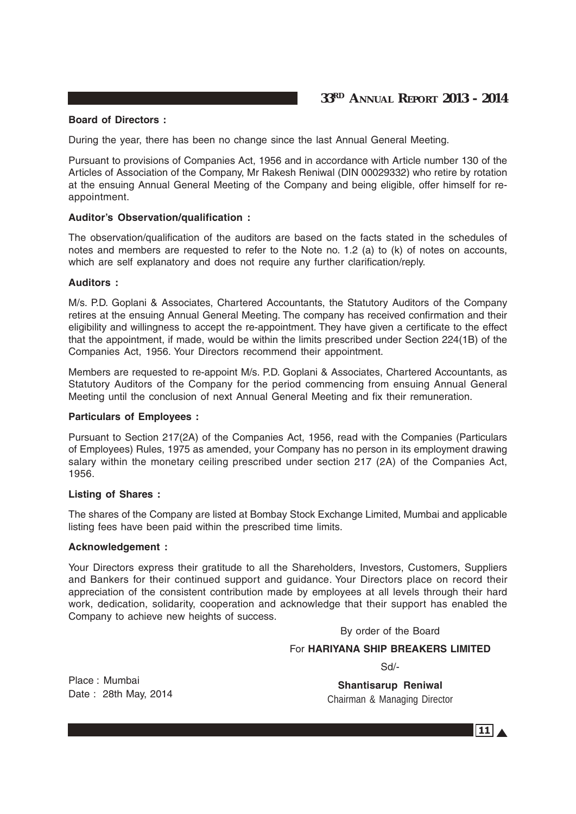### **Board of Directors :**

During the year, there has been no change since the last Annual General Meeting.

Pursuant to provisions of Companies Act, 1956 and in accordance with Article number 130 of the Articles of Association of the Company, Mr Rakesh Reniwal (DIN 00029332) who retire by rotation at the ensuing Annual General Meeting of the Company and being eligible, offer himself for reappointment.

### **Auditor's Observation/qualification :**

The observation/qualification of the auditors are based on the facts stated in the schedules of notes and members are requested to refer to the Note no. 1.2 (a) to (k) of notes on accounts, which are self explanatory and does not require any further clarification/reply.

### **Auditors :**

M/s. P.D. Goplani & Associates, Chartered Accountants, the Statutory Auditors of the Company retires at the ensuing Annual General Meeting. The company has received confirmation and their eligibility and willingness to accept the re-appointment. They have given a certificate to the effect that the appointment, if made, would be within the limits prescribed under Section 224(1B) of the Companies Act, 1956. Your Directors recommend their appointment.

Members are requested to re-appoint M/s. P.D. Goplani & Associates, Chartered Accountants, as Statutory Auditors of the Company for the period commencing from ensuing Annual General Meeting until the conclusion of next Annual General Meeting and fix their remuneration.

### **Particulars of Employees :**

Pursuant to Section 217(2A) of the Companies Act, 1956, read with the Companies (Particulars of Employees) Rules, 1975 as amended, your Company has no person in its employment drawing salary within the monetary ceiling prescribed under section 217 (2A) of the Companies Act, 1956.

### **Listing of Shares :**

The shares of the Company are listed at Bombay Stock Exchange Limited, Mumbai and applicable listing fees have been paid within the prescribed time limits.

### **Acknowledgement :**

Your Directors express their gratitude to all the Shareholders, Investors, Customers, Suppliers and Bankers for their continued support and guidance. Your Directors place on record their appreciation of the consistent contribution made by employees at all levels through their hard work, dedication, solidarity, cooperation and acknowledge that their support has enabled the Company to achieve new heights of success.

### By order of the Board

### For **HARIYANA SHIP BREAKERS LIMITED**

Sd/-

Place : Mumbai Date : 28th May, 2014

**Shantisarup Reniwal** Chairman & Managing Director

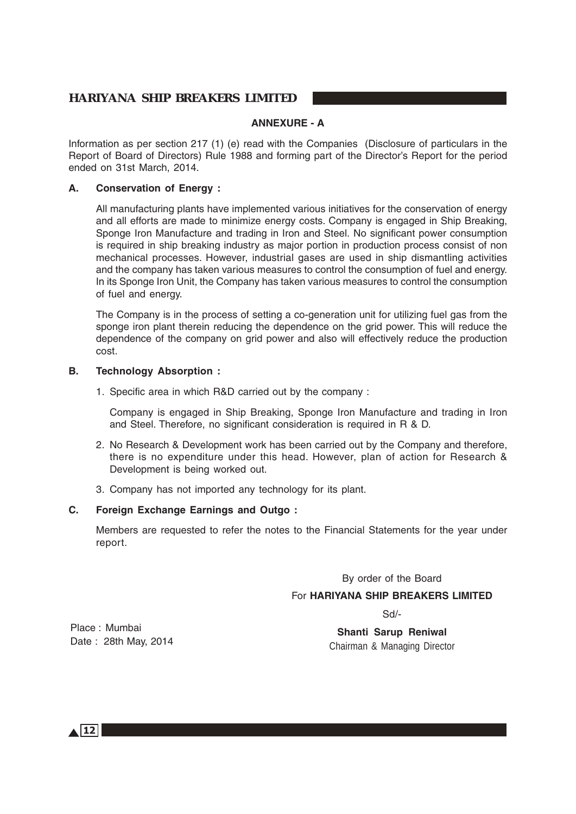### **ANNEXURE - A**

Information as per section 217 (1) (e) read with the Companies (Disclosure of particulars in the Report of Board of Directors) Rule 1988 and forming part of the Director's Report for the period ended on 31st March, 2014.

### **A. Conservation of Energy :**

All manufacturing plants have implemented various initiatives for the conservation of energy and all efforts are made to minimize energy costs. Company is engaged in Ship Breaking, Sponge Iron Manufacture and trading in Iron and Steel. No significant power consumption is required in ship breaking industry as major portion in production process consist of non mechanical processes. However, industrial gases are used in ship dismantling activities and the company has taken various measures to control the consumption of fuel and energy. In its Sponge Iron Unit, the Company has taken various measures to control the consumption of fuel and energy.

The Company is in the process of setting a co-generation unit for utilizing fuel gas from the sponge iron plant therein reducing the dependence on the grid power. This will reduce the dependence of the company on grid power and also will effectively reduce the production cost.

### **B. Technology Absorption :**

1. Specific area in which R&D carried out by the company :

Company is engaged in Ship Breaking, Sponge Iron Manufacture and trading in Iron and Steel. Therefore, no significant consideration is required in R & D.

- 2. No Research & Development work has been carried out by the Company and therefore, there is no expenditure under this head. However, plan of action for Research & Development is being worked out.
- 3. Company has not imported any technology for its plant.

### **C. Foreign Exchange Earnings and Outgo :**

Members are requested to refer the notes to the Financial Statements for the year under report.

### By order of the Board

### For **HARIYANA SHIP BREAKERS LIMITED**

Sd/-

**Shanti Sarup Reniwal** Chairman & Managing Director

Place : Mumbai Date : 28th May, 2014

 $\triangle$  12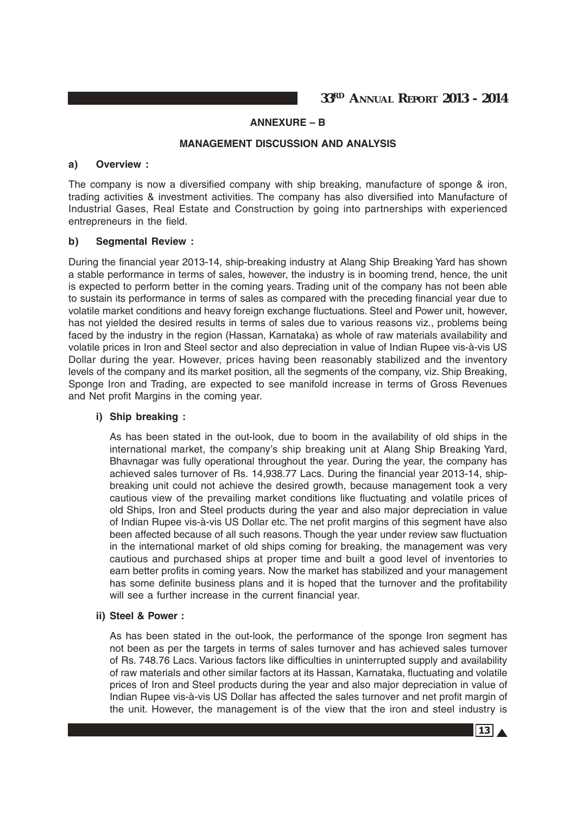**33RD ANNUAL REPORT 2013 - 2014**

### **ANNEXURE – B**

### **MANAGEMENT DISCUSSION AND ANALYSIS**

### **a) Overview :**

The company is now a diversified company with ship breaking, manufacture of sponge & iron, trading activities & investment activities. The company has also diversified into Manufacture of Industrial Gases, Real Estate and Construction by going into partnerships with experienced entrepreneurs in the field.

#### **b) Segmental Review :**

During the financial year 2013-14, ship-breaking industry at Alang Ship Breaking Yard has shown a stable performance in terms of sales, however, the industry is in booming trend, hence, the unit is expected to perform better in the coming years. Trading unit of the company has not been able to sustain its performance in terms of sales as compared with the preceding financial year due to volatile market conditions and heavy foreign exchange fluctuations. Steel and Power unit, however, has not yielded the desired results in terms of sales due to various reasons viz., problems being faced by the industry in the region (Hassan, Karnataka) as whole of raw materials availability and volatile prices in Iron and Steel sector and also depreciation in value of Indian Rupee vis-à-vis US Dollar during the year. However, prices having been reasonably stabilized and the inventory levels of the company and its market position, all the segments of the company, viz. Ship Breaking, Sponge Iron and Trading, are expected to see manifold increase in terms of Gross Revenues and Net profit Margins in the coming year.

### **i) Ship breaking :**

As has been stated in the out-look, due to boom in the availability of old ships in the international market, the company's ship breaking unit at Alang Ship Breaking Yard, Bhavnagar was fully operational throughout the year. During the year, the company has achieved sales turnover of Rs. 14,938.77 Lacs. During the financial year 2013-14, shipbreaking unit could not achieve the desired growth, because management took a very cautious view of the prevailing market conditions like fluctuating and volatile prices of old Ships, Iron and Steel products during the year and also major depreciation in value of Indian Rupee vis-à-vis US Dollar etc. The net profit margins of this segment have also been affected because of all such reasons. Though the year under review saw fluctuation in the international market of old ships coming for breaking, the management was very cautious and purchased ships at proper time and built a good level of inventories to earn better profits in coming years. Now the market has stabilized and your management has some definite business plans and it is hoped that the turnover and the profitability will see a further increase in the current financial year.

#### **ii) Steel & Power :**

As has been stated in the out-look, the performance of the sponge Iron segment has not been as per the targets in terms of sales turnover and has achieved sales turnover of Rs. 748.76 Lacs. Various factors like difficulties in uninterrupted supply and availability of raw materials and other similar factors at its Hassan, Karnataka, fluctuating and volatile prices of Iron and Steel products during the year and also major depreciation in value of Indian Rupee vis-à-vis US Dollar has affected the sales turnover and net profit margin of the unit. However, the management is of the view that the iron and steel industry is

 $13 \Delta$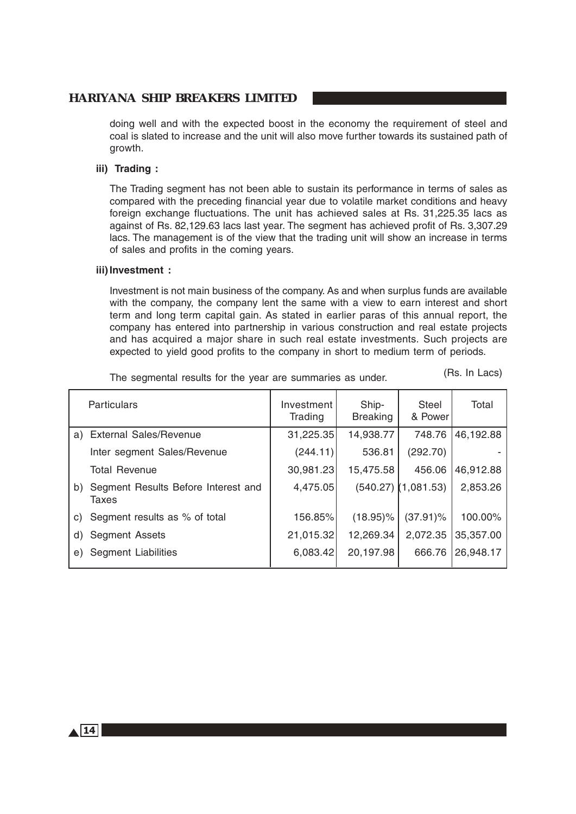doing well and with the expected boost in the economy the requirement of steel and coal is slated to increase and the unit will also move further towards its sustained path of growth.

### **iii) Trading :**

The Trading segment has not been able to sustain its performance in terms of sales as compared with the preceding financial year due to volatile market conditions and heavy foreign exchange fluctuations. The unit has achieved sales at Rs. 31,225.35 lacs as against of Rs. 82,129.63 lacs last year. The segment has achieved profit of Rs. 3,307.29 lacs. The management is of the view that the trading unit will show an increase in terms of sales and profits in the coming years.

### **iii)Investment :**

Investment is not main business of the company. As and when surplus funds are available with the company, the company lent the same with a view to earn interest and short term and long term capital gain. As stated in earlier paras of this annual report, the company has entered into partnership in various construction and real estate projects and has acquired a major share in such real estate investments. Such projects are expected to yield good profits to the company in short to medium term of periods.

|    | <b>Particulars</b>                           | Investment<br>Trading | Ship-<br><b>Breaking</b> | Steel<br>& Power      | Total     |
|----|----------------------------------------------|-----------------------|--------------------------|-----------------------|-----------|
|    | a) External Sales/Revenue                    | 31,225.35             | 14,938.77                | 748.76                | 46,192.88 |
|    | Inter segment Sales/Revenue                  | (244.11)              | 536.81                   | (292.70)              |           |
|    | <b>Total Revenue</b>                         | 30,981.23             | 15,475.58                | 456.06                | 46,912.88 |
| b) | Segment Results Before Interest and<br>Taxes | 4,475.05              |                          | $(540.27)$ (1,081.53) | 2,853.26  |
| C) | Segment results as % of total                | 156.85%               | $(18.95)\%$              | $(37.91)\%$           | 100.00%   |
| d) | <b>Segment Assets</b>                        | 21,015.32             | 12,269.34                | 2,072.35              | 35,357.00 |
| e) | Segment Liabilities                          | 6,083.42              | 20,197.98                | 666.76                | 26,948.17 |

The segmental results for the year are summaries as under.

(Rs. In Lacs)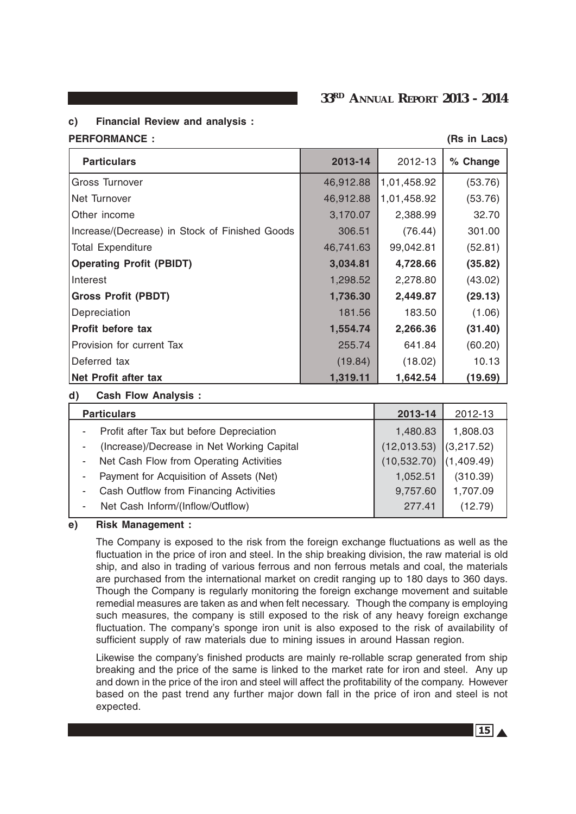### **33RD ANNUAL REPORT 2013 - 2014**

### **c) Financial Review and analysis :**

#### **PERFORMANCE :** (Rs in Lacs)

| <b>Particulars</b>                             | 2013-14   | 2012-13     | % Change |
|------------------------------------------------|-----------|-------------|----------|
| <b>Gross Turnover</b>                          | 46,912.88 | 1,01,458.92 | (53.76)  |
| <b>Net Turnover</b>                            | 46,912.88 | 1,01,458.92 | (53.76)  |
| Other income                                   | 3,170.07  | 2,388.99    | 32.70    |
| Increase/(Decrease) in Stock of Finished Goods | 306.51    | (76.44)     | 301.00   |
| Total Expenditure                              | 46,741.63 | 99,042.81   | (52.81)  |
| <b>Operating Profit (PBIDT)</b>                | 3,034.81  | 4,728.66    | (35.82)  |
| Interest                                       | 1,298.52  | 2,278.80    | (43.02)  |
| <b>Gross Profit (PBDT)</b>                     | 1,736.30  | 2,449.87    | (29.13)  |
| Depreciation                                   | 181.56    | 183.50      | (1.06)   |
| <b>Profit before tax</b>                       | 1,554.74  | 2,266.36    | (31.40)  |
| Provision for current Tax                      | 255.74    | 641.84      | (60.20)  |
| Deferred tax                                   | (19.84)   | (18.02)     | 10.13    |
| Net Profit after tax                           | 1,319.11  | 1,642.54    | (19.69)  |

### **d) Cash Flow Analysis :**

| 2012-13    |
|------------|
| 1,808.03   |
| (3,217.52) |
| (1,409.49) |
| (310.39)   |
| 1,707.09   |
| (12.79)    |
|            |

### **e) Risk Management :**

The Company is exposed to the risk from the foreign exchange fluctuations as well as the fluctuation in the price of iron and steel. In the ship breaking division, the raw material is old ship, and also in trading of various ferrous and non ferrous metals and coal, the materials are purchased from the international market on credit ranging up to 180 days to 360 days. Though the Company is regularly monitoring the foreign exchange movement and suitable remedial measures are taken as and when felt necessary. Though the company is employing such measures, the company is still exposed to the risk of any heavy foreign exchange fluctuation. The company's sponge iron unit is also exposed to the risk of availability of sufficient supply of raw materials due to mining issues in around Hassan region.

Likewise the company's finished products are mainly re-rollable scrap generated from ship breaking and the price of the same is linked to the market rate for iron and steel. Any up and down in the price of the iron and steel will affect the profitability of the company. However based on the past trend any further major down fall in the price of iron and steel is not expected.

 $|15|$   $\triangle$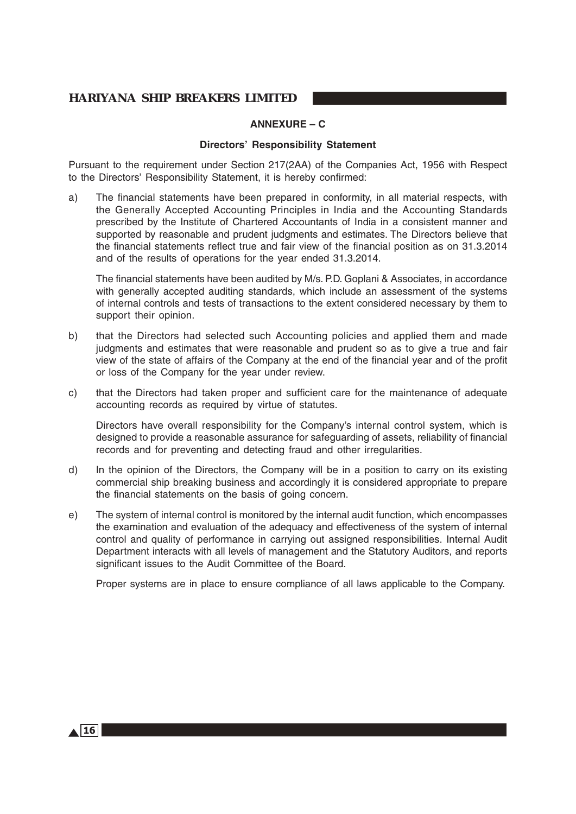### **ANNEXURE – C**

### **Directors' Responsibility Statement**

Pursuant to the requirement under Section 217(2AA) of the Companies Act, 1956 with Respect to the Directors' Responsibility Statement, it is hereby confirmed:

a) The financial statements have been prepared in conformity, in all material respects, with the Generally Accepted Accounting Principles in India and the Accounting Standards prescribed by the Institute of Chartered Accountants of India in a consistent manner and supported by reasonable and prudent judgments and estimates. The Directors believe that the financial statements reflect true and fair view of the financial position as on 31.3.2014 and of the results of operations for the year ended 31.3.2014.

The financial statements have been audited by M/s. P.D. Goplani & Associates, in accordance with generally accepted auditing standards, which include an assessment of the systems of internal controls and tests of transactions to the extent considered necessary by them to support their opinion.

- b) that the Directors had selected such Accounting policies and applied them and made judgments and estimates that were reasonable and prudent so as to give a true and fair view of the state of affairs of the Company at the end of the financial year and of the profit or loss of the Company for the year under review.
- c) that the Directors had taken proper and sufficient care for the maintenance of adequate accounting records as required by virtue of statutes.

Directors have overall responsibility for the Company's internal control system, which is designed to provide a reasonable assurance for safeguarding of assets, reliability of financial records and for preventing and detecting fraud and other irregularities.

- d) In the opinion of the Directors, the Company will be in a position to carry on its existing commercial ship breaking business and accordingly it is considered appropriate to prepare the financial statements on the basis of going concern.
- e) The system of internal control is monitored by the internal audit function, which encompasses the examination and evaluation of the adequacy and effectiveness of the system of internal control and quality of performance in carrying out assigned responsibilities. Internal Audit Department interacts with all levels of management and the Statutory Auditors, and reports significant issues to the Audit Committee of the Board.

Proper systems are in place to ensure compliance of all laws applicable to the Company.

 $\triangle$  16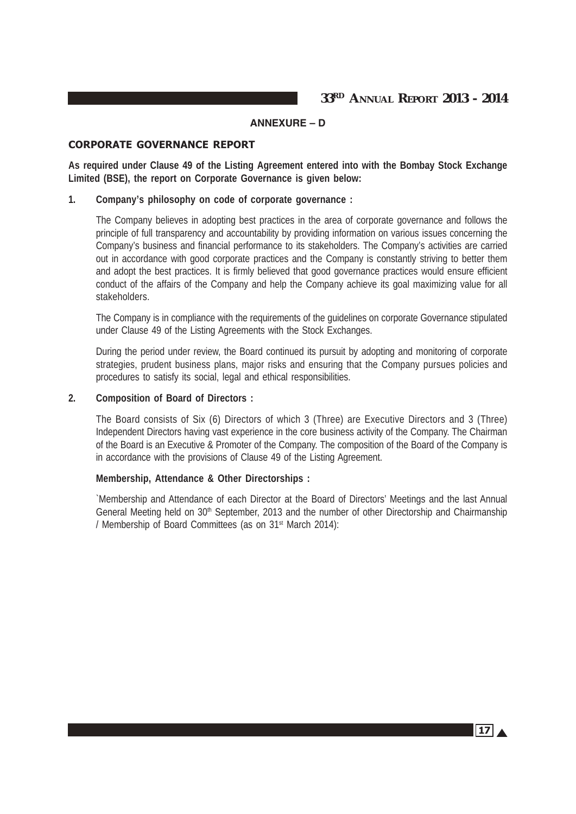**33RD ANNUAL REPORT 2013 - 2014**

# **ANNEXURE – D**

### CORPORATE GOVERNANCE REPORT

**As required under Clause 49 of the Listing Agreement entered into with the Bombay Stock Exchange Limited (BSE), the report on Corporate Governance is given below:**

### **1. Company's philosophy on code of corporate governance :**

The Company believes in adopting best practices in the area of corporate governance and follows the principle of full transparency and accountability by providing information on various issues concerning the Company's business and financial performance to its stakeholders. The Company's activities are carried out in accordance with good corporate practices and the Company is constantly striving to better them and adopt the best practices. It is firmly believed that good governance practices would ensure efficient conduct of the affairs of the Company and help the Company achieve its goal maximizing value for all stakeholders.

The Company is in compliance with the requirements of the guidelines on corporate Governance stipulated under Clause 49 of the Listing Agreements with the Stock Exchanges.

During the period under review, the Board continued its pursuit by adopting and monitoring of corporate strategies, prudent business plans, major risks and ensuring that the Company pursues policies and procedures to satisfy its social, legal and ethical responsibilities.

### **2. Composition of Board of Directors :**

The Board consists of Six (6) Directors of which 3 (Three) are Executive Directors and 3 (Three) Independent Directors having vast experience in the core business activity of the Company. The Chairman of the Board is an Executive & Promoter of the Company. The composition of the Board of the Company is in accordance with the provisions of Clause 49 of the Listing Agreement.

### **Membership, Attendance & Other Directorships :**

`Membership and Attendance of each Director at the Board of Directors' Meetings and the last Annual General Meeting held on 30<sup>th</sup> September, 2013 and the number of other Directorship and Chairmanship / Membership of Board Committees (as on 31st March 2014):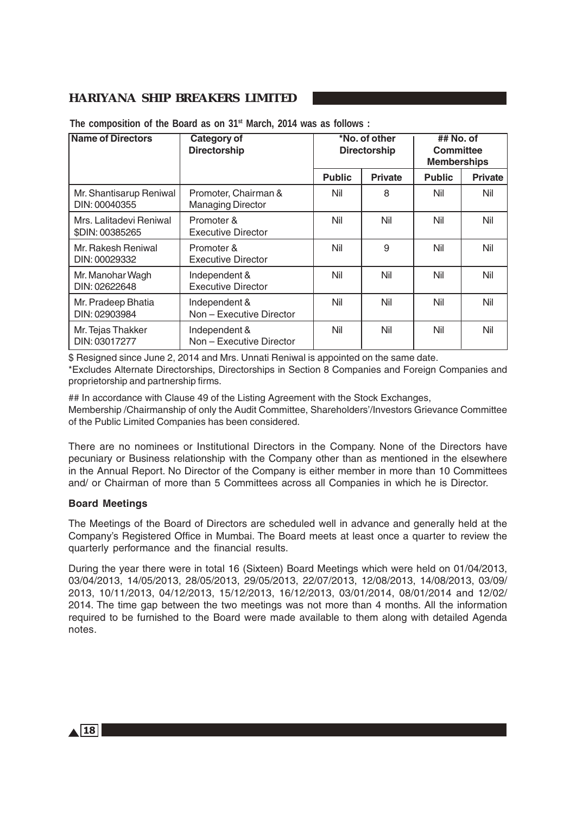| <b>Name of Directors</b>                   | Category of<br><b>Directorship</b>               | *No. of other<br><b>Directorship</b> |                | ## No. of<br><b>Committee</b><br><b>Memberships</b> |                |
|--------------------------------------------|--------------------------------------------------|--------------------------------------|----------------|-----------------------------------------------------|----------------|
|                                            |                                                  | <b>Public</b>                        | <b>Private</b> | <b>Public</b>                                       | <b>Private</b> |
| Mr. Shantisarup Reniwal<br>DIN: 00040355   | Promoter, Chairman &<br><b>Managing Director</b> | Nil                                  | 8              | Nil                                                 | Nil            |
| Mrs. Lalitadevi Reniwal<br>\$DIN: 00385265 | Promoter &<br><b>Executive Director</b>          | Nil                                  | Nil            | Nil                                                 | Nil            |
| Mr. Rakesh Reniwal<br>DIN: 00029332        | Promoter &<br><b>Executive Director</b>          | Nil                                  | 9              | Nil                                                 | Nil            |
| Mr. Manohar Wagh<br>DIN: 02622648          | Independent &<br><b>Executive Director</b>       | Nil                                  | Nil            | Nil                                                 | Nil            |
| Mr. Pradeep Bhatia<br>DIN: 02903984        | Independent &<br>Non - Executive Director        | Nil                                  | Nil            | Nil                                                 | Nil            |
| Mr. Tejas Thakker<br>DIN: 03017277         | Independent &<br>Non - Executive Director        | Nil                                  | Nil            | Nil                                                 | Nil            |

**The composition of the Board as on 31st March, 2014 was as follows :**

\$ Resigned since June 2, 2014 and Mrs. Unnati Reniwal is appointed on the same date. \*Excludes Alternate Directorships, Directorships in Section 8 Companies and Foreign Companies and proprietorship and partnership firms.

## In accordance with Clause 49 of the Listing Agreement with the Stock Exchanges, Membership /Chairmanship of only the Audit Committee, Shareholders'/Investors Grievance Committee of the Public Limited Companies has been considered.

There are no nominees or Institutional Directors in the Company. None of the Directors have pecuniary or Business relationship with the Company other than as mentioned in the elsewhere in the Annual Report. No Director of the Company is either member in more than 10 Committees and/ or Chairman of more than 5 Committees across all Companies in which he is Director.

### **Board Meetings**

The Meetings of the Board of Directors are scheduled well in advance and generally held at the Company's Registered Office in Mumbai. The Board meets at least once a quarter to review the quarterly performance and the financial results.

During the year there were in total 16 (Sixteen) Board Meetings which were held on 01/04/2013, 03/04/2013, 14/05/2013, 28/05/2013, 29/05/2013, 22/07/2013, 12/08/2013, 14/08/2013, 03/09/ 2013, 10/11/2013, 04/12/2013, 15/12/2013, 16/12/2013, 03/01/2014, 08/01/2014 and 12/02/ 2014. The time gap between the two meetings was not more than 4 months. All the information required to be furnished to the Board were made available to them along with detailed Agenda notes.

 $\triangle$  18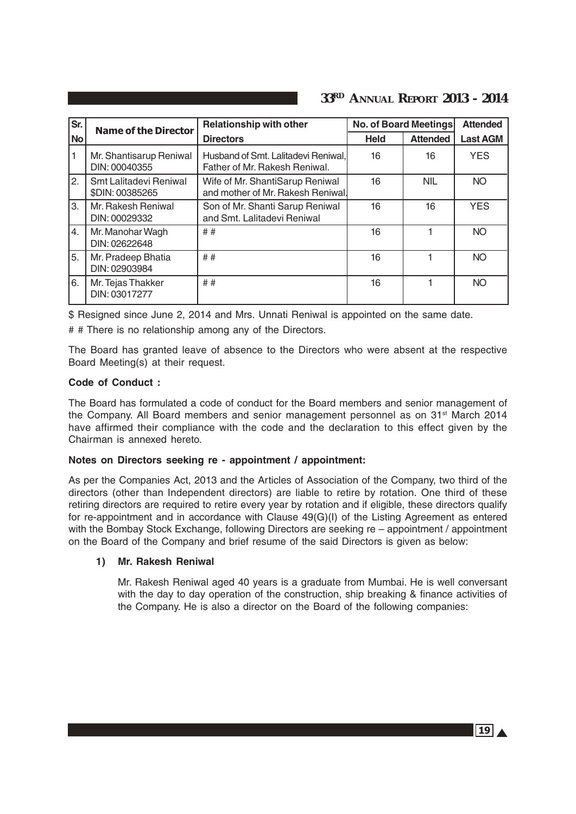| Sr.              | <b>Name of the Director</b>               | <b>Relationship with other</b>                                       |             | No. of Board Meetings | <b>Attended</b> |
|------------------|-------------------------------------------|----------------------------------------------------------------------|-------------|-----------------------|-----------------|
| <b>No</b>        |                                           | <b>Directors</b>                                                     | <b>Held</b> | <b>Attended</b>       | <b>Last AGM</b> |
|                  | Mr. Shantisarup Reniwal<br>DIN: 00040355  | Husband of Smt. Lalitadevi Reniwal,<br>Father of Mr. Rakesh Reniwal. | 16          | 16                    | <b>YES</b>      |
| 2.               | Smt Lalitadevi Reniwal<br>\$DIN: 00385265 | Wife of Mr. ShantiSarup Reniwal<br>and mother of Mr. Rakesh Reniwal. | 16          | <b>NIL</b>            | <b>NO</b>       |
| 3.               | Mr. Rakesh Reniwal<br>DIN: 00029332       | Son of Mr. Shanti Sarup Reniwal<br>and Smt. Lalitadevi Reniwal       | 16          | 16                    | <b>YES</b>      |
| $\overline{4}$ . | Mr. Manohar Wagh<br>DIN: 02622648         | ##                                                                   | 16          |                       | <b>NO</b>       |
| 5.               | Mr. Pradeep Bhatia<br>DIN: 02903984       | ##                                                                   | 16          |                       | <b>NO</b>       |
| 6.               | Mr. Tejas Thakker<br>DIN: 03017277        | ##                                                                   | 16          |                       | <b>NO</b>       |

\$ Resigned since June 2, 2014 and Mrs. Unnati Reniwal is appointed on the same date.

# # There is no relationship among any of the Directors.

The Board has granted leave of absence to the Directors who were absent at the respective Board Meeting(s) at their request.

### **Code of Conduct :**

The Board has formulated a code of conduct for the Board members and senior management of the Company. All Board members and senior management personnel as on 31<sup>st</sup> March 2014 have affirmed their compliance with the code and the declaration to this effect given by the Chairman is annexed hereto.

### **Notes on Directors seeking re - appointment / appointment:**

As per the Companies Act, 2013 and the Articles of Association of the Company, two third of the directors (other than Independent directors) are liable to retire by rotation. One third of these retiring directors are required to retire every year by rotation and if eligible, these directors qualify for re-appointment and in accordance with Clause 49(G)(I) of the Listing Agreement as entered with the Bombay Stock Exchange, following Directors are seeking re – appointment / appointment on the Board of the Company and brief resume of the said Directors is given as below:

### **1) Mr. Rakesh Reniwal**

Mr. Rakesh Reniwal aged 40 years is a graduate from Mumbai. He is well conversant with the day to day operation of the construction, ship breaking & finance activities of the Company. He is also a director on the Board of the following companies:

 $19<sub>A</sub>$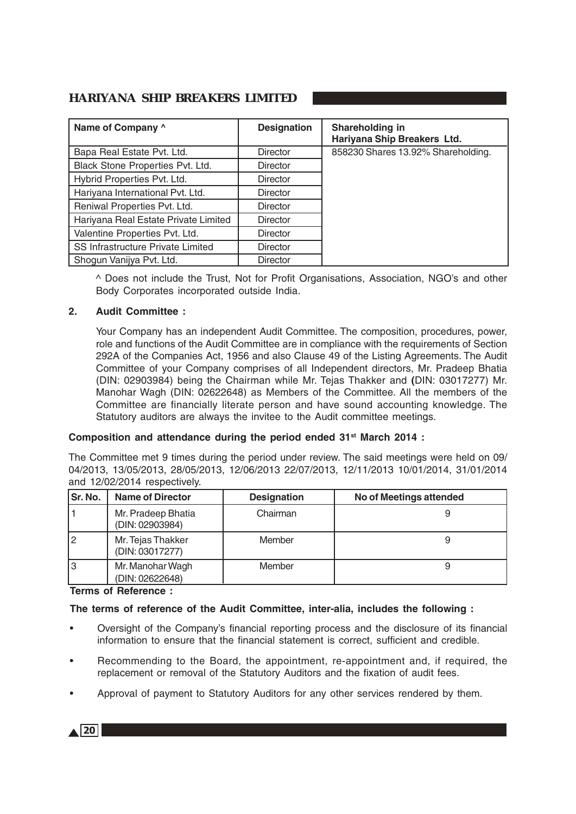| Name of Company ^                    | <b>Designation</b> | Shareholding in<br>Hariyana Ship Breakers Ltd. |
|--------------------------------------|--------------------|------------------------------------------------|
| Bapa Real Estate Pvt. Ltd.           | <b>Director</b>    | 858230 Shares 13.92% Shareholding.             |
| Black Stone Properties Pvt. Ltd.     | <b>Director</b>    |                                                |
| Hybrid Properties Pvt. Ltd.          | <b>Director</b>    |                                                |
| Hariyana International Pvt. Ltd.     | <b>Director</b>    |                                                |
| Reniwal Properties Pvt. Ltd.         | <b>Director</b>    |                                                |
| Hariyana Real Estate Private Limited | <b>Director</b>    |                                                |
| Valentine Properties Pvt. Ltd.       | <b>Director</b>    |                                                |
| SS Infrastructure Private Limited    | <b>Director</b>    |                                                |
| Shogun Vanijya Pvt. Ltd.             | Director           |                                                |

^ Does not include the Trust, Not for Profit Organisations, Association, NGO's and other Body Corporates incorporated outside India.

### **2. Audit Committee :**

Your Company has an independent Audit Committee. The composition, procedures, power, role and functions of the Audit Committee are in compliance with the requirements of Section 292A of the Companies Act, 1956 and also Clause 49 of the Listing Agreements. The Audit Committee of your Company comprises of all Independent directors, Mr. Pradeep Bhatia (DIN: 02903984) being the Chairman while Mr. Tejas Thakker and **(**DIN: 03017277) Mr. Manohar Wagh (DIN: 02622648) as Members of the Committee. All the members of the Committee are financially literate person and have sound accounting knowledge. The Statutory auditors are always the invitee to the Audit committee meetings.

### **Composition and attendance during the period ended 31st March 2014 :**

The Committee met 9 times during the period under review. The said meetings were held on 09/ 04/2013, 13/05/2013, 28/05/2013, 12/06/2013 22/07/2013, 12/11/2013 10/01/2014, 31/01/2014 and 12/02/2014 respectively.

| Sr. No. | <b>Name of Director</b>               | <b>Designation</b> | No of Meetings attended |
|---------|---------------------------------------|--------------------|-------------------------|
|         | Mr. Pradeep Bhatia<br>(DIN: 02903984) | Chairman           |                         |
|         | Mr. Tejas Thakker<br>(DIN: 03017277)  | Member             |                         |
|         | Mr. Manohar Wagh<br>(DIN: 02622648)   | Member             |                         |

**Terms of Reference :**

### **The terms of reference of the Audit Committee, inter-alia, includes the following :**

- Oversight of the Company's financial reporting process and the disclosure of its financial information to ensure that the financial statement is correct, sufficient and credible.
- Recommending to the Board, the appointment, re-appointment and, if required, the replacement or removal of the Statutory Auditors and the fixation of audit fees.
- Approval of payment to Statutory Auditors for any other services rendered by them.

 $\triangle$  20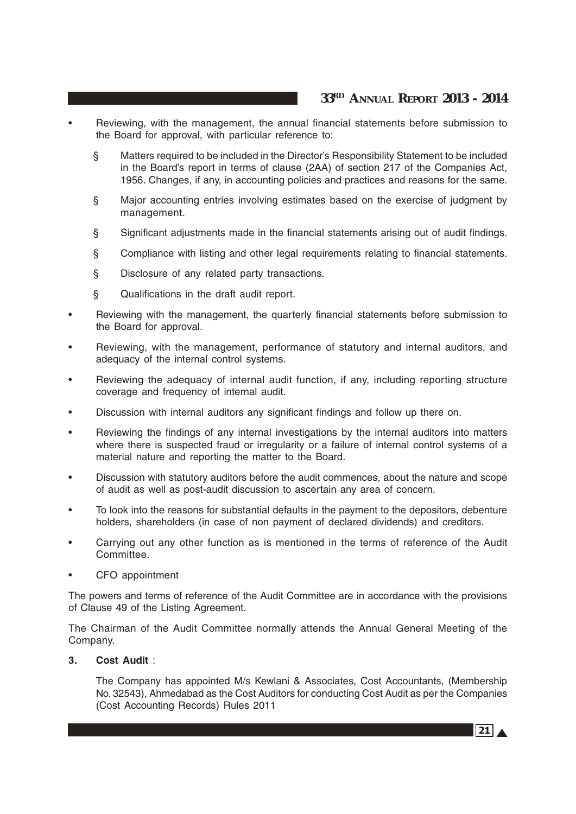- Reviewing, with the management, the annual financial statements before submission to the Board for approval, with particular reference to:
	- § Matters required to be included in the Director's Responsibility Statement to be included in the Board's report in terms of clause (2AA) of section 217 of the Companies Act, 1956. Changes, if any, in accounting policies and practices and reasons for the same.
	- § Major accounting entries involving estimates based on the exercise of judgment by management.
	- § Significant adjustments made in the financial statements arising out of audit findings.
	- § Compliance with listing and other legal requirements relating to financial statements.
	- § Disclosure of any related party transactions.
	- § Qualifications in the draft audit report.
- Reviewing with the management, the quarterly financial statements before submission to the Board for approval.
- Reviewing, with the management, performance of statutory and internal auditors, and adequacy of the internal control systems.
- Reviewing the adequacy of internal audit function, if any, including reporting structure coverage and frequency of internal audit.
- Discussion with internal auditors any significant findings and follow up there on.
- Reviewing the findings of any internal investigations by the internal auditors into matters where there is suspected fraud or irregularity or a failure of internal control systems of a material nature and reporting the matter to the Board.
- Discussion with statutory auditors before the audit commences, about the nature and scope of audit as well as post-audit discussion to ascertain any area of concern.
- To look into the reasons for substantial defaults in the payment to the depositors, debenture holders, shareholders (in case of non payment of declared dividends) and creditors.
- Carrying out any other function as is mentioned in the terms of reference of the Audit Committee.
- CFO appointment

The powers and terms of reference of the Audit Committee are in accordance with the provisions of Clause 49 of the Listing Agreement.

The Chairman of the Audit Committee normally attends the Annual General Meeting of the Company.

### **3. Cost Audit** :

The Company has appointed M/s Kewlani & Associates, Cost Accountants, (Membership No. 32543), Ahmedabad as the Cost Auditors for conducting Cost Audit as per the Companies (Cost Accounting Records) Rules 2011

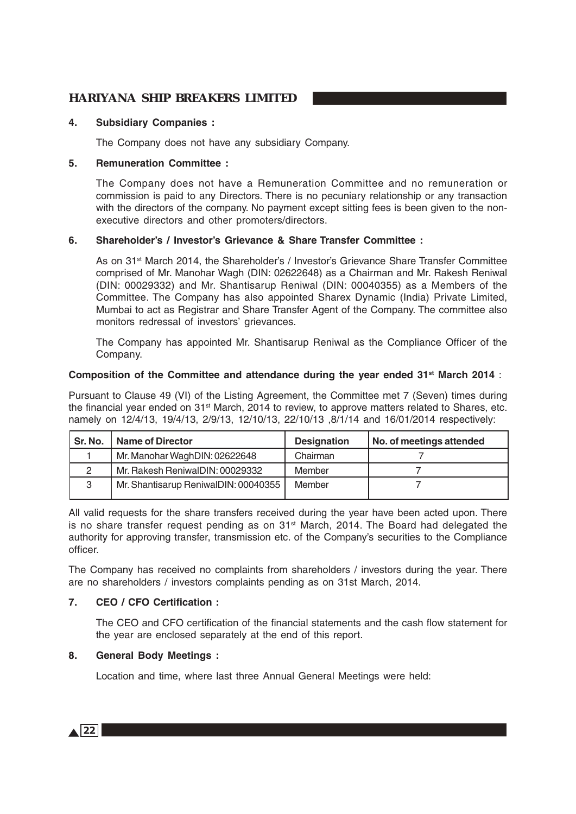### **4. Subsidiary Companies :**

The Company does not have any subsidiary Company.

### **5. Remuneration Committee :**

The Company does not have a Remuneration Committee and no remuneration or commission is paid to any Directors. There is no pecuniary relationship or any transaction with the directors of the company. No payment except sitting fees is been given to the nonexecutive directors and other promoters/directors.

### **6. Shareholder's / Investor's Grievance & Share Transfer Committee :**

As on 31st March 2014, the Shareholder's / Investor's Grievance Share Transfer Committee comprised of Mr. Manohar Wagh (DIN: 02622648) as a Chairman and Mr. Rakesh Reniwal (DIN: 00029332) and Mr. Shantisarup Reniwal (DIN: 00040355) as a Members of the Committee. The Company has also appointed Sharex Dynamic (India) Private Limited, Mumbai to act as Registrar and Share Transfer Agent of the Company. The committee also monitors redressal of investors' grievances.

The Company has appointed Mr. Shantisarup Reniwal as the Compliance Officer of the Company.

### **Composition of the Committee and attendance during the year ended 31st March 2014** :

Pursuant to Clause 49 (VI) of the Listing Agreement, the Committee met 7 (Seven) times during the financial year ended on 31<sup>st</sup> March, 2014 to review, to approve matters related to Shares, etc. namely on 12/4/13, 19/4/13, 2/9/13, 12/10/13, 22/10/13, 8/1/14 and 16/01/2014 respectively:

| Sr. No. | <b>Name of Director</b>              | <b>Designation</b> | No. of meetings attended |
|---------|--------------------------------------|--------------------|--------------------------|
|         | Mr. Manohar WaghDIN: 02622648        | Chairman           |                          |
|         | Mr. Rakesh ReniwalDIN: 00029332      | Member             |                          |
| 3       | Mr. Shantisarup ReniwalDIN: 00040355 | Member             |                          |

All valid requests for the share transfers received during the year have been acted upon. There is no share transfer request pending as on  $31<sup>st</sup>$  March, 2014. The Board had delegated the authority for approving transfer, transmission etc. of the Company's securities to the Compliance officer.

The Company has received no complaints from shareholders / investors during the year. There are no shareholders / investors complaints pending as on 31st March, 2014.

### **7. CEO / CFO Certification :**

The CEO and CFO certification of the financial statements and the cash flow statement for the year are enclosed separately at the end of this report.

### **8. General Body Meetings :**

Location and time, where last three Annual General Meetings were held:

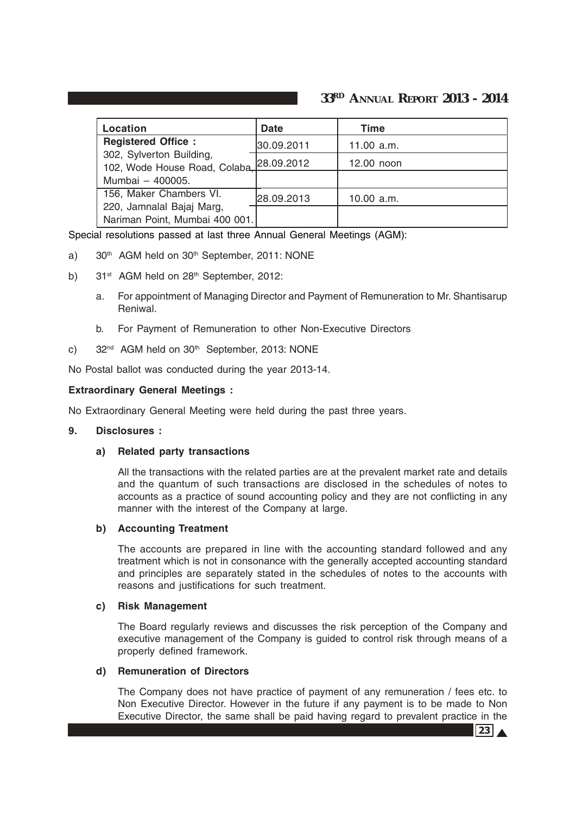| Location                                                    | <b>Date</b> | Time         |
|-------------------------------------------------------------|-------------|--------------|
| <b>Registered Office:</b>                                   | 30.09.2011  | 11.00 $a.m.$ |
| 302, Sylverton Building,<br>102, Wode House Road, Colaba.   | 28.09.2012  | 12.00 noon   |
| Mumbai - 400005.                                            |             |              |
| 156, Maker Chambers VI.                                     | 28.09.2013  | 10.00 a.m.   |
| 220, Jamnalal Bajaj Marg,<br>Nariman Point, Mumbai 400 001. |             |              |

Special resolutions passed at last three Annual General Meetings (AGM):

- a) 30<sup>th</sup> AGM held on 30<sup>th</sup> September, 2011: NONE
- b)  $31<sup>st</sup>$  AGM held on  $28<sup>th</sup>$  September, 2012:
	- a. For appointment of Managing Director and Payment of Remuneration to Mr. Shantisarup Reniwal.
	- b. For Payment of Remuneration to other Non-Executive Directors
- c) 32<sup>nd</sup> AGM held on 30<sup>th</sup> September, 2013: NONE

No Postal ballot was conducted during the year 2013-14.

### **Extraordinary General Meetings :**

No Extraordinary General Meeting were held during the past three years.

### **9. Disclosures :**

### **a) Related party transactions**

All the transactions with the related parties are at the prevalent market rate and details and the quantum of such transactions are disclosed in the schedules of notes to accounts as a practice of sound accounting policy and they are not conflicting in any manner with the interest of the Company at large.

### **b) Accounting Treatment**

The accounts are prepared in line with the accounting standard followed and any treatment which is not in consonance with the generally accepted accounting standard and principles are separately stated in the schedules of notes to the accounts with reasons and justifications for such treatment.

#### **c) Risk Management**

The Board regularly reviews and discusses the risk perception of the Company and executive management of the Company is guided to control risk through means of a properly defined framework.

#### **d) Remuneration of Directors**

The Company does not have practice of payment of any remuneration / fees etc. to Non Executive Director. However in the future if any payment is to be made to Non Executive Director, the same shall be paid having regard to prevalent practice in the

 $23 \Delta$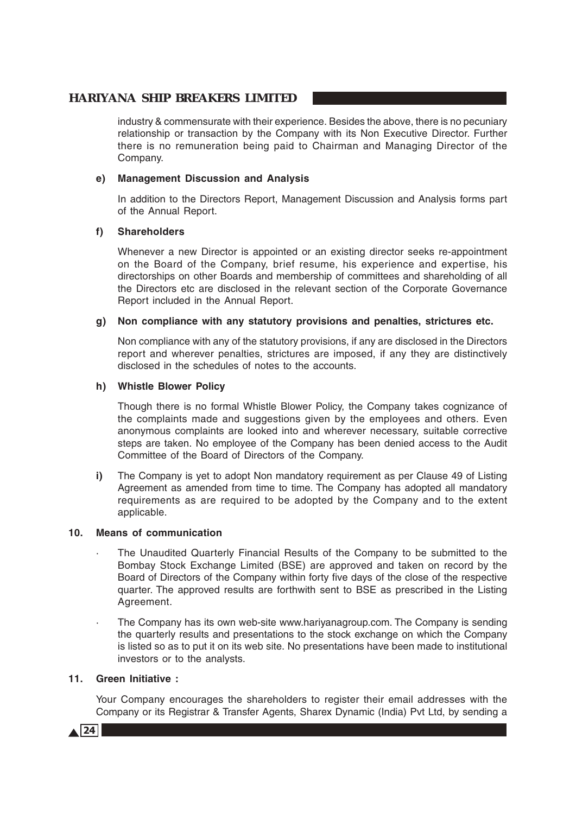industry & commensurate with their experience. Besides the above, there is no pecuniary relationship or transaction by the Company with its Non Executive Director. Further there is no remuneration being paid to Chairman and Managing Director of the Company.

### **e) Management Discussion and Analysis**

In addition to the Directors Report, Management Discussion and Analysis forms part of the Annual Report.

### **f) Shareholders**

Whenever a new Director is appointed or an existing director seeks re-appointment on the Board of the Company, brief resume, his experience and expertise, his directorships on other Boards and membership of committees and shareholding of all the Directors etc are disclosed in the relevant section of the Corporate Governance Report included in the Annual Report.

### **g) Non compliance with any statutory provisions and penalties, strictures etc.**

Non compliance with any of the statutory provisions, if any are disclosed in the Directors report and wherever penalties, strictures are imposed, if any they are distinctively disclosed in the schedules of notes to the accounts.

### **h) Whistle Blower Policy**

Though there is no formal Whistle Blower Policy, the Company takes cognizance of the complaints made and suggestions given by the employees and others. Even anonymous complaints are looked into and wherever necessary, suitable corrective steps are taken. No employee of the Company has been denied access to the Audit Committee of the Board of Directors of the Company.

**i)** The Company is yet to adopt Non mandatory requirement as per Clause 49 of Listing Agreement as amended from time to time. The Company has adopted all mandatory requirements as are required to be adopted by the Company and to the extent applicable.

### **10. Means of communication**

- · The Unaudited Quarterly Financial Results of the Company to be submitted to the Bombay Stock Exchange Limited (BSE) are approved and taken on record by the Board of Directors of the Company within forty five days of the close of the respective quarter. The approved results are forthwith sent to BSE as prescribed in the Listing Agreement.
- The Company has its own web-site www.hariyanagroup.com. The Company is sending the quarterly results and presentations to the stock exchange on which the Company is listed so as to put it on its web site. No presentations have been made to institutional investors or to the analysts.

### **11. Green Initiative :**

Your Company encourages the shareholders to register their email addresses with the Company or its Registrar & Transfer Agents, Sharex Dynamic (India) Pvt Ltd, by sending a

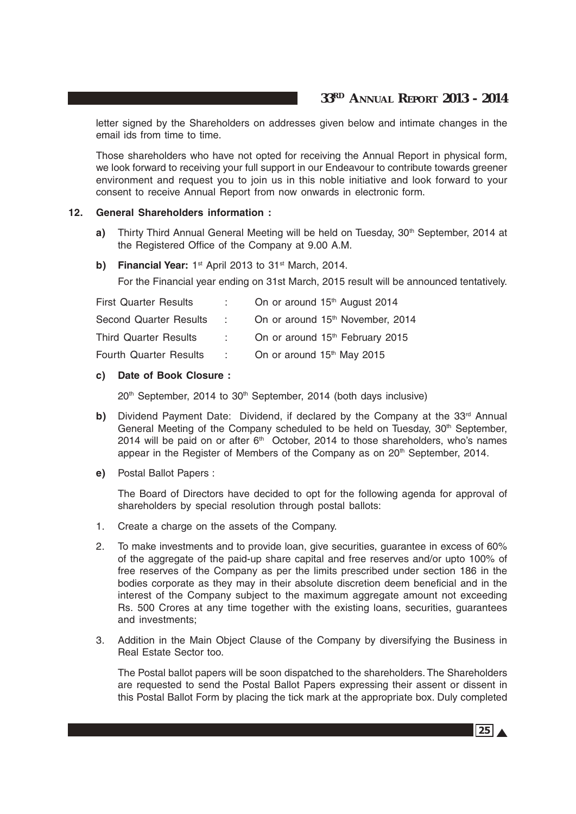letter signed by the Shareholders on addresses given below and intimate changes in the email ids from time to time.

Those shareholders who have not opted for receiving the Annual Report in physical form, we look forward to receiving your full support in our Endeavour to contribute towards greener environment and request you to join us in this noble initiative and look forward to your consent to receive Annual Report from now onwards in electronic form.

#### **12. General Shareholders information :**

- **a)** Thirty Third Annual General Meeting will be held on Tuesday, 30<sup>th</sup> September, 2014 at the Registered Office of the Company at 9.00 A.M.
- **b)** Financial Year: 1<sup>st</sup> April 2013 to 31<sup>st</sup> March, 2014.

For the Financial year ending on 31st March, 2015 result will be announced tentatively.

| <b>First Quarter Results</b>  |      | On or around 15 <sup>th</sup> August 2014    |
|-------------------------------|------|----------------------------------------------|
| Second Quarter Results        | di s | On or around 15 <sup>th</sup> November, 2014 |
| <b>Third Quarter Results</b>  |      | On or around 15 <sup>th</sup> February 2015  |
| <b>Fourth Quarter Results</b> | ÷.   | On or around 15 <sup>th</sup> May 2015       |

### **c) Date of Book Closure :**

20<sup>th</sup> September, 2014 to 30<sup>th</sup> September, 2014 (both days inclusive)

- **b)** Dividend Payment Date: Dividend, if declared by the Company at the  $33<sup>rd</sup>$  Annual General Meeting of the Company scheduled to be held on Tuesday,  $30<sup>th</sup>$  September, 2014 will be paid on or after  $6<sup>th</sup>$  October, 2014 to those shareholders, who's names appear in the Register of Members of the Company as on 20<sup>th</sup> September, 2014.
- **e)** Postal Ballot Papers :

The Board of Directors have decided to opt for the following agenda for approval of shareholders by special resolution through postal ballots:

- 1. Create a charge on the assets of the Company.
- 2. To make investments and to provide loan, give securities, guarantee in excess of 60% of the aggregate of the paid-up share capital and free reserves and/or upto 100% of free reserves of the Company as per the limits prescribed under section 186 in the bodies corporate as they may in their absolute discretion deem beneficial and in the interest of the Company subject to the maximum aggregate amount not exceeding Rs. 500 Crores at any time together with the existing loans, securities, guarantees and investments;
- 3. Addition in the Main Object Clause of the Company by diversifying the Business in Real Estate Sector too.

The Postal ballot papers will be soon dispatched to the shareholders. The Shareholders are requested to send the Postal Ballot Papers expressing their assent or dissent in this Postal Ballot Form by placing the tick mark at the appropriate box. Duly completed

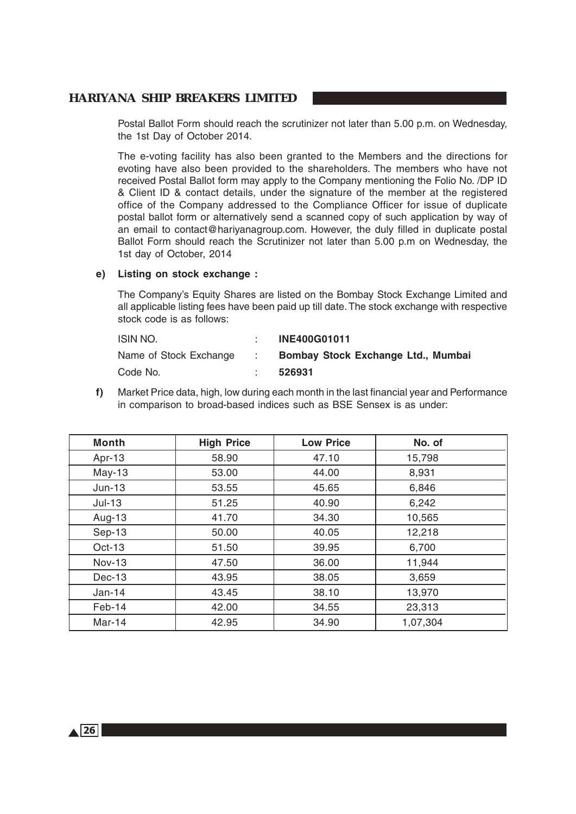Postal Ballot Form should reach the scrutinizer not later than 5.00 p.m. on Wednesday, the 1st Day of October 2014.

The e-voting facility has also been granted to the Members and the directions for evoting have also been provided to the shareholders. The members who have not received Postal Ballot form may apply to the Company mentioning the Folio No. /DP ID & Client ID & contact details, under the signature of the member at the registered office of the Company addressed to the Compliance Officer for issue of duplicate postal ballot form or alternatively send a scanned copy of such application by way of an email to contact@hariyanagroup.com. However, the duly filled in duplicate postal Ballot Form should reach the Scrutinizer not later than 5.00 p.m on Wednesday, the 1st day of October, 2014

### **e) Listing on stock exchange :**

The Company's Equity Shares are listed on the Bombay Stock Exchange Limited and all applicable listing fees have been paid up till date. The stock exchange with respective stock code is as follows:

| ISIN NO.               |              | <b>INE400G01011</b>                |
|------------------------|--------------|------------------------------------|
| Name of Stock Exchange | and the con- | Bombay Stock Exchange Ltd., Mumbai |
| Code No.               |              | 526931                             |

**f)** Market Price data, high, low during each month in the last financial year and Performance in comparison to broad-based indices such as BSE Sensex is as under:

| <b>Month</b>  | <b>High Price</b> | <b>Low Price</b> | No. of   |
|---------------|-------------------|------------------|----------|
| Apr-13        | 58.90             | 47.10            | 15,798   |
| $May-13$      | 53.00             | 44.00            | 8,931    |
| $Jun-13$      | 53.55             | 45.65            | 6,846    |
| $Jul-13$      | 51.25             | 40.90            | 6,242    |
| Aug-13        | 41.70             | 34.30            | 10,565   |
| Sep-13        | 50.00             | 40.05            | 12,218   |
| Oct-13        | 51.50             | 39.95            | 6,700    |
| <b>Nov-13</b> | 47.50             | 36.00            | 11,944   |
| Dec-13        | 43.95             | 38.05            | 3,659    |
| $Jan-14$      | 43.45             | 38.10            | 13,970   |
| Feb-14        | 42.00             | 34.55            | 23,313   |
| Mar-14        | 42.95             | 34.90            | 1,07,304 |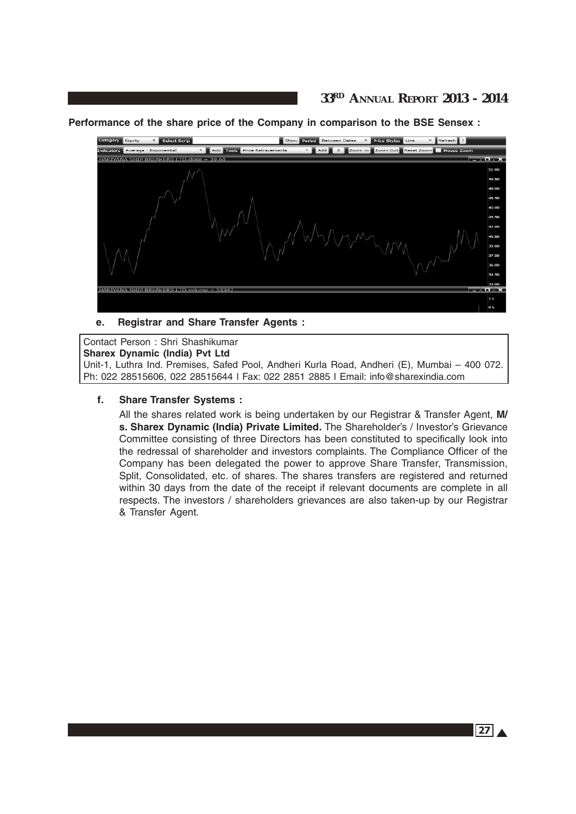## **33RD ANNUAL REPORT 2013 - 2014**

**Performance of the share price of the Company in comparison to the BSE Sensex :**



### **e. Registrar and Share Transfer Agents :**

Contact Person : Shri Shashikumar **Sharex Dynamic (India) Pvt Ltd** Unit-1, Luthra Ind. Premises, Safed Pool, Andheri Kurla Road, Andheri (E), Mumbai – 400 072. Ph: 022 28515606, 022 28515644 l Fax: 022 2851 2885 l Email: info@sharexindia.com

### **f. Share Transfer Systems :**

All the shares related work is being undertaken by our Registrar & Transfer Agent, **M/ s. Sharex Dynamic (India) Private Limited.** The Shareholder's / Investor's Grievance Committee consisting of three Directors has been constituted to specifically look into the redressal of shareholder and investors complaints. The Compliance Officer of the Company has been delegated the power to approve Share Transfer, Transmission, Split, Consolidated, etc. of shares. The shares transfers are registered and returned within 30 days from the date of the receipt if relevant documents are complete in all respects. The investors / shareholders grievances are also taken-up by our Registrar & Transfer Agent.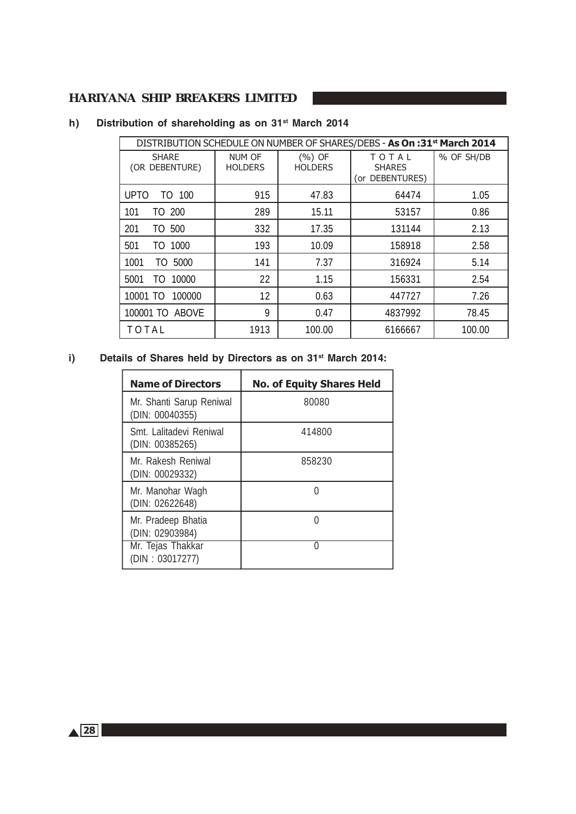| DISTRIBUTION SCHEDULE ON NUMBER OF SHARES/DEBS - As On :31 <sup>st</sup> March 2014 |                                 |                            |                                           |            |  |  |
|-------------------------------------------------------------------------------------|---------------------------------|----------------------------|-------------------------------------------|------------|--|--|
| <b>SHARE</b><br>(OR DEBENTURE)                                                      | <b>NUM OF</b><br><b>HOLDERS</b> | $(%)$ OF<br><b>HOLDERS</b> | TOTAL<br><b>SHARES</b><br>(or DEBENTURES) | % OF SH/DB |  |  |
| <b>UPTO</b><br>TO 100                                                               | 915                             | 47.83                      | 64474                                     | 1.05       |  |  |
| TO 200<br>101                                                                       | 289                             | 15.11                      | 53157                                     | 0.86       |  |  |
| 201<br>500<br>TO                                                                    | 332                             | 17.35                      | 131144                                    | 2.13       |  |  |
| 1000<br>501<br>T0                                                                   | 193                             | 10.09                      | 158918                                    | 2.58       |  |  |
| 5000<br>1001<br>TO                                                                  | 141                             | 7.37                       | 316924                                    | 5.14       |  |  |
| 10000<br>5001<br>TO                                                                 | 22                              | 1.15                       | 156331                                    | 2.54       |  |  |
| 100000<br>10001 TO                                                                  | 12                              | 0.63                       | 447727                                    | 7.26       |  |  |
| 100001 TO ABOVE                                                                     | 9                               | 0.47                       | 4837992                                   | 78.45      |  |  |
| TOTAL                                                                               | 1913                            | 100.00                     | 6166667                                   | 100.00     |  |  |

# **h) Distribution of shareholding as on 31st March 2014**

# **i) Details of Shares held by Directors as on 31st March 2014:**

| <b>Name of Directors</b>                    | <b>No. of Equity Shares Held</b> |
|---------------------------------------------|----------------------------------|
| Mr. Shanti Sarup Reniwal<br>(DIN: 00040355) | 80080                            |
| Smt. Lalitadevi Reniwal<br>(DIN: 00385265)  | 414800                           |
| Mr. Rakesh Reniwal<br>(DIN: 00029332)       | 858230                           |
| Mr. Manohar Wagh<br>(DIN: 02622648)         |                                  |
| Mr. Pradeep Bhatia<br>(DIN: 02903984)       | Ω                                |
| Mr. Tejas Thakkar<br>(DIN: 03017277)        | Λ                                |

 $\triangle$ <sup>28</sub></sup>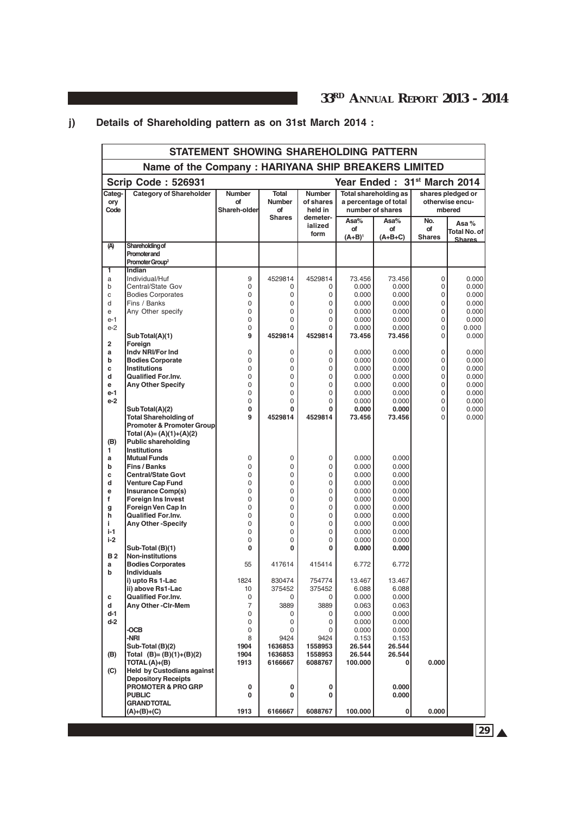# **j) Details of Shareholding pattern as on 31st March 2014 :**

|                                                          | STATEMENT SHOWING SHAREHOLDING PATTERN                                       |                                      |                              |                                       |                         |                                                                    |                            |                                                |
|----------------------------------------------------------|------------------------------------------------------------------------------|--------------------------------------|------------------------------|---------------------------------------|-------------------------|--------------------------------------------------------------------|----------------------------|------------------------------------------------|
| Name of the Company: HARIYANA SHIP BREAKERS LIMITED      |                                                                              |                                      |                              |                                       |                         |                                                                    |                            |                                                |
| <b>Scrip Code: 526931</b><br>Year Ended: 31st March 2014 |                                                                              |                                      |                              |                                       |                         |                                                                    |                            |                                                |
| Cateq-<br>ory<br>Code                                    | <b>Category of Shareholder</b>                                               | <b>Number</b><br>Οf<br>Shareh-olderl | Total<br><b>Number</b><br>of | <b>Number</b><br>of shares<br>held in |                         | Total shareholding as<br>a percentage of total<br>number of shares |                            | shares pledged or<br>otherwise encu-<br>mbered |
|                                                          |                                                                              |                                      | <b>Shares</b>                | demeter-<br>ialized<br>form           | Asa%<br>of<br>$(A+B)^1$ | Asa%<br>οf<br>$(A+B+C)$                                            | No.<br>of<br><b>Shares</b> | Asa%<br>Total No. of İ<br><b>Shares</b>        |
| (A)                                                      | <b>Shareholding of</b><br><b>Promoter and</b><br>Promoter Group <sup>2</sup> |                                      |                              |                                       |                         |                                                                    |                            |                                                |
| ī<br>a                                                   | Indian<br>Individual/Huf                                                     | 9                                    | 4529814                      | 4529814                               | 73.456                  | 73.456                                                             | 0                          | 0.000                                          |
| b<br>C                                                   | Central/State Gov<br><b>Bodies Corporates</b>                                | 0<br>0                               | $\Omega$<br>0                | $\Omega$<br>0                         | 0.000<br>0.000          | 0.000<br>0.000                                                     | 0<br>0                     | 0.000<br>0.000                                 |
| d                                                        | Fins / Banks                                                                 | 0                                    | 0                            | 0                                     | 0.000                   | 0.000                                                              | 0                          | 0.000                                          |
| e                                                        | Any Other specify                                                            | 0                                    | 0                            | 0                                     | 0.000                   | 0.000                                                              | 0                          | 0.000                                          |
| $e-1$<br>$e-2$                                           |                                                                              | 0<br>0                               | 0<br>0                       | 0<br>0                                | 0.000<br>0.000          | 0.000<br>0.000                                                     | 0<br>0                     | 0.000<br>0.000                                 |
|                                                          | Sub Total(A)(1)                                                              | 9                                    | 4529814                      | 4529814                               | 73.456                  | 73.456                                                             | 0                          | 0.000                                          |
| $\overline{2}$                                           | Foreign                                                                      |                                      |                              |                                       |                         |                                                                    |                            |                                                |
| a<br>b                                                   | Indy NRI/For Ind<br><b>Bodies Corporate</b>                                  | 0<br>0                               | 0<br>0                       | $\mathbf 0$<br>0                      | 0.000<br>0.000          | 0.000<br>0.000                                                     | 0<br>0                     | 0.000<br>0.000                                 |
| C                                                        | <b>Institutions</b>                                                          | 0                                    | 0                            | 0                                     | 0.000                   | 0.000                                                              | 0                          | 0.000                                          |
| d                                                        | <b>Qualified For.Inv.</b>                                                    | 0                                    | 0                            | 0                                     | 0.000                   | 0.000                                                              | 0                          | 0.000                                          |
| e<br>$e-1$                                               | <b>Any Other Specify</b>                                                     | 0<br>0                               | $\Omega$<br>0                | 0<br>$\mathbf 0$                      | 0.000<br>0.000          | 0.000<br>0.000                                                     | 0<br>0                     | 0.000<br>0.000                                 |
| $e-2$                                                    |                                                                              | 0                                    | 0                            | 0                                     | 0.000                   | 0.000                                                              | 0                          | 0.000                                          |
|                                                          | SubTotal(A)(2)                                                               | 0                                    | 0                            | 0                                     | 0.000                   | 0.000                                                              | 0                          | 0.000                                          |
|                                                          | <b>Total Shareholding of</b><br><b>Promoter &amp; Promoter Group</b>         | 9                                    | 4529814                      | 4529814                               | 73.456                  | 73.456                                                             | $\Omega$                   | 0.000                                          |
|                                                          | Total (A)= $(A)(1)+(A)(2)$                                                   |                                      |                              |                                       |                         |                                                                    |                            |                                                |
| (B)                                                      | <b>Public shareholding</b>                                                   |                                      |                              |                                       |                         |                                                                    |                            |                                                |
| 1                                                        | <b>Institutions</b>                                                          |                                      |                              |                                       |                         |                                                                    |                            |                                                |
| a<br>b                                                   | <b>Mutual Funds</b><br>Fins / Banks                                          | 0<br>0                               | 0<br>$\Omega$                | 0<br>0                                | 0.000<br>0.000          | 0.000<br>0.000                                                     |                            |                                                |
| C                                                        | <b>Central/State Govt</b>                                                    | 0                                    | 0                            | 0                                     | 0.000                   | 0.000                                                              |                            |                                                |
| d                                                        | <b>Venture Cap Fund</b>                                                      | 0                                    | 0                            | 0                                     | 0.000                   | 0.000                                                              |                            |                                                |
| e<br>f                                                   | <b>Insurance Comp(s)</b><br><b>Foreign Ins Invest</b>                        | 0<br>0                               | $\overline{0}$<br>0          | 0<br>0                                | 0.000<br>0.000          | 0.000<br>0.000                                                     |                            |                                                |
| g                                                        | Foreign Ven Cap In                                                           | 0                                    | 0                            | 0                                     | 0.000                   | 0.000                                                              |                            |                                                |
| h                                                        | <b>Qualified For.Inv.</b>                                                    | 0                                    | 0                            | 0                                     | 0.000                   | 0.000                                                              |                            |                                                |
| i.<br>$i-1$                                              | <b>Any Other-Specify</b>                                                     | 0<br>0                               | 0<br>0                       | 0<br>$\mathbf 0$                      | 0.000<br>0.000          | 0.000<br>0.000                                                     |                            |                                                |
| $i-2$                                                    |                                                                              | 0                                    | 0                            | 0                                     | 0.000                   | 0.000                                                              |                            |                                                |
|                                                          | Sub-Total (B)(1)                                                             | 0                                    | 0                            | 0                                     | 0.000                   | 0.000                                                              |                            |                                                |
| <b>B2</b><br>a<br>b                                      | <b>Non-institutions</b><br><b>Bodies Corporates</b><br><b>Individuals</b>    | 55                                   | 417614                       | 415414                                | 6.772                   | 6.772                                                              |                            |                                                |
|                                                          | i) upto Rs 1-Lac                                                             | 1824                                 | 830474                       | 754774                                | 13.467                  | 13.467                                                             |                            |                                                |
|                                                          | ii) above Rs1-Lac<br><b>Qualified For.Inv.</b>                               | 10                                   | 375452                       | 375452                                | 6.088                   | 6.088                                                              |                            |                                                |
| c<br>d                                                   | Any Other-Cir-Mem                                                            | 0<br>$\overline{7}$                  | 0<br>3889                    | 0<br>3889                             | 0.000<br>0.063          | 0.000<br>0.063                                                     |                            |                                                |
| d-1                                                      |                                                                              | 0                                    | 0                            | 0                                     | 0.000                   | 0.000                                                              |                            |                                                |
| $d-2$                                                    |                                                                              | 0                                    | 0                            | 0                                     | 0.000                   | 0.000                                                              |                            |                                                |
|                                                          | -OCB<br>-NRI                                                                 | 0<br>8                               | 0<br>9424                    | 0<br>9424                             | 0.000<br>0.153          | 0.000<br>0.153                                                     |                            |                                                |
|                                                          | Sub-Total (B)(2)                                                             | 1904                                 | 1636853                      | 1558953                               | 26.544                  | 26.544                                                             |                            |                                                |
| (B)                                                      | Total $(B)=(B)(1)+(B)(2)$                                                    | 1904                                 | 1636853                      | 1558953                               | 26.544                  | 26.544                                                             |                            |                                                |
| (C)                                                      | TOTAL $(A)+(B)$<br><b>Held by Custodians against</b>                         | 1913                                 | 6166667                      | 6088767                               | 100.000                 | 0                                                                  | 0.000                      |                                                |
|                                                          | <b>Depository Receipts</b>                                                   |                                      |                              |                                       |                         |                                                                    |                            |                                                |
|                                                          | <b>PROMOTER &amp; PRO GRP</b>                                                | 0                                    | 0                            | 0                                     |                         | 0.000                                                              |                            |                                                |
|                                                          | <b>PUBLIC</b><br><b>GRANDTOTAL</b>                                           | 0                                    | $\bf{0}$                     | 0                                     |                         | 0.000                                                              |                            |                                                |
|                                                          | (A)+(B)+(C)                                                                  | 1913                                 | 6166667                      | 6088767                               | 100.000                 | 0                                                                  | 0.000                      |                                                |

29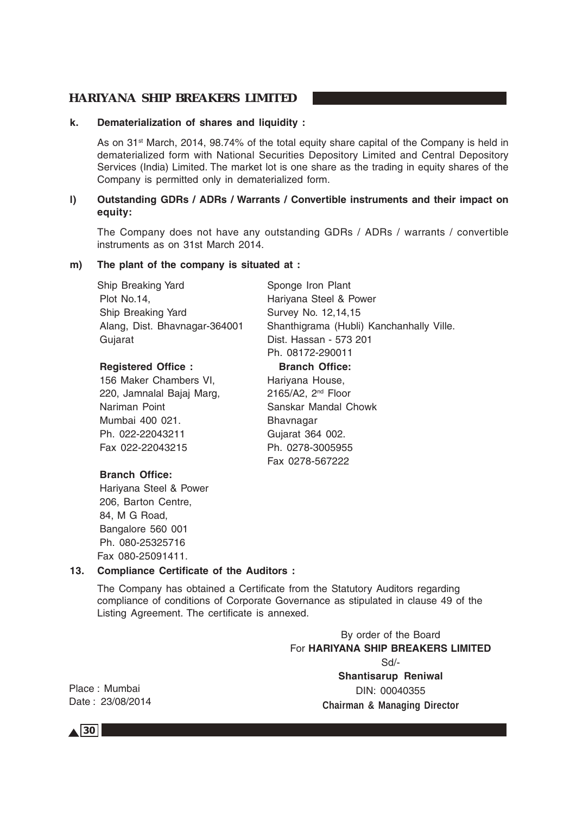#### **k. Dematerialization of shares and liquidity :**

As on 31<sup>st</sup> March, 2014, 98.74% of the total equity share capital of the Company is held in dematerialized form with National Securities Depository Limited and Central Depository Services (India) Limited. The market lot is one share as the trading in equity shares of the Company is permitted only in dematerialized form.

### **l) Outstanding GDRs / ADRs / Warrants / Convertible instruments and their impact on equity:**

The Company does not have any outstanding GDRs / ADRs / warrants / convertible instruments as on 31st March 2014.

### **m) The plant of the company is situated at :**

Ship Breaking Yard Sponge Iron Plant Plot No.14, **Harivana Steel & Power** Ship Breaking Yard Survey No. 12,14,15 Gujarat **Dist. Hassan - 573 201** 

### **Registered Office : Branch Office:**

156 Maker Chambers VI, Hariyana House, 220, Jamnalal Bajaj Marg, 2165/A2, 2<sup>nd</sup> Floor Nariman Point Sanskar Mandal Chowk Mumbai 400 021. Bhavnagar Ph. 022-22043211 Gujarat 364 002. Fax 022-22043215 Ph. 0278-3005955

Alang, Dist. Bhavnagar-364001 Shanthigrama (Hubli) Kanchanhally Ville. Ph. 08172-290011

Fax 0278-567222

### **Branch Office:**

Hariyana Steel & Power 206, Barton Centre, 84, M G Road, Bangalore 560 001 Ph. 080-25325716 Fax 080-25091411.

#### **13. Compliance Certificate of the Auditors :**

The Company has obtained a Certificate from the Statutory Auditors regarding compliance of conditions of Corporate Governance as stipulated in clause 49 of the Listing Agreement. The certificate is annexed.

> By order of the Board For **HARIYANA SHIP BREAKERS LIMITED** Sd/- **Shantisarup Reniwal** DIN: 00040355 **Chairman & Managing Director**

Place : Mumbai Date :23/08/2014

 $\triangle$  30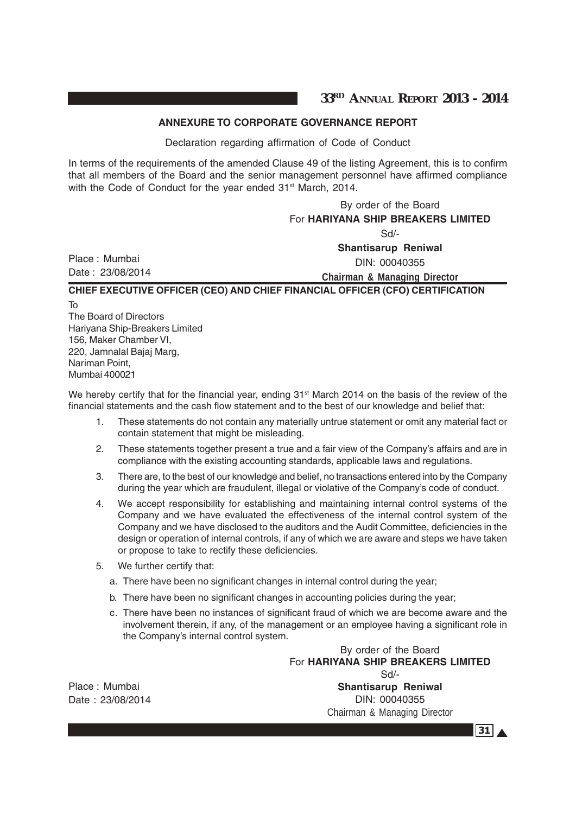# **ANNEXURE TO CORPORATE GOVERNANCE REPORT**

Declaration regarding affirmation of Code of Conduct

In terms of the requirements of the amended Clause 49 of the listing Agreement, this is to confirm that all members of the Board and the senior management personnel have affirmed compliance with the Code of Conduct for the year ended 31<sup>st</sup> March, 2014.

By order of the Board For **HARIYANA SHIP BREAKERS LIMITED** Sd/- **Shantisarup Reniwal** DIN: 00040355 **Chairman & Managing Director CHIEF EXECUTIVE OFFICER (CEO) AND CHIEF FINANCIAL OFFICER (CFO) CERTIFICATION**

To The Board of Directors Hariyana Ship-Breakers Limited 156, Maker Chamber VI, 220, Jamnalal Bajaj Marg, Nariman Point, Mumbai 400021

Place : Mumbai Date :23/08/2014

We hereby certify that for the financial year, ending 31<sup>st</sup> March 2014 on the basis of the review of the financial statements and the cash flow statement and to the best of our knowledge and belief that:

- 1. These statements do not contain any materially untrue statement or omit any material fact or contain statement that might be misleading.
- 2. These statements together present a true and a fair view of the Company's affairs and are in compliance with the existing accounting standards, applicable laws and regulations.
- 3. There are, to the best of our knowledge and belief, no transactions entered into by the Company during the year which are fraudulent, illegal or violative of the Company's code of conduct.
- 4. We accept responsibility for establishing and maintaining internal control systems of the Company and we have evaluated the effectiveness of the internal control system of the Company and we have disclosed to the auditors and the Audit Committee, deficiencies in the design or operation of internal controls, if any of which we are aware and steps we have taken or propose to take to rectify these deficiencies.
- 5. We further certify that:
	- a. There have been no significant changes in internal control during the year;
	- b. There have been no significant changes in accounting policies during the year;
	- c. There have been no instances of significant fraud of which we are become aware and the involvement therein, if any, of the management or an employee having a significant role in the Company's internal control system.

By order of the Board For **HARIYANA SHIP BREAKERS LIMITED** Sd/-

Place : Mumbai Date : 23/08/2014

**Shantisarup Reniwal** DIN: 00040355 Chairman & Managing Director

 $31 \triangle$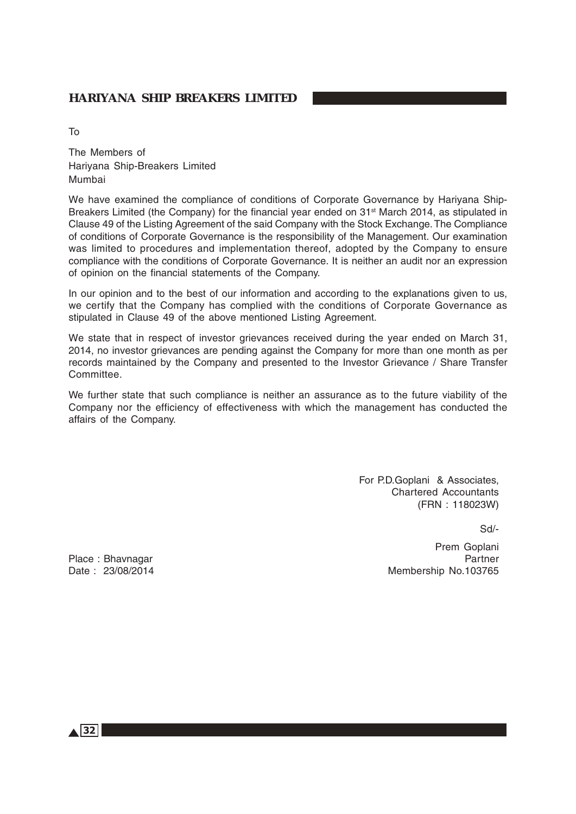To

The Members of Hariyana Ship-Breakers Limited Mumbai

We have examined the compliance of conditions of Corporate Governance by Hariyana Ship-Breakers Limited (the Company) for the financial year ended on 31<sup>st</sup> March 2014, as stipulated in Clause 49 of the Listing Agreement of the said Company with the Stock Exchange. The Compliance of conditions of Corporate Governance is the responsibility of the Management. Our examination was limited to procedures and implementation thereof, adopted by the Company to ensure compliance with the conditions of Corporate Governance. It is neither an audit nor an expression of opinion on the financial statements of the Company.

In our opinion and to the best of our information and according to the explanations given to us, we certify that the Company has complied with the conditions of Corporate Governance as stipulated in Clause 49 of the above mentioned Listing Agreement.

We state that in respect of investor grievances received during the year ended on March 31, 2014, no investor grievances are pending against the Company for more than one month as per records maintained by the Company and presented to the Investor Grievance / Share Transfer Committee.

We further state that such compliance is neither an assurance as to the future viability of the Company nor the efficiency of effectiveness with which the management has conducted the affairs of the Company.

> For P.D.Goplani & Associates, Chartered Accountants (FRN : 118023W)

> > Sd/-

Prem Goplani Place : Bhavnagar Partner Partner Partner Partner Partner Partner Partner Partner Date : 23/08/2014 **Membership No.103765** 

 $\triangle$  32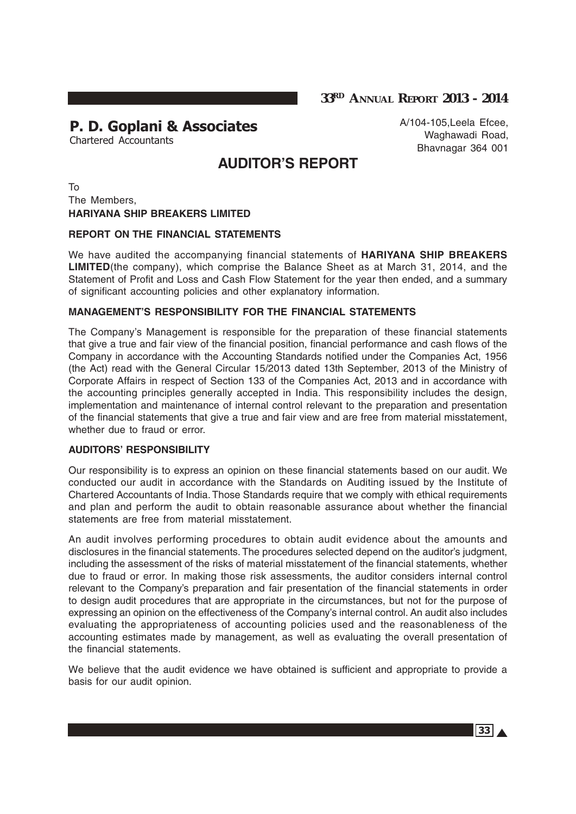**33RD ANNUAL REPORT 2013 - 2014**

# P. D. Goplani & Associates

Chartered Accountants

A/104-105,Leela Efcee, Waghawadi Road, Bhavnagar 364 001

# **AUDITOR'S REPORT**

To The Members, **HARIYANA SHIP BREAKERS LIMITED**

### **REPORT ON THE FINANCIAL STATEMENTS**

We have audited the accompanying financial statements of **HARIYANA SHIP BREAKERS LIMITED**(the company), which comprise the Balance Sheet as at March 31, 2014, and the Statement of Profit and Loss and Cash Flow Statement for the year then ended, and a summary of significant accounting policies and other explanatory information.

### **MANAGEMENT'S RESPONSIBILITY FOR THE FINANCIAL STATEMENTS**

The Company's Management is responsible for the preparation of these financial statements that give a true and fair view of the financial position, financial performance and cash flows of the Company in accordance with the Accounting Standards notified under the Companies Act, 1956 (the Act) read with the General Circular 15/2013 dated 13th September, 2013 of the Ministry of Corporate Affairs in respect of Section 133 of the Companies Act, 2013 and in accordance with the accounting principles generally accepted in India. This responsibility includes the design, implementation and maintenance of internal control relevant to the preparation and presentation of the financial statements that give a true and fair view and are free from material misstatement, whether due to fraud or error.

### **AUDITORS' RESPONSIBILITY**

Our responsibility is to express an opinion on these financial statements based on our audit. We conducted our audit in accordance with the Standards on Auditing issued by the Institute of Chartered Accountants of India. Those Standards require that we comply with ethical requirements and plan and perform the audit to obtain reasonable assurance about whether the financial statements are free from material misstatement.

An audit involves performing procedures to obtain audit evidence about the amounts and disclosures in the financial statements. The procedures selected depend on the auditor's judgment, including the assessment of the risks of material misstatement of the financial statements, whether due to fraud or error. In making those risk assessments, the auditor considers internal control relevant to the Company's preparation and fair presentation of the financial statements in order to design audit procedures that are appropriate in the circumstances, but not for the purpose of expressing an opinion on the effectiveness of the Company's internal control. An audit also includes evaluating the appropriateness of accounting policies used and the reasonableness of the accounting estimates made by management, as well as evaluating the overall presentation of the financial statements.

We believe that the audit evidence we have obtained is sufficient and appropriate to provide a basis for our audit opinion.

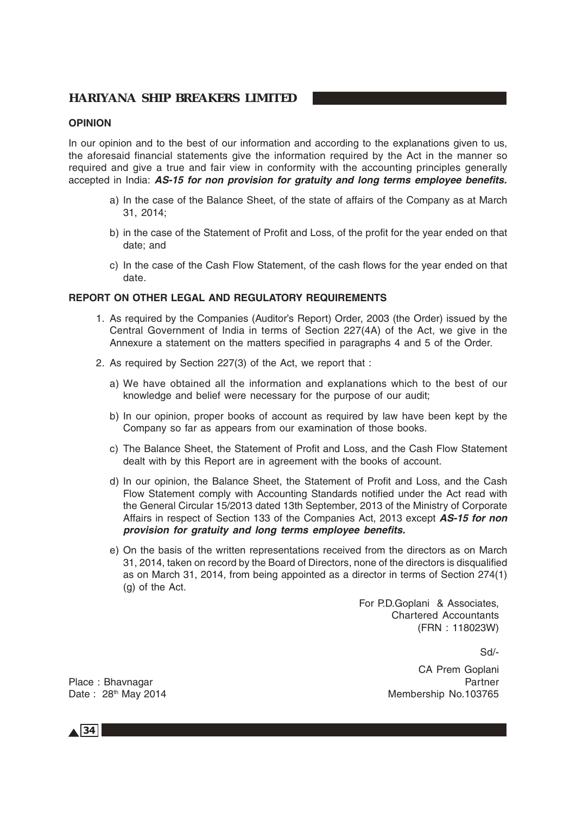### **OPINION**

In our opinion and to the best of our information and according to the explanations given to us, the aforesaid financial statements give the information required by the Act in the manner so required and give a true and fair view in conformity with the accounting principles generally accepted in India: **AS-15 for non provision for gratuity and long terms employee benefits.**

- a) In the case of the Balance Sheet, of the state of affairs of the Company as at March 31, 2014;
- b) in the case of the Statement of Profit and Loss, of the profit for the year ended on that date; and
- c) In the case of the Cash Flow Statement, of the cash flows for the year ended on that date.

### **REPORT ON OTHER LEGAL AND REGULATORY REQUIREMENTS**

- 1. As required by the Companies (Auditor's Report) Order, 2003 (the Order) issued by the Central Government of India in terms of Section 227(4A) of the Act, we give in the Annexure a statement on the matters specified in paragraphs 4 and 5 of the Order.
- 2. As required by Section 227(3) of the Act, we report that :
	- a) We have obtained all the information and explanations which to the best of our knowledge and belief were necessary for the purpose of our audit;
	- b) In our opinion, proper books of account as required by law have been kept by the Company so far as appears from our examination of those books.
	- c) The Balance Sheet, the Statement of Profit and Loss, and the Cash Flow Statement dealt with by this Report are in agreement with the books of account.
	- d) In our opinion, the Balance Sheet, the Statement of Profit and Loss, and the Cash Flow Statement comply with Accounting Standards notified under the Act read with the General Circular 15/2013 dated 13th September, 2013 of the Ministry of Corporate Affairs in respect of Section 133 of the Companies Act, 2013 except **AS-15 for non provision for gratuity and long terms employee benefits.**
	- e) On the basis of the written representations received from the directors as on March 31, 2014, taken on record by the Board of Directors, none of the directors is disqualified as on March 31, 2014, from being appointed as a director in terms of Section 274(1) (g) of the Act.

For P.D.Goplani & Associates, Chartered Accountants (FRN : 118023W)

Sd/-

CA Prem Goplani Place : Bhavnagar **Place : Bhavnagar** Partner Partner Partner Partner Partner Partner Partner Partner Partner Partner Date: 28<sup>th</sup> May 2014 Membership No.103765

 $\triangle$  34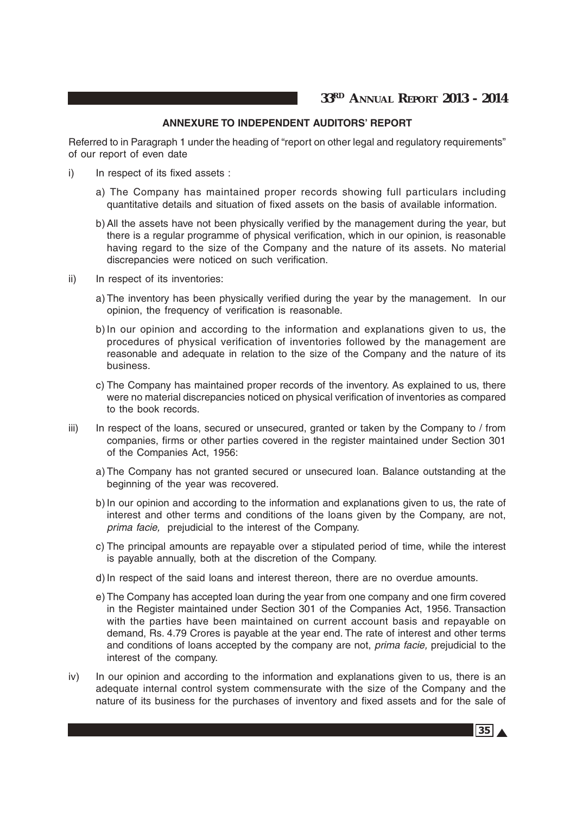### **ANNEXURE TO INDEPENDENT AUDITORS' REPORT**

Referred to in Paragraph 1 under the heading of "report on other legal and regulatory requirements" of our report of even date

- i) In respect of its fixed assets :
	- a) The Company has maintained proper records showing full particulars including quantitative details and situation of fixed assets on the basis of available information.
	- b) All the assets have not been physically verified by the management during the year, but there is a regular programme of physical verification, which in our opinion, is reasonable having regard to the size of the Company and the nature of its assets. No material discrepancies were noticed on such verification.
- ii) In respect of its inventories:
	- a) The inventory has been physically verified during the year by the management. In our opinion, the frequency of verification is reasonable.
	- b) In our opinion and according to the information and explanations given to us, the procedures of physical verification of inventories followed by the management are reasonable and adequate in relation to the size of the Company and the nature of its business.
	- c) The Company has maintained proper records of the inventory. As explained to us, there were no material discrepancies noticed on physical verification of inventories as compared to the book records.
- iii) In respect of the loans, secured or unsecured, granted or taken by the Company to / from companies, firms or other parties covered in the register maintained under Section 301 of the Companies Act, 1956:
	- a) The Company has not granted secured or unsecured loan. Balance outstanding at the beginning of the year was recovered.
	- b) In our opinion and according to the information and explanations given to us, the rate of interest and other terms and conditions of the loans given by the Company, are not, prima facie, prejudicial to the interest of the Company.
	- c) The principal amounts are repayable over a stipulated period of time, while the interest is payable annually, both at the discretion of the Company.
	- d) In respect of the said loans and interest thereon, there are no overdue amounts.
	- e) The Company has accepted loan during the year from one company and one firm covered in the Register maintained under Section 301 of the Companies Act, 1956. Transaction with the parties have been maintained on current account basis and repayable on demand, Rs. 4.79 Crores is payable at the year end. The rate of interest and other terms and conditions of loans accepted by the company are not, *prima facie*, prejudicial to the interest of the company.
- iv) In our opinion and according to the information and explanations given to us, there is an adequate internal control system commensurate with the size of the Company and the nature of its business for the purchases of inventory and fixed assets and for the sale of

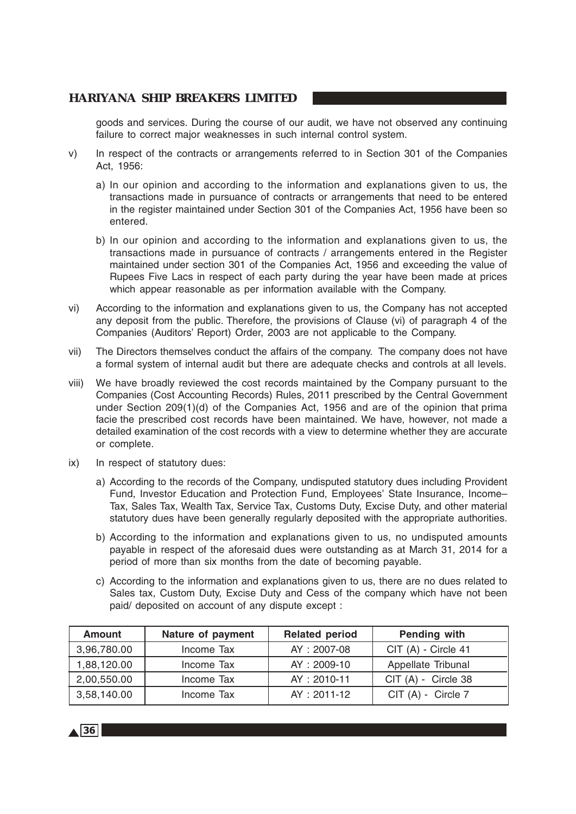goods and services. During the course of our audit, we have not observed any continuing failure to correct major weaknesses in such internal control system.

- v) In respect of the contracts or arrangements referred to in Section 301 of the Companies Act, 1956:
	- a) In our opinion and according to the information and explanations given to us, the transactions made in pursuance of contracts or arrangements that need to be entered in the register maintained under Section 301 of the Companies Act, 1956 have been so entered.
	- b) In our opinion and according to the information and explanations given to us, the transactions made in pursuance of contracts / arrangements entered in the Register maintained under section 301 of the Companies Act, 1956 and exceeding the value of Rupees Five Lacs in respect of each party during the year have been made at prices which appear reasonable as per information available with the Company.
- vi) According to the information and explanations given to us, the Company has not accepted any deposit from the public. Therefore, the provisions of Clause (vi) of paragraph 4 of the Companies (Auditors' Report) Order, 2003 are not applicable to the Company.
- vii) The Directors themselves conduct the affairs of the company. The company does not have a formal system of internal audit but there are adequate checks and controls at all levels.
- viii) We have broadly reviewed the cost records maintained by the Company pursuant to the Companies (Cost Accounting Records) Rules, 2011 prescribed by the Central Government under Section 209(1)(d) of the Companies Act, 1956 and are of the opinion that prima facie the prescribed cost records have been maintained. We have, however, not made a detailed examination of the cost records with a view to determine whether they are accurate or complete.
- ix) In respect of statutory dues:
	- a) According to the records of the Company, undisputed statutory dues including Provident Fund, Investor Education and Protection Fund, Employees' State Insurance, Income– Tax, Sales Tax, Wealth Tax, Service Tax, Customs Duty, Excise Duty, and other material statutory dues have been generally regularly deposited with the appropriate authorities.
	- b) According to the information and explanations given to us, no undisputed amounts payable in respect of the aforesaid dues were outstanding as at March 31, 2014 for a period of more than six months from the date of becoming payable.
	- c) According to the information and explanations given to us, there are no dues related to Sales tax, Custom Duty, Excise Duty and Cess of the company which have not been paid/ deposited on account of any dispute except :

| <b>Amount</b> | Nature of payment | <b>Related period</b> | Pending with         |
|---------------|-------------------|-----------------------|----------------------|
| 3,96,780.00   | Income Tax        | AY: 2007-08           | $CIT(A)$ - Circle 41 |
| 1,88,120.00   | Income Tax        | AY: 2009-10           | Appellate Tribunal   |
| 2,00,550.00   | Income Tax        | AY: 2010-11           | $CIT(A) - Circle 38$ |
| 3,58,140.00   | Income Tax        | $AY: 2011 - 12$       | $CIT(A) - Circle 7$  |

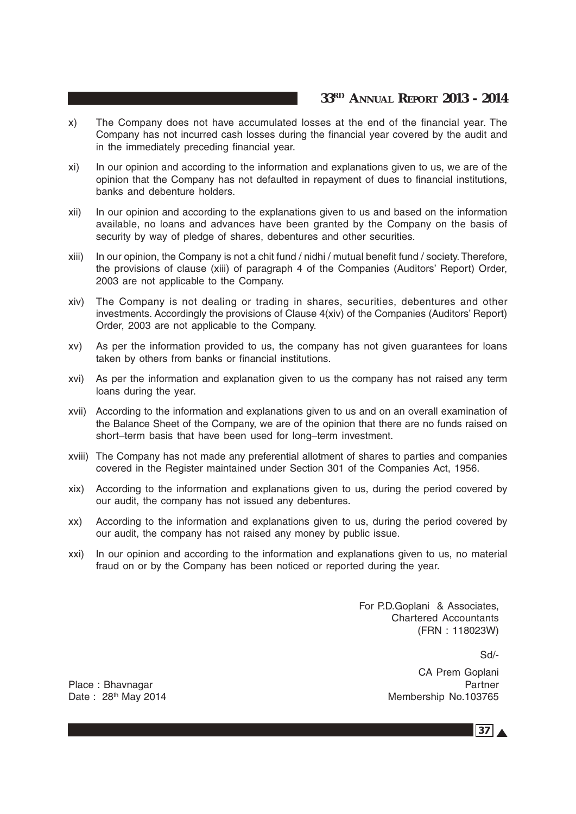# **33RD ANNUAL REPORT 2013 - 2014**

- x) The Company does not have accumulated losses at the end of the financial year. The Company has not incurred cash losses during the financial year covered by the audit and in the immediately preceding financial year.
- xi) In our opinion and according to the information and explanations given to us, we are of the opinion that the Company has not defaulted in repayment of dues to financial institutions, banks and debenture holders.
- xii) In our opinion and according to the explanations given to us and based on the information available, no loans and advances have been granted by the Company on the basis of security by way of pledge of shares, debentures and other securities.
- xiii) In our opinion, the Company is not a chit fund / nidhi / mutual benefit fund / society. Therefore, the provisions of clause (xiii) of paragraph 4 of the Companies (Auditors' Report) Order, 2003 are not applicable to the Company.
- xiv) The Company is not dealing or trading in shares, securities, debentures and other investments. Accordingly the provisions of Clause 4(xiv) of the Companies (Auditors' Report) Order, 2003 are not applicable to the Company.
- xv) As per the information provided to us, the company has not given guarantees for loans taken by others from banks or financial institutions.
- xvi) As per the information and explanation given to us the company has not raised any term loans during the year.
- xvii) According to the information and explanations given to us and on an overall examination of the Balance Sheet of the Company, we are of the opinion that there are no funds raised on short–term basis that have been used for long–term investment.
- xviii) The Company has not made any preferential allotment of shares to parties and companies covered in the Register maintained under Section 301 of the Companies Act, 1956.
- xix) According to the information and explanations given to us, during the period covered by our audit, the company has not issued any debentures.
- xx) According to the information and explanations given to us, during the period covered by our audit, the company has not raised any money by public issue.
- xxi) In our opinion and according to the information and explanations given to us, no material fraud on or by the Company has been noticed or reported during the year.

For P.D.Goplani & Associates, Chartered Accountants (FRN : 118023W)

Sd/-

CA Prem Goplani Place : Bhavnagar Partner Partner Partner Partner Partner Partner Partner Partner Date : 28<sup>th</sup> May 2014 Membership No.103765

 $37<sub>A</sub>$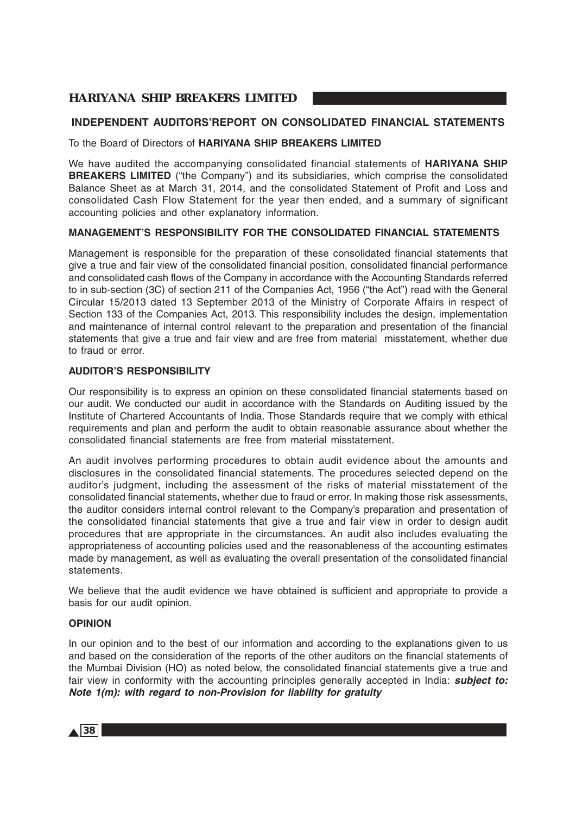# **INDEPENDENT AUDITORS'REPORT ON CONSOLIDATED FINANCIAL STATEMENTS**

#### To the Board of Directors of **HARIYANA SHIP BREAKERS LIMITED**

We have audited the accompanying consolidated financial statements of **HARIYANA SHIP BREAKERS LIMITED** ("the Company") and its subsidiaries, which comprise the consolidated Balance Sheet as at March 31, 2014, and the consolidated Statement of Profit and Loss and consolidated Cash Flow Statement for the year then ended, and a summary of significant accounting policies and other explanatory information.

#### **MANAGEMENT'S RESPONSIBILITY FOR THE CONSOLIDATED FINANCIAL STATEMENTS**

Management is responsible for the preparation of these consolidated financial statements that give a true and fair view of the consolidated financial position, consolidated financial performance and consolidated cash flows of the Company in accordance with the Accounting Standards referred to in sub-section (3C) of section 211 of the Companies Act, 1956 ("the Act") read with the General Circular 15/2013 dated 13 September 2013 of the Ministry of Corporate Affairs in respect of Section 133 of the Companies Act, 2013. This responsibility includes the design, implementation and maintenance of internal control relevant to the preparation and presentation of the financial statements that give a true and fair view and are free from material misstatement, whether due to fraud or error.

#### **AUDITOR'S RESPONSIBILITY**

Our responsibility is to express an opinion on these consolidated financial statements based on our audit. We conducted our audit in accordance with the Standards on Auditing issued by the Institute of Chartered Accountants of India. Those Standards require that we comply with ethical requirements and plan and perform the audit to obtain reasonable assurance about whether the consolidated financial statements are free from material misstatement.

An audit involves performing procedures to obtain audit evidence about the amounts and disclosures in the consolidated financial statements. The procedures selected depend on the auditor's judgment, including the assessment of the risks of material misstatement of the consolidated financial statements, whether due to fraud or error. In making those risk assessments, the auditor considers internal control relevant to the Company's preparation and presentation of the consolidated financial statements that give a true and fair view in order to design audit procedures that are appropriate in the circumstances. An audit also includes evaluating the appropriateness of accounting policies used and the reasonableness of the accounting estimates made by management, as well as evaluating the overall presentation of the consolidated financial statements.

We believe that the audit evidence we have obtained is sufficient and appropriate to provide a basis for our audit opinion.

#### **OPINION**

In our opinion and to the best of our information and according to the explanations given to us and based on the consideration of the reports of the other auditors on the financial statements of the Mumbai Division (HO) as noted below, the consolidated financial statements give a true and fair view in conformity with the accounting principles generally accepted in India: **subject to: Note 1(m): with regard to non-Provision for liability for gratuity**

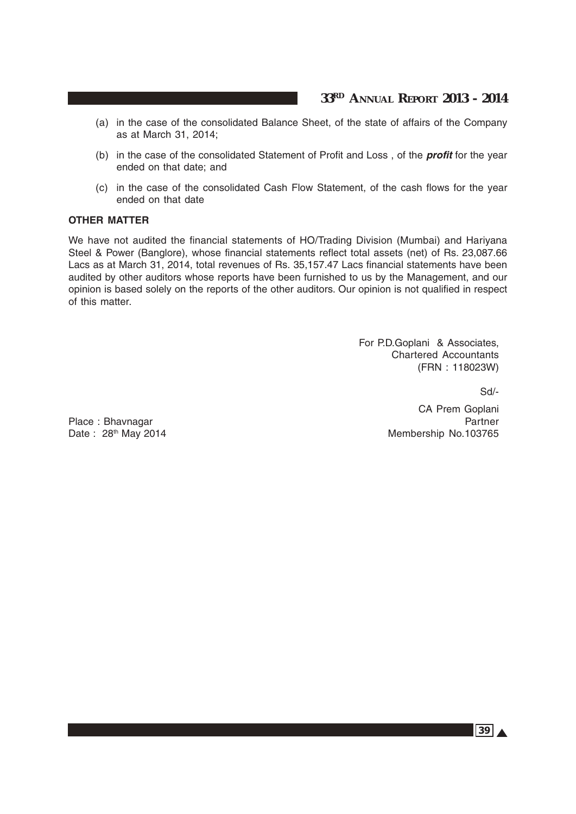# **33RD ANNUAL REPORT 2013 - 2014**

- (a) in the case of the consolidated Balance Sheet, of the state of affairs of the Company as at March 31, 2014;
- (b) in the case of the consolidated Statement of Profit and Loss , of the **profit** for the year ended on that date; and
- (c) in the case of the consolidated Cash Flow Statement, of the cash flows for the year ended on that date

#### **OTHER MATTER**

We have not audited the financial statements of HO/Trading Division (Mumbai) and Hariyana Steel & Power (Banglore), whose financial statements reflect total assets (net) of Rs. 23,087.66 Lacs as at March 31, 2014, total revenues of Rs. 35,157.47 Lacs financial statements have been audited by other auditors whose reports have been furnished to us by the Management, and our opinion is based solely on the reports of the other auditors. Our opinion is not qualified in respect of this matter.

> For P.D.Goplani & Associates, Chartered Accountants (FRN : 118023W)

> > Sd/-

CA Prem Goplani Place : Bhavnagar Partner Partner Date : 28<sup>th</sup> May 2014 Membership No.103765

 $39A$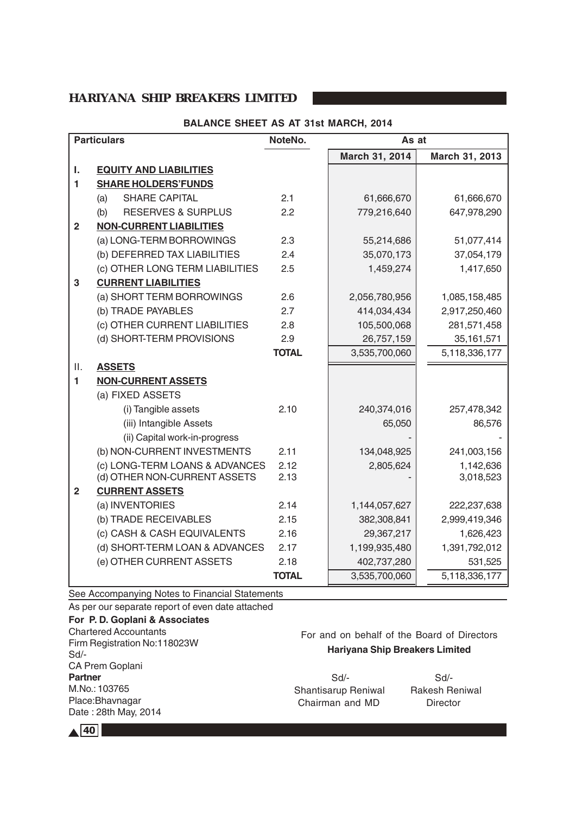#### **BALANCE SHEET AS AT 31st MARCH, 2014**

|                | <b>Particulars</b>                   | NoteNo.      | As at          |                |
|----------------|--------------------------------------|--------------|----------------|----------------|
|                |                                      |              | March 31, 2014 | March 31, 2013 |
| ı.             | <b>EQUITY AND LIABILITIES</b>        |              |                |                |
| 1              | <b>SHARE HOLDERS'FUNDS</b>           |              |                |                |
|                | <b>SHARE CAPITAL</b><br>(a)          | 2.1          | 61,666,670     | 61,666,670     |
|                | (b)<br><b>RESERVES &amp; SURPLUS</b> | 2.2          | 779,216,640    | 647,978,290    |
| $\overline{2}$ | <b>NON-CURRENT LIABILITIES</b>       |              |                |                |
|                | (a) LONG-TERM BORROWINGS             | 2.3          | 55,214,686     | 51,077,414     |
|                | (b) DEFERRED TAX LIABILITIES         | 2.4          | 35,070,173     | 37,054,179     |
|                | (c) OTHER LONG TERM LIABILITIES      | 2.5          | 1,459,274      | 1,417,650      |
| 3              | <b>CURRENT LIABILITIES</b>           |              |                |                |
|                | (a) SHORT TERM BORROWINGS            | 2.6          | 2,056,780,956  | 1,085,158,485  |
|                | (b) TRADE PAYABLES                   | 2.7          | 414,034,434    | 2,917,250,460  |
|                | (c) OTHER CURRENT LIABILITIES        | 2.8          | 105,500,068    | 281,571,458    |
|                | (d) SHORT-TERM PROVISIONS            | 2.9          | 26,757,159     | 35, 161, 571   |
|                |                                      | <b>TOTAL</b> | 3,535,700,060  | 5,118,336,177  |
| ΙΙ.            | <b>ASSETS</b>                        |              |                |                |
| 1              | <b>NON-CURRENT ASSETS</b>            |              |                |                |
|                | (a) FIXED ASSETS                     |              |                |                |
|                | (i) Tangible assets                  | 2.10         | 240,374,016    | 257,478,342    |
|                | (iii) Intangible Assets              |              | 65,050         | 86,576         |
|                | (ii) Capital work-in-progress        |              |                |                |
|                | (b) NON-CURRENT INVESTMENTS          | 2.11         | 134,048,925    | 241,003,156    |
|                | (c) LONG-TERM LOANS & ADVANCES       | 2.12         | 2,805,624      | 1,142,636      |
|                | (d) OTHER NON-CURRENT ASSETS         | 2.13         |                | 3,018,523      |
| $\overline{2}$ | <b>CURRENT ASSETS</b>                |              |                |                |
|                | (a) INVENTORIES                      | 2.14         | 1,144,057,627  | 222,237,638    |
|                | (b) TRADE RECEIVABLES                | 2.15         | 382,308,841    | 2,999,419,346  |
|                | (c) CASH & CASH EQUIVALENTS          | 2.16         | 29,367,217     | 1,626,423      |
|                | (d) SHORT-TERM LOAN & ADVANCES       | 2.17         | 1,199,935,480  | 1,391,792,012  |
|                | (e) OTHER CURRENT ASSETS             | 2.18         | 402,737,280    | 531,525        |
|                |                                      | <b>TOTAL</b> | 3,535,700,060  | 5,118,336,177  |

See Accompanying Notes to Financial Statements

As per our separate report of even date attached **For P. D. Goplani & Associates** Chartered Accountants Firm Registration No:118023W Sd/- CA Prem Goplani **Partner** M.No.: 103765 Place:Bhavnagar Date : 28th May, 2014

# For and on behalf of the Board of Directors **Hariyana Ship Breakers Limited**

 Sd/- Sd/- Shantisarup Reniwal Rakesh Reniwal Chairman and MD Director

 $\blacktriangle$  40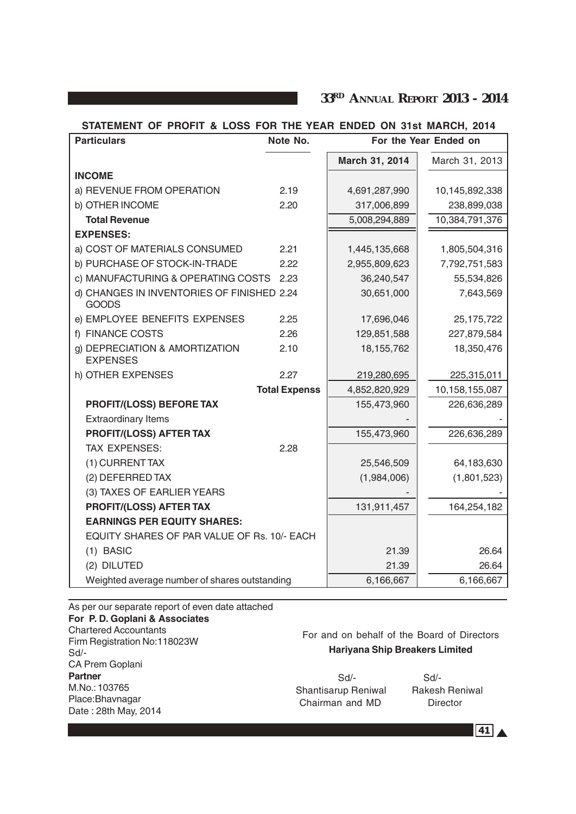**33RD ANNUAL REPORT 2013 - 2014**

#### **STATEMENT OF PROFIT & LOSS FOR THE YEAR ENDED ON 31st MARCH, 2014**

| <b>Particulars</b>                                         | Note No.             | For the Year Ended on |                |
|------------------------------------------------------------|----------------------|-----------------------|----------------|
|                                                            |                      | March 31, 2014        | March 31, 2013 |
| <b>INCOME</b>                                              |                      |                       |                |
| a) REVENUE FROM OPERATION                                  | 2.19                 | 4,691,287,990         | 10,145,892,338 |
| b) OTHER INCOME                                            | 2.20                 | 317,006,899           | 238,899,038    |
| <b>Total Revenue</b>                                       |                      | 5,008,294,889         | 10,384,791,376 |
| <b>EXPENSES:</b>                                           |                      |                       |                |
| a) COST OF MATERIALS CONSUMED                              | 2.21                 | 1,445,135,668         | 1,805,504,316  |
| b) PURCHASE OF STOCK-IN-TRADE                              | 2.22                 | 2,955,809,623         | 7,792,751,583  |
| c) MANUFACTURING & OPERATING COSTS 2.23                    |                      | 36,240,547            | 55,534,826     |
| d) CHANGES IN INVENTORIES OF FINISHED 2.24<br><b>GOODS</b> |                      | 30,651,000            | 7,643,569      |
| e) EMPLOYEE BENEFITS EXPENSES                              | 2.25                 | 17,696,046            | 25, 175, 722   |
| f) FINANCE COSTS                                           | 2.26                 | 129,851,588           | 227,879,584    |
| g) DEPRECIATION & AMORTIZATION<br><b>EXPENSES</b>          | 2.10                 | 18, 155, 762          | 18,350,476     |
| h) OTHER EXPENSES                                          | 2.27                 | 219,280,695           | 225,315,011    |
|                                                            | <b>Total Expenss</b> | 4,852,820,929         | 10,158,155,087 |
| PROFIT/(LOSS) BEFORE TAX                                   |                      | 155,473,960           | 226,636,289    |
| <b>Extraordinary Items</b>                                 |                      |                       |                |
| <b>PROFIT/(LOSS) AFTER TAX</b>                             |                      | 155,473,960           | 226,636,289    |
| <b>TAX EXPENSES:</b>                                       | 2.28                 |                       |                |
| (1) CURRENT TAX                                            |                      | 25,546,509            | 64,183,630     |
| (2) DEFERRED TAX                                           |                      | (1,984,006)           | (1,801,523)    |
| (3) TAXES OF EARLIER YEARS                                 |                      |                       |                |
| <b>PROFIT/(LOSS) AFTER TAX</b>                             |                      | 131,911,457           | 164,254,182    |
| <b>EARNINGS PER EQUITY SHARES:</b>                         |                      |                       |                |
| EQUITY SHARES OF PAR VALUE OF Rs. 10/- EACH                |                      |                       |                |
| $(1)$ BASIC                                                |                      | 21.39                 | 26.64          |
| (2) DILUTED                                                |                      | 21.39                 | 26.64          |
| Weighted average number of shares outstanding              |                      | 6,166,667             | 6,166,667      |

As per our separate report of even date attached **For P. D. Goplani & Associates** Chartered Accountants Firm Registration No:118023W Sd/- CA Prem Goplani **Partner** M.No.: 103765 Place:Bhavnagar Date : 28th May, 2014

# For and on behalf of the Board of Directors **Hariyana Ship Breakers Limited**

 Sd/- Sd/- Shantisarup Reniwal Rakesh Reniwal Chairman and MD Director

 $\overline{41}$   $\overline{4}$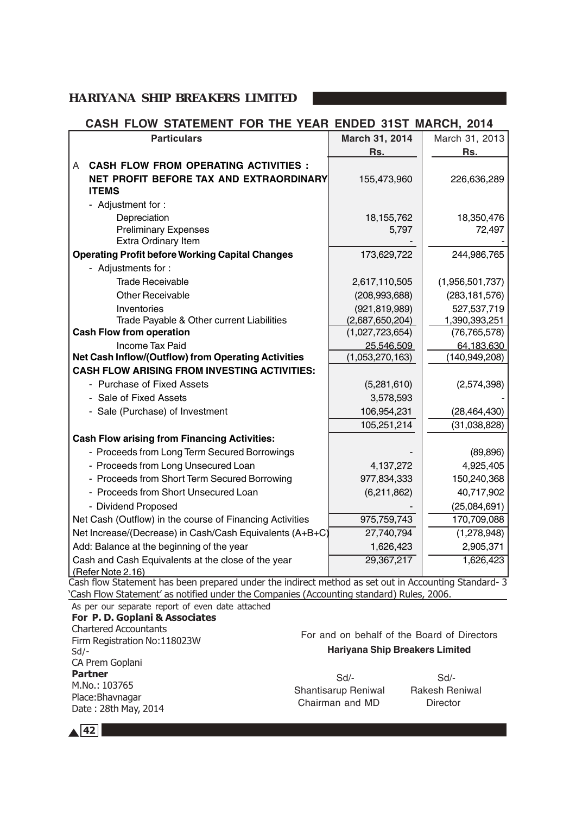# **CASH FLOW STATEMENT FOR THE YEAR ENDED 31ST MARCH, 2014**

| <b>Particulars</b>                                                                                                                                                                               | March 31, 2014                | March 31, 2013                |
|--------------------------------------------------------------------------------------------------------------------------------------------------------------------------------------------------|-------------------------------|-------------------------------|
|                                                                                                                                                                                                  | Rs.                           | Rs.                           |
| <b>CASH FLOW FROM OPERATING ACTIVITIES :</b><br>A                                                                                                                                                |                               |                               |
| NET PROFIT BEFORE TAX AND EXTRAORDINARY                                                                                                                                                          | 155,473,960                   | 226,636,289                   |
| <b>ITEMS</b>                                                                                                                                                                                     |                               |                               |
| - Adjustment for:                                                                                                                                                                                |                               |                               |
| Depreciation                                                                                                                                                                                     | 18, 155, 762                  | 18,350,476                    |
| <b>Preliminary Expenses</b>                                                                                                                                                                      | 5,797                         | 72,497                        |
| <b>Extra Ordinary Item</b>                                                                                                                                                                       |                               |                               |
| <b>Operating Profit before Working Capital Changes</b>                                                                                                                                           | 173,629,722                   | 244,986,765                   |
| - Adjustments for:                                                                                                                                                                               |                               |                               |
| <b>Trade Receivable</b>                                                                                                                                                                          | 2,617,110,505                 | (1,956,501,737)               |
| <b>Other Receivable</b>                                                                                                                                                                          | (208, 993, 688)               | (283, 181, 576)               |
| Inventories                                                                                                                                                                                      | (921, 819, 989)               | 527,537,719                   |
| Trade Payable & Other current Liabilities                                                                                                                                                        | (2,687,650,204)               | 1,390,393,251                 |
| <b>Cash Flow from operation</b>                                                                                                                                                                  | (1,027,723,654)               | (76, 765, 578)                |
| <b>Income Tax Paid</b><br><b>Net Cash Inflow/(Outflow) from Operating Activities</b>                                                                                                             | 25,546,509<br>(1,053,270,163) | 64,183,630<br>(140, 949, 208) |
| <b>CASH FLOW ARISING FROM INVESTING ACTIVITIES:</b>                                                                                                                                              |                               |                               |
| - Purchase of Fixed Assets                                                                                                                                                                       | (5,281,610)                   | (2,574,398)                   |
| - Sale of Fixed Assets                                                                                                                                                                           | 3,578,593                     |                               |
|                                                                                                                                                                                                  |                               |                               |
| - Sale (Purchase) of Investment                                                                                                                                                                  | 106,954,231                   | (28, 464, 430)                |
|                                                                                                                                                                                                  | 105,251,214                   | (31,038,828)                  |
| <b>Cash Flow arising from Financing Activities:</b>                                                                                                                                              |                               |                               |
| - Proceeds from Long Term Secured Borrowings                                                                                                                                                     |                               | (89, 896)                     |
| - Proceeds from Long Unsecured Loan                                                                                                                                                              | 4,137,272                     | 4,925,405                     |
| - Proceeds from Short Term Secured Borrowing                                                                                                                                                     | 977,834,333                   | 150,240,368                   |
| - Proceeds from Short Unsecured Loan                                                                                                                                                             | (6,211,862)                   | 40,717,902                    |
| - Dividend Proposed                                                                                                                                                                              |                               | (25,084,691)                  |
| Net Cash (Outflow) in the course of Financing Activities                                                                                                                                         | 975,759,743                   | 170,709,088                   |
| Net Increase/(Decrease) in Cash/Cash Equivalents (A+B+C)                                                                                                                                         | 27,740,794                    | (1,278,948)                   |
| Add: Balance at the beginning of the year                                                                                                                                                        | 1,626,423                     | 2,905,371                     |
| Cash and Cash Equivalents at the close of the year                                                                                                                                               | 29,367,217                    | 1,626,423                     |
| (Refer Note 2.16)                                                                                                                                                                                |                               |                               |
| Cash flow Statement has been prepared under the indirect method as set out in Accounting Standard- 3<br>'Cash Flow Statement' as notified under the Companies (Accounting standard) Rules, 2006. |                               |                               |

As per our separate report of even date attached

| For P. D. Goplani & Associates<br><b>Chartered Accountants</b><br>Firm Registration No:118023W<br>$Sd$ /-<br>CA Prem Goplani | For and on behalf of the Board of Directors<br><b>Hariyana Ship Breakers Limited</b> |                                                    |  |
|------------------------------------------------------------------------------------------------------------------------------|--------------------------------------------------------------------------------------|----------------------------------------------------|--|
| <b>Partner</b><br>M.No.: 103765<br>Place: Bhavnagar<br>Date: 28th May, 2014                                                  | Sd<br>Shantisarup Reniwal<br>Chairman and MD                                         | $Sd$ -<br><b>Rakesh Reniwal</b><br><b>Director</b> |  |
|                                                                                                                              |                                                                                      |                                                    |  |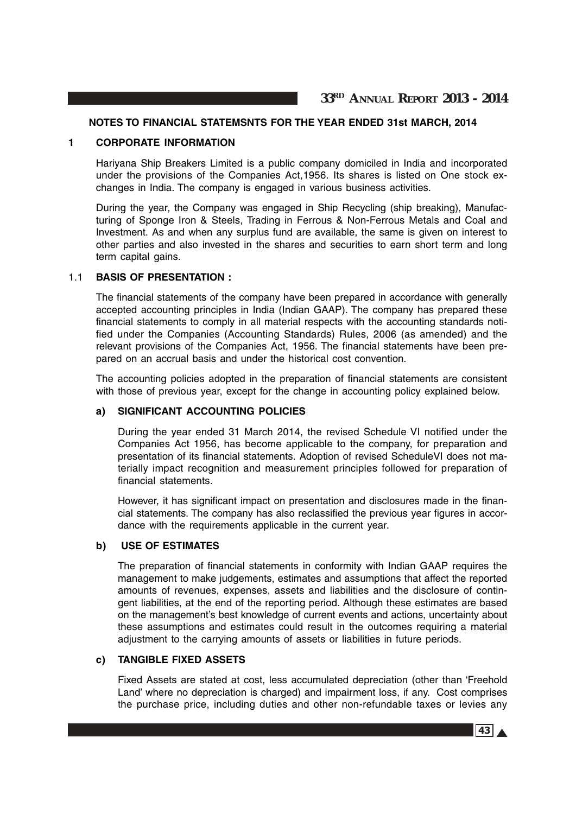#### **NOTES TO FINANCIAL STATEMSNTS FOR THE YEAR ENDED 31st MARCH, 2014**

#### **1 CORPORATE INFORMATION**

Hariyana Ship Breakers Limited is a public company domiciled in India and incorporated under the provisions of the Companies Act,1956. Its shares is listed on One stock exchanges in India. The company is engaged in various business activities.

During the year, the Company was engaged in Ship Recycling (ship breaking), Manufacturing of Sponge Iron & Steels, Trading in Ferrous & Non-Ferrous Metals and Coal and Investment. As and when any surplus fund are available, the same is given on interest to other parties and also invested in the shares and securities to earn short term and long term capital gains.

#### 1.1 **BASIS OF PRESENTATION :**

The financial statements of the company have been prepared in accordance with generally accepted accounting principles in India (Indian GAAP). The company has prepared these financial statements to comply in all material respects with the accounting standards notified under the Companies (Accounting Standards) Rules, 2006 (as amended) and the relevant provisions of the Companies Act, 1956. The financial statements have been prepared on an accrual basis and under the historical cost convention.

The accounting policies adopted in the preparation of financial statements are consistent with those of previous year, except for the change in accounting policy explained below.

#### **a) SIGNIFICANT ACCOUNTING POLICIES**

During the year ended 31 March 2014, the revised Schedule VI notified under the Companies Act 1956, has become applicable to the company, for preparation and presentation of its financial statements. Adoption of revised ScheduleVI does not materially impact recognition and measurement principles followed for preparation of financial statements.

However, it has significant impact on presentation and disclosures made in the financial statements. The company has also reclassified the previous year figures in accordance with the requirements applicable in the current year.

## **b) USE OF ESTIMATES**

The preparation of financial statements in conformity with Indian GAAP requires the management to make judgements, estimates and assumptions that affect the reported amounts of revenues, expenses, assets and liabilities and the disclosure of contingent liabilities, at the end of the reporting period. Although these estimates are based on the management's best knowledge of current events and actions, uncertainty about these assumptions and estimates could result in the outcomes requiring a material adjustment to the carrying amounts of assets or liabilities in future periods.

#### **c) TANGIBLE FIXED ASSETS**

Fixed Assets are stated at cost, less accumulated depreciation (other than 'Freehold Land' where no depreciation is charged) and impairment loss, if any. Cost comprises the purchase price, including duties and other non-refundable taxes or levies any

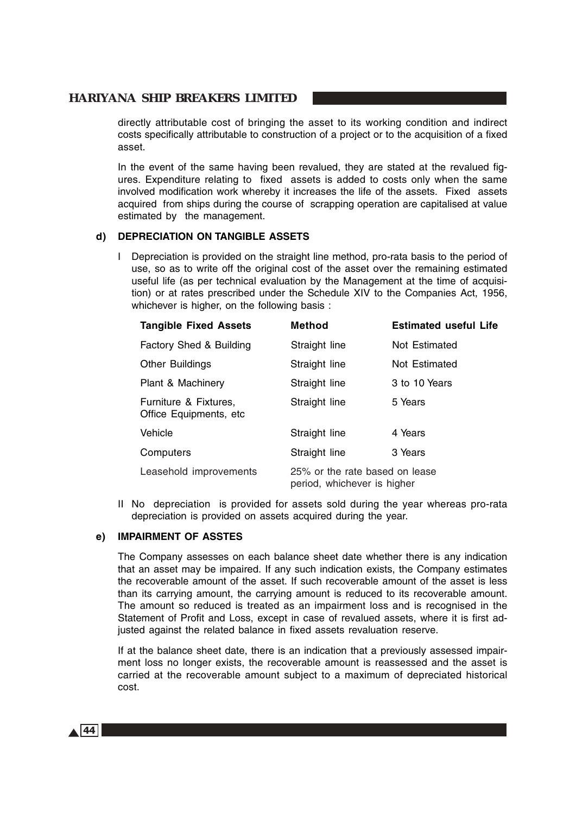directly attributable cost of bringing the asset to its working condition and indirect costs specifically attributable to construction of a project or to the acquisition of a fixed asset.

In the event of the same having been revalued, they are stated at the revalued figures. Expenditure relating to fixed assets is added to costs only when the same involved modification work whereby it increases the life of the assets. Fixed assets acquired from ships during the course of scrapping operation are capitalised at value estimated by the management.

#### **d) DEPRECIATION ON TANGIBLE ASSETS**

I Depreciation is provided on the straight line method, pro-rata basis to the period of use, so as to write off the original cost of the asset over the remaining estimated useful life (as per technical evaluation by the Management at the time of acquisition) or at rates prescribed under the Schedule XIV to the Companies Act, 1956, whichever is higher, on the following basis :

| <b>Tangible Fixed Assets</b>                     | <b>Method</b>                                                 | <b>Estimated useful Life</b> |
|--------------------------------------------------|---------------------------------------------------------------|------------------------------|
| Factory Shed & Building                          | Straight line                                                 | Not Estimated                |
| <b>Other Buildings</b>                           | Straight line                                                 | Not Estimated                |
| Plant & Machinery                                | Straight line                                                 | 3 to 10 Years                |
| Furniture & Fixtures,<br>Office Equipments, etc. | Straight line                                                 | 5 Years                      |
| Vehicle                                          | Straight line                                                 | 4 Years                      |
| Computers                                        | Straight line                                                 | 3 Years                      |
| Leasehold improvements                           | 25% or the rate based on lease<br>period, whichever is higher |                              |

II No depreciation is provided for assets sold during the year whereas pro-rata depreciation is provided on assets acquired during the year.

#### **e) IMPAIRMENT OF ASSTES**

The Company assesses on each balance sheet date whether there is any indication that an asset may be impaired. If any such indication exists, the Company estimates the recoverable amount of the asset. If such recoverable amount of the asset is less than its carrying amount, the carrying amount is reduced to its recoverable amount. The amount so reduced is treated as an impairment loss and is recognised in the Statement of Profit and Loss, except in case of revalued assets, where it is first adjusted against the related balance in fixed assets revaluation reserve.

If at the balance sheet date, there is an indication that a previously assessed impairment loss no longer exists, the recoverable amount is reassessed and the asset is carried at the recoverable amount subject to a maximum of depreciated historical cost.

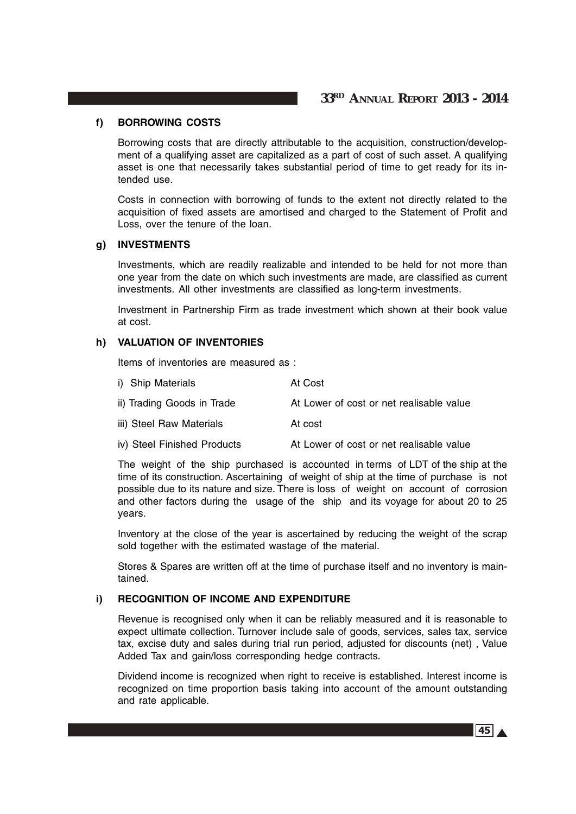#### **f) BORROWING COSTS**

Borrowing costs that are directly attributable to the acquisition, construction/development of a qualifying asset are capitalized as a part of cost of such asset. A qualifying asset is one that necessarily takes substantial period of time to get ready for its intended use.

Costs in connection with borrowing of funds to the extent not directly related to the acquisition of fixed assets are amortised and charged to the Statement of Profit and Loss, over the tenure of the loan.

#### **g) INVESTMENTS**

Investments, which are readily realizable and intended to be held for not more than one year from the date on which such investments are made, are classified as current investments. All other investments are classified as long-term investments.

Investment in Partnership Firm as trade investment which shown at their book value at cost.

#### **h) VALUATION OF INVENTORIES**

Items of inventories are measured as :

| i) Ship Materials           | At Cost                                  |
|-----------------------------|------------------------------------------|
| ii) Trading Goods in Trade  | At Lower of cost or net realisable value |
| iii) Steel Raw Materials    | At cost                                  |
| iv) Steel Finished Products | At Lower of cost or net realisable value |

The weight of the ship purchased is accounted in terms of LDT of the ship at the time of its construction. Ascertaining of weight of ship at the time of purchase is not possible due to its nature and size. There is loss of weight on account of corrosion and other factors during the usage of the ship and its voyage for about 20 to 25 years.

Inventory at the close of the year is ascertained by reducing the weight of the scrap sold together with the estimated wastage of the material.

Stores & Spares are written off at the time of purchase itself and no inventory is maintained.

# **i) RECOGNITION OF INCOME AND EXPENDITURE**

Revenue is recognised only when it can be reliably measured and it is reasonable to expect ultimate collection. Turnover include sale of goods, services, sales tax, service tax, excise duty and sales during trial run period, adjusted for discounts (net) , Value Added Tax and gain/loss corresponding hedge contracts.

Dividend income is recognized when right to receive is established. Interest income is recognized on time proportion basis taking into account of the amount outstanding and rate applicable.

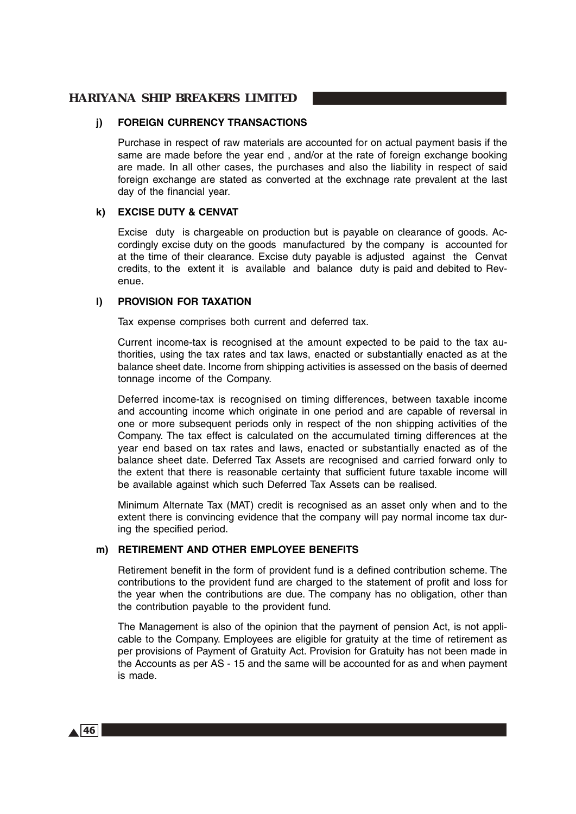#### **j) FOREIGN CURRENCY TRANSACTIONS**

Purchase in respect of raw materials are accounted for on actual payment basis if the same are made before the year end , and/or at the rate of foreign exchange booking are made. In all other cases, the purchases and also the liability in respect of said foreign exchange are stated as converted at the exchnage rate prevalent at the last day of the financial year.

#### **k) EXCISE DUTY & CENVAT**

Excise duty is chargeable on production but is payable on clearance of goods. Accordingly excise duty on the goods manufactured by the company is accounted for at the time of their clearance. Excise duty payable is adjusted against the Cenvat credits, to the extent it is available and balance duty is paid and debited to Revenue.

#### **l) PROVISION FOR TAXATION**

Tax expense comprises both current and deferred tax.

Current income-tax is recognised at the amount expected to be paid to the tax authorities, using the tax rates and tax laws, enacted or substantially enacted as at the balance sheet date. Income from shipping activities is assessed on the basis of deemed tonnage income of the Company.

Deferred income-tax is recognised on timing differences, between taxable income and accounting income which originate in one period and are capable of reversal in one or more subsequent periods only in respect of the non shipping activities of the Company. The tax effect is calculated on the accumulated timing differences at the year end based on tax rates and laws, enacted or substantially enacted as of the balance sheet date. Deferred Tax Assets are recognised and carried forward only to the extent that there is reasonable certainty that sufficient future taxable income will be available against which such Deferred Tax Assets can be realised.

Minimum Alternate Tax (MAT) credit is recognised as an asset only when and to the extent there is convincing evidence that the company will pay normal income tax during the specified period.

#### **m) RETIREMENT AND OTHER EMPLOYEE BENEFITS**

Retirement benefit in the form of provident fund is a defined contribution scheme. The contributions to the provident fund are charged to the statement of profit and loss for the year when the contributions are due. The company has no obligation, other than the contribution payable to the provident fund.

The Management is also of the opinion that the payment of pension Act, is not applicable to the Company. Employees are eligible for gratuity at the time of retirement as per provisions of Payment of Gratuity Act. Provision for Gratuity has not been made in the Accounts as per AS - 15 and the same will be accounted for as and when payment is made.

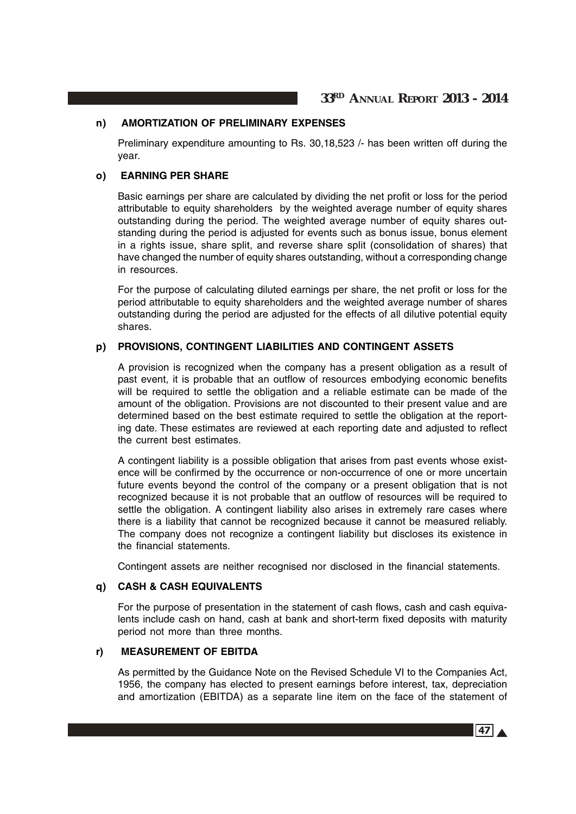#### **n) AMORTIZATION OF PRELIMINARY EXPENSES**

Preliminary expenditure amounting to Rs. 30,18,523 /- has been written off during the year.

#### **o) EARNING PER SHARE**

Basic earnings per share are calculated by dividing the net profit or loss for the period attributable to equity shareholders by the weighted average number of equity shares outstanding during the period. The weighted average number of equity shares outstanding during the period is adjusted for events such as bonus issue, bonus element in a rights issue, share split, and reverse share split (consolidation of shares) that have changed the number of equity shares outstanding, without a corresponding change in resources.

For the purpose of calculating diluted earnings per share, the net profit or loss for the period attributable to equity shareholders and the weighted average number of shares outstanding during the period are adjusted for the effects of all dilutive potential equity shares.

#### **p) PROVISIONS, CONTINGENT LIABILITIES AND CONTINGENT ASSETS**

A provision is recognized when the company has a present obligation as a result of past event, it is probable that an outflow of resources embodying economic benefits will be required to settle the obligation and a reliable estimate can be made of the amount of the obligation. Provisions are not discounted to their present value and are determined based on the best estimate required to settle the obligation at the reporting date. These estimates are reviewed at each reporting date and adjusted to reflect the current best estimates.

A contingent liability is a possible obligation that arises from past events whose existence will be confirmed by the occurrence or non-occurrence of one or more uncertain future events beyond the control of the company or a present obligation that is not recognized because it is not probable that an outflow of resources will be required to settle the obligation. A contingent liability also arises in extremely rare cases where there is a liability that cannot be recognized because it cannot be measured reliably. The company does not recognize a contingent liability but discloses its existence in the financial statements.

Contingent assets are neither recognised nor disclosed in the financial statements.

#### **q) CASH & CASH EQUIVALENTS**

For the purpose of presentation in the statement of cash flows, cash and cash equivalents include cash on hand, cash at bank and short-term fixed deposits with maturity period not more than three months.

#### **r) MEASUREMENT OF EBITDA**

As permitted by the Guidance Note on the Revised Schedule VI to the Companies Act, 1956, the company has elected to present earnings before interest, tax, depreciation and amortization (EBITDA) as a separate line item on the face of the statement of

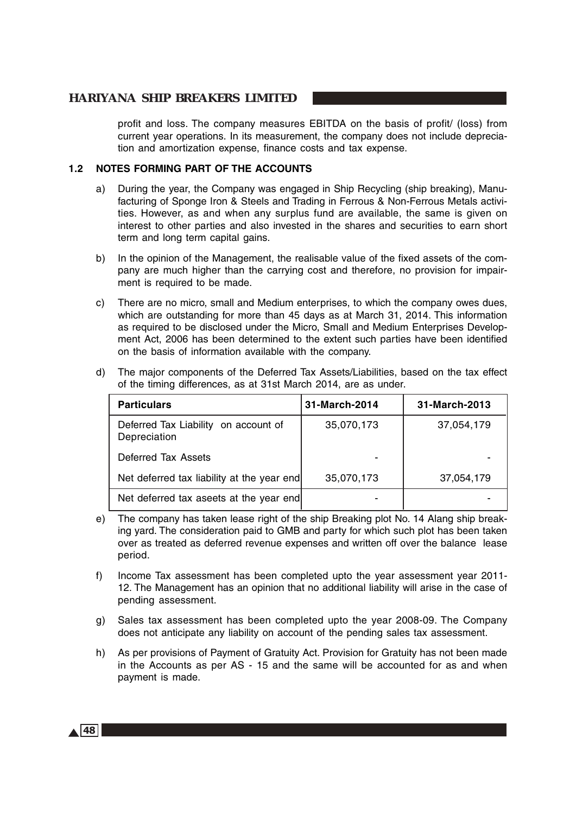profit and loss. The company measures EBITDA on the basis of profit/ (loss) from current year operations. In its measurement, the company does not include depreciation and amortization expense, finance costs and tax expense.

#### **1.2 NOTES FORMING PART OF THE ACCOUNTS**

- a) During the year, the Company was engaged in Ship Recycling (ship breaking), Manufacturing of Sponge Iron & Steels and Trading in Ferrous & Non-Ferrous Metals activities. However, as and when any surplus fund are available, the same is given on interest to other parties and also invested in the shares and securities to earn short term and long term capital gains.
- b) In the opinion of the Management, the realisable value of the fixed assets of the company are much higher than the carrying cost and therefore, no provision for impairment is required to be made.
- c) There are no micro, small and Medium enterprises, to which the company owes dues, which are outstanding for more than 45 days as at March 31, 2014. This information as required to be disclosed under the Micro, Small and Medium Enterprises Development Act, 2006 has been determined to the extent such parties have been identified on the basis of information available with the company.
- d) The major components of the Deferred Tax Assets/Liabilities, based on the tax effect of the timing differences, as at 31st March 2014, are as under.

| <b>Particulars</b>                                   | 31-March-2014 | 31-March-2013 |
|------------------------------------------------------|---------------|---------------|
| Deferred Tax Liability on account of<br>Depreciation | 35,070,173    | 37,054,179    |
| Deferred Tax Assets                                  |               |               |
| Net deferred tax liability at the year end           | 35,070,173    | 37,054,179    |
| Net deferred tax aseets at the year end              |               |               |

- e) The company has taken lease right of the ship Breaking plot No. 14 Alang ship breaking yard. The consideration paid to GMB and party for which such plot has been taken over as treated as deferred revenue expenses and written off over the balance lease period.
- f) Income Tax assessment has been completed upto the year assessment year 2011- 12. The Management has an opinion that no additional liability will arise in the case of pending assessment.
- g) Sales tax assessment has been completed upto the year 2008-09. The Company does not anticipate any liability on account of the pending sales tax assessment.
- h) As per provisions of Payment of Gratuity Act. Provision for Gratuity has not been made in the Accounts as per AS - 15 and the same will be accounted for as and when payment is made.

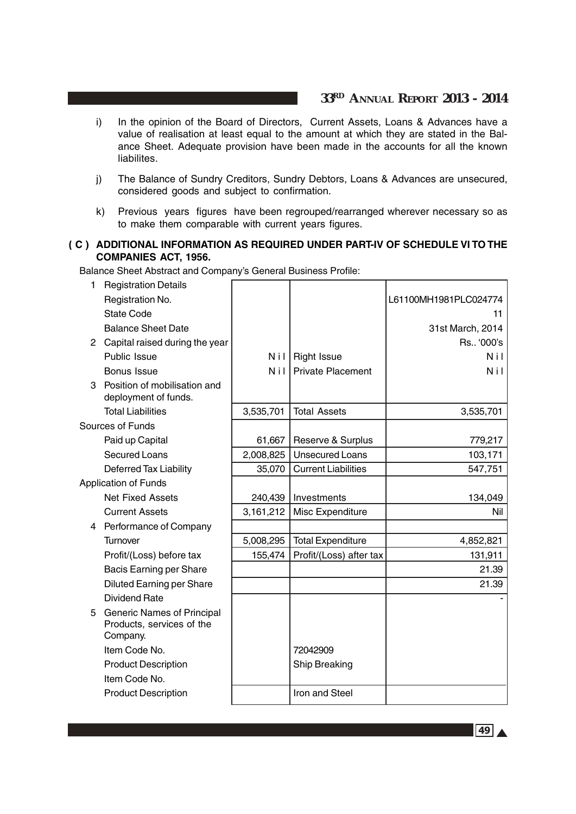- i) In the opinion of the Board of Directors, Current Assets, Loans & Advances have a value of realisation at least equal to the amount at which they are stated in the Balance Sheet. Adequate provision have been made in the accounts for all the known liabilites.
- j) The Balance of Sundry Creditors, Sundry Debtors, Loans & Advances are unsecured, considered goods and subject to confirmation.
- k) Previous years figures have been regrouped/rearranged wherever necessary so as to make them comparable with current years figures.

## ( **C ) ADDITIONAL INFORMATION AS REQUIRED UNDER PART-IV OF SCHEDULE VI TO THE COMPANIES ACT, 1956.**

Balance Sheet Abstract and Company's General Business Profile:

| 1 | <b>Registration Details</b>                                           |            |                            |                       |
|---|-----------------------------------------------------------------------|------------|----------------------------|-----------------------|
|   | Registration No.                                                      |            |                            | L61100MH1981PLC024774 |
|   | <b>State Code</b>                                                     |            |                            | 11                    |
|   | <b>Balance Sheet Date</b>                                             |            |                            | 31st March, 2014      |
|   | 2 Capital raised during the year                                      |            |                            | Rs '000's             |
|   | Public Issue                                                          | Nil        | <b>Right Issue</b>         | <b>Nil</b>            |
|   | <b>Bonus Issue</b>                                                    | <b>Nil</b> | <b>Private Placement</b>   | <b>Nil</b>            |
| 3 | Position of mobilisation and<br>deployment of funds.                  |            |                            |                       |
|   | <b>Total Liabilities</b>                                              | 3,535,701  | <b>Total Assets</b>        | 3,535,701             |
|   | Sources of Funds                                                      |            |                            |                       |
|   | Paid up Capital                                                       | 61,667     | Reserve & Surplus          | 779,217               |
|   | <b>Secured Loans</b>                                                  | 2,008,825  | <b>Unsecured Loans</b>     | 103,171               |
|   | <b>Deferred Tax Liability</b>                                         | 35,070     | <b>Current Liabilities</b> | 547,751               |
|   | <b>Application of Funds</b>                                           |            |                            |                       |
|   | <b>Net Fixed Assets</b>                                               | 240,439    | Investments                | 134,049               |
|   | <b>Current Assets</b>                                                 | 3,161,212  | Misc Expenditure           | Nil                   |
| 4 | Performance of Company                                                |            |                            |                       |
|   | Turnover                                                              | 5,008,295  | <b>Total Expenditure</b>   | 4,852,821             |
|   | Profit/(Loss) before tax                                              | 155,474    | Profit/(Loss) after tax    | 131,911               |
|   | <b>Bacis Earning per Share</b>                                        |            |                            | 21.39                 |
|   | <b>Diluted Earning per Share</b>                                      |            |                            | 21.39                 |
|   | <b>Dividend Rate</b>                                                  |            |                            |                       |
|   | 5 Generic Names of Principal<br>Products, services of the<br>Company. |            |                            |                       |
|   | Item Code No.                                                         |            | 72042909                   |                       |
|   | <b>Product Description</b>                                            |            | Ship Breaking              |                       |
|   | Item Code No.                                                         |            |                            |                       |
|   | <b>Product Description</b>                                            |            | Iron and Steel             |                       |

 $\boxed{49}$   $\blacktriangle$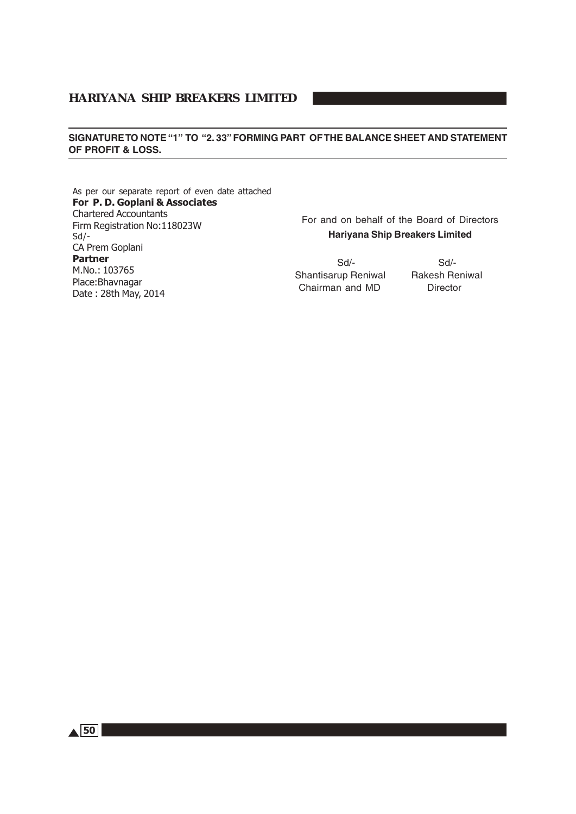#### **SIGNATURE TO NOTE "1" TO "2. 33" FORMING PART OF THE BALANCE SHEET AND STATEMENT OF PROFIT & LOSS.**

As per our separate report of even date attached For P. D. Goplani & Associates Chartered Accountants Firm Registration No:118023W Sd/- CA Prem Goplani Partner M.No.: 103765 Place:Bhavnagar Date : 28th May, 2014

For and on behalf of the Board of Directors **Hariyana Ship Breakers Limited**

 Sd/- Sd/- Shantisarup Reniwal Rakesh Reniwal Chairman and MD Director

 $\triangle$  50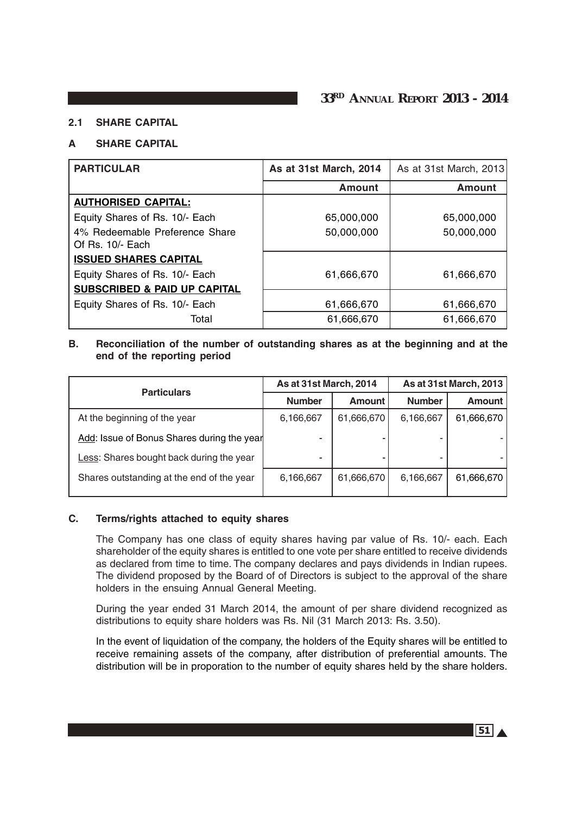#### **2.1 SHARE CAPITAL**

#### **A SHARE CAPITAL**

| <b>PARTICULAR</b>                                  | As at 31st March, 2014 | As at 31st March, 2013 |
|----------------------------------------------------|------------------------|------------------------|
|                                                    | <b>Amount</b>          | <b>Amount</b>          |
| <b>AUTHORISED CAPITAL:</b>                         |                        |                        |
| Equity Shares of Rs. 10/- Each                     | 65,000,000             | 65,000,000             |
| 4% Redeemable Preference Share<br>Of Rs. 10/- Each | 50,000,000             | 50,000,000             |
| <b>ISSUED SHARES CAPITAL</b>                       |                        |                        |
| Equity Shares of Rs. 10/- Each                     | 61,666,670             | 61,666,670             |
| <b>SUBSCRIBED &amp; PAID UP CAPITAL</b>            |                        |                        |
| Equity Shares of Rs. 10/- Each                     | 61,666,670             | 61,666,670             |
| Total                                              | 61,666,670             | 61,666,670             |

#### **B. Reconciliation of the number of outstanding shares as at the beginning and at the end of the reporting period**

| <b>Particulars</b>                         | As at 31st March, 2014 |            | <b>As at 31st March, 2013</b> |               |
|--------------------------------------------|------------------------|------------|-------------------------------|---------------|
|                                            | <b>Number</b>          | Amount     | <b>Number</b>                 | <b>Amount</b> |
| At the beginning of the year               | 6,166,667              | 61,666,670 | 6,166,667                     | 61,666,670    |
| Add: Issue of Bonus Shares during the year |                        |            |                               |               |
| Less: Shares bought back during the year   |                        |            |                               |               |
| Shares outstanding at the end of the year  | 6,166,667              | 61,666,670 | 6,166,667                     | 61,666,670    |

#### **C. Terms/rights attached to equity shares**

The Company has one class of equity shares having par value of Rs. 10/- each. Each shareholder of the equity shares is entitled to one vote per share entitled to receive dividends as declared from time to time. The company declares and pays dividends in Indian rupees. The dividend proposed by the Board of of Directors is subject to the approval of the share holders in the ensuing Annual General Meeting.

During the year ended 31 March 2014, the amount of per share dividend recognized as distributions to equity share holders was Rs. Nil (31 March 2013: Rs. 3.50).

In the event of liquidation of the company, the holders of the Equity shares will be entitled to receive remaining assets of the company, after distribution of preferential amounts. The distribution will be in proporation to the number of equity shares held by the share holders.

 $\overline{51}$   $\overline{4}$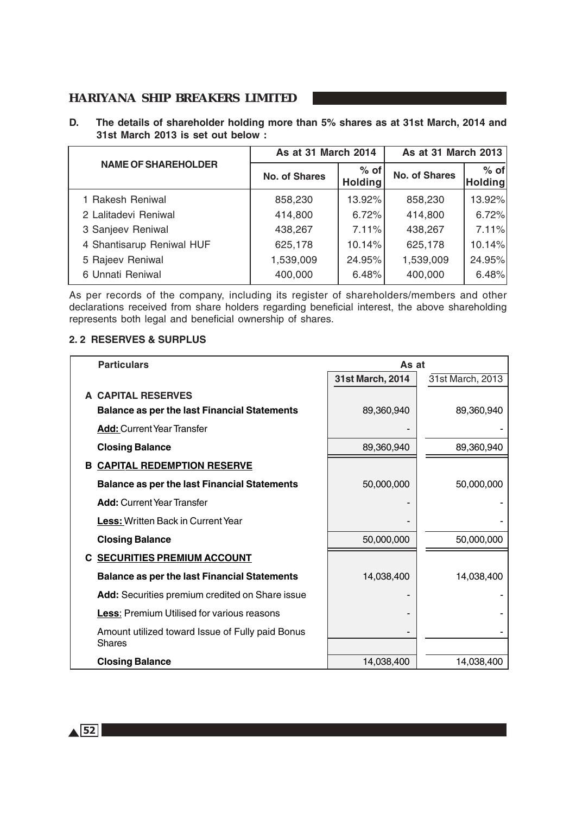**D. The details of shareholder holding more than 5% shares as at 31st March, 2014 and 31st March 2013 is set out below :**

|                            | As at 31 March 2014                              |        | As at 31 March 2013  |                   |  |
|----------------------------|--------------------------------------------------|--------|----------------------|-------------------|--|
| <b>NAME OF SHAREHOLDER</b> | $%$ of<br><b>No. of Shares</b><br><b>Holding</b> |        | <b>No. of Shares</b> | $%$ of<br>Holding |  |
| 1 Rakesh Reniwal           | 858,230                                          | 13.92% | 858,230              | 13.92%            |  |
| 2 Lalitadevi Reniwal       | 414,800                                          | 6.72%  | 414,800              | 6.72%             |  |
| 3 Sanjeev Reniwal          | 438,267                                          | 7.11%  | 438,267              | 7.11%             |  |
| 4 Shantisarup Reniwal HUF  | 625,178                                          | 10.14% | 625,178              | 10.14%            |  |
| 5 Rajeev Reniwal           | 1,539,009                                        | 24.95% | 1,539,009            | 24.95%            |  |
| 6 Unnati Reniwal           | 400,000                                          | 6.48%  | 400,000              | 6.48%             |  |

As per records of the company, including its register of shareholders/members and other declarations received from share holders regarding beneficial interest, the above shareholding represents both legal and beneficial ownership of shares.

#### **2. 2 RESERVES & SURPLUS**

| <b>Particulars</b>                                                | As at            |                  |  |
|-------------------------------------------------------------------|------------------|------------------|--|
|                                                                   | 31st March, 2014 | 31st March, 2013 |  |
| A CAPITAL RESERVES                                                |                  |                  |  |
| <b>Balance as per the last Financial Statements</b>               | 89,360,940       | 89,360,940       |  |
| <b>Add: Current Year Transfer</b>                                 |                  |                  |  |
| <b>Closing Balance</b>                                            | 89,360,940       | 89,360,940       |  |
| <b>CAPITAL REDEMPTION RESERVE</b><br>в                            |                  |                  |  |
| <b>Balance as per the last Financial Statements</b>               | 50,000,000       | 50,000,000       |  |
| <b>Add:</b> Current Year Transfer                                 |                  |                  |  |
| <b>Less: Written Back in Current Year</b>                         |                  |                  |  |
| <b>Closing Balance</b>                                            | 50,000,000       | 50,000,000       |  |
| <b>C SECURITIES PREMIUM ACCOUNT</b>                               |                  |                  |  |
| <b>Balance as per the last Financial Statements</b>               | 14,038,400       | 14,038,400       |  |
| Add: Securities premium credited on Share issue                   |                  |                  |  |
| <b>Less: Premium Utilised for various reasons</b>                 |                  |                  |  |
| Amount utilized toward Issue of Fully paid Bonus<br><b>Shares</b> |                  |                  |  |
| <b>Closing Balance</b>                                            | 14,038,400       | 14,038,400       |  |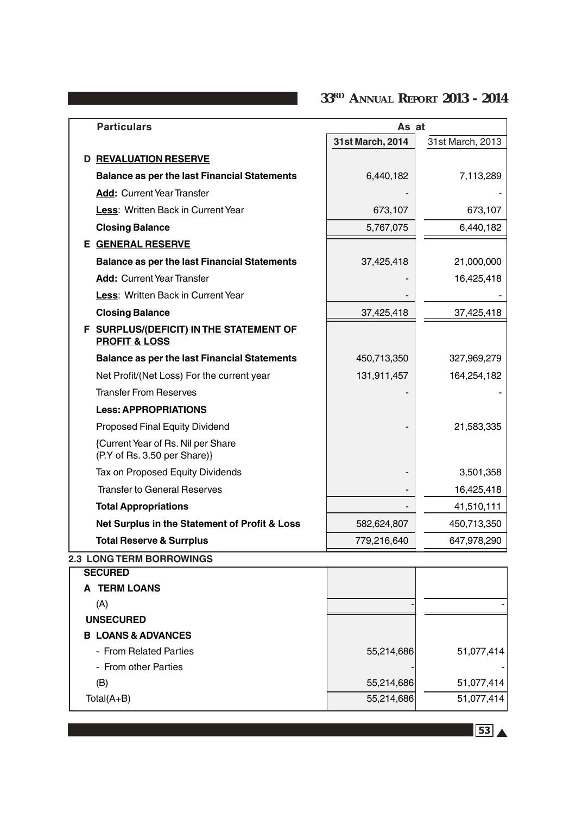**33RD ANNUAL REPORT 2013 - 2014**

| <b>Particulars</b>                                                  | As at            |                  |
|---------------------------------------------------------------------|------------------|------------------|
|                                                                     | 31st March, 2014 | 31st March, 2013 |
| <b>D REVALUATION RESERVE</b>                                        |                  |                  |
| <b>Balance as per the last Financial Statements</b>                 | 6,440,182        | 7,113,289        |
| <b>Add: Current Year Transfer</b>                                   |                  |                  |
| Less: Written Back in Current Year                                  | 673,107          | 673,107          |
| <b>Closing Balance</b>                                              | 5,767,075        | 6,440,182        |
| <b>E GENERAL RESERVE</b>                                            |                  |                  |
| <b>Balance as per the last Financial Statements</b>                 | 37,425,418       | 21,000,000       |
| <b>Add: Current Year Transfer</b>                                   |                  | 16,425,418       |
| Less: Written Back in Current Year                                  |                  |                  |
| <b>Closing Balance</b>                                              | 37,425,418       | 37,425,418       |
| F SURPLUS/(DEFICIT) IN THE STATEMENT OF<br><b>PROFIT &amp; LOSS</b> |                  |                  |
| <b>Balance as per the last Financial Statements</b>                 | 450,713,350      | 327,969,279      |
| Net Profit/(Net Loss) For the current year                          | 131,911,457      | 164,254,182      |
| <b>Transfer From Reserves</b>                                       |                  |                  |
| <b>Less: APPROPRIATIONS</b>                                         |                  |                  |
| Proposed Final Equity Dividend                                      |                  | 21,583,335       |
| {Current Year of Rs. Nil per Share<br>(P.Y of Rs. 3.50 per Share)}  |                  |                  |
| Tax on Proposed Equity Dividends                                    |                  | 3,501,358        |
| <b>Transfer to General Reserves</b>                                 |                  | 16,425,418       |
| <b>Total Appropriations</b>                                         |                  | 41,510,111       |
| Net Surplus in the Statement of Profit & Loss                       | 582,624,807      | 450,713,350      |
| <b>Total Reserve &amp; Surrplus</b>                                 | 779,216,640      | 647,978,290      |
| <b>2.3 LONG TERM BORROWINGS</b>                                     |                  |                  |
| <b>SECURED</b>                                                      |                  |                  |
| A TERM LOANS                                                        |                  |                  |
| (A)                                                                 |                  |                  |
| <b>UNSECURED</b><br><b>B LOANS &amp; ADVANCES</b>                   |                  |                  |
| - From Related Parties                                              | 55,214,686       | 51,077,414       |
| - From other Parties                                                |                  |                  |
| (B)                                                                 | 55,214,686       | 51,077,414       |
| Total(A+B)                                                          | 55,214,686       | 51,077,414       |

53 A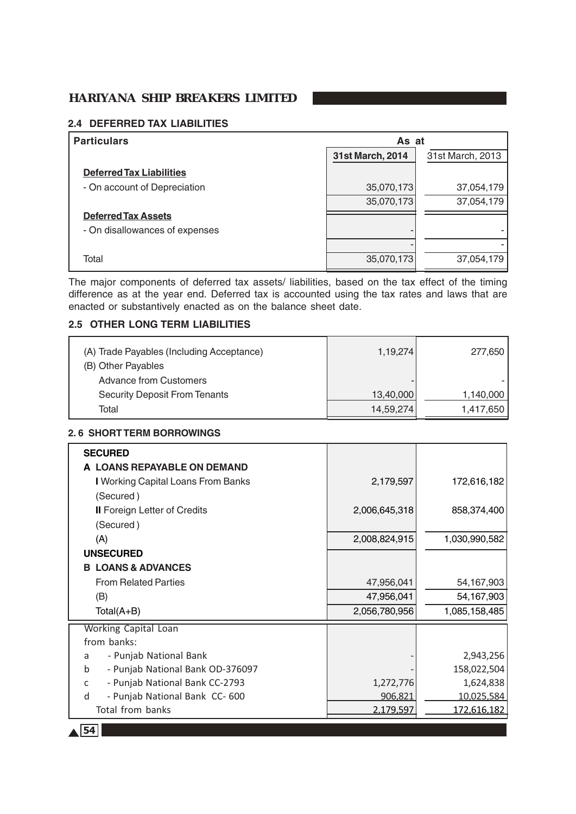# **2.4 DEFERRED TAX LIABILITIES**

| <b>Particulars</b>              | As at            |                  |
|---------------------------------|------------------|------------------|
|                                 | 31st March, 2014 | 31st March, 2013 |
| <b>Deferred Tax Liabilities</b> |                  |                  |
| - On account of Depreciation    | 35,070,173       | 37,054,179       |
|                                 | 35,070,173       | 37,054,179       |
| <b>Deferred Tax Assets</b>      |                  |                  |
| - On disallowances of expenses  |                  |                  |
|                                 |                  |                  |
| Total                           | 35,070,173       | 37,054,179       |

The major components of deferred tax assets/ liabilities, based on the tax effect of the timing difference as at the year end. Deferred tax is accounted using the tax rates and laws that are enacted or substantively enacted as on the balance sheet date.

# **2.5 OTHER LONG TERM LIABILITIES**

| (A) Trade Payables (Including Acceptance) | 1,19,274  | 277,650   |
|-------------------------------------------|-----------|-----------|
| (B) Other Payables                        |           |           |
| <b>Advance from Customers</b>             | -         |           |
| <b>Security Deposit From Tenants</b>      | 13,40,000 | 1,140,000 |
| Total                                     | 14,59,274 | 1,417,650 |

# **2. 6 SHORT TERM BORROWINGS**

| <b>SECURED</b>                                 |               |               |
|------------------------------------------------|---------------|---------------|
| A LOANS REPAYABLE ON DEMAND                    |               |               |
| I Working Capital Loans From Banks             | 2,179,597     | 172,616,182   |
|                                                |               |               |
| (Secured)                                      |               |               |
| <b>II</b> Foreign Letter of Credits            | 2,006,645,318 | 858,374,400   |
| (Secured)                                      |               |               |
| (A)                                            | 2,008,824,915 | 1,030,990,582 |
| <b>UNSECURED</b>                               |               |               |
| <b>B LOANS &amp; ADVANCES</b>                  |               |               |
| <b>From Related Parties</b>                    | 47,956,041    | 54,167,903    |
| (B)                                            | 47,956,041    | 54,167,903    |
| Total(A+B)                                     | 2,056,780,956 | 1,085,158,485 |
| <b>Working Capital Loan</b>                    |               |               |
| from banks:                                    |               |               |
| - Punjab National Bank<br>a                    |               | 2,943,256     |
| - Punjab National Bank OD-376097<br>b          |               | 158,022,504   |
| - Punjab National Bank CC-2793<br>$\mathsf{C}$ | 1,272,776     | 1,624,838     |
| - Punjab National Bank CC-600<br>d             | 906,821       | 10,025,584    |
| Total from banks                               | 2.179.597     | 172,616,182   |
| 54                                             |               |               |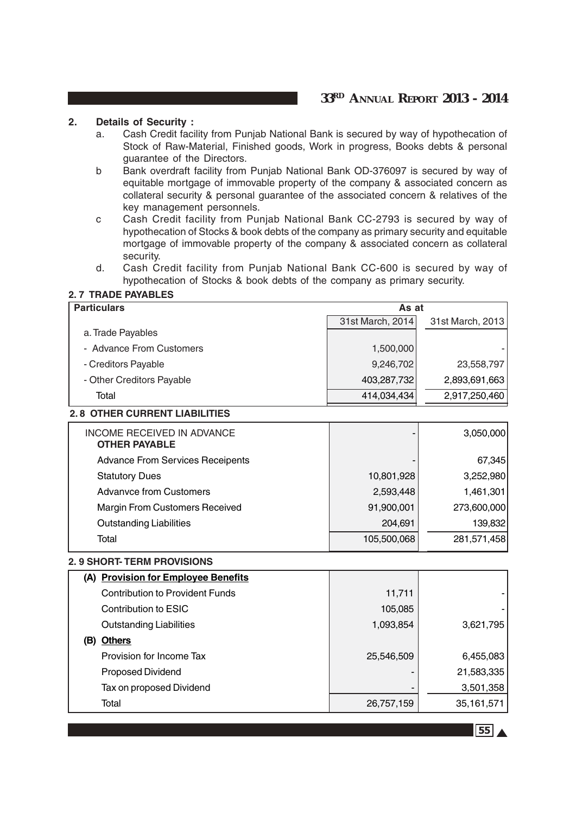# **2. Details of Security :**

- a. Cash Credit facility from Punjab National Bank is secured by way of hypothecation of Stock of Raw-Material, Finished goods, Work in progress, Books debts & personal guarantee of the Directors.
- b Bank overdraft facility from Punjab National Bank OD-376097 is secured by way of equitable mortgage of immovable property of the company & associated concern as collateral security & personal guarantee of the associated concern & relatives of the key management personnels.
- c Cash Credit facility from Punjab National Bank CC-2793 is secured by way of hypothecation of Stocks & book debts of the company as primary security and equitable mortgage of immovable property of the company & associated concern as collateral security.
- d. Cash Credit facility from Punjab National Bank CC-600 is secured by way of hypothecation of Stocks & book debts of the company as primary security.

#### **2. 7 TRADE PAYABLES**

| <b>Particulars</b>                      | As at            |                  |
|-----------------------------------------|------------------|------------------|
|                                         | 31st March, 2014 | 31st March, 2013 |
| a. Trade Payables                       |                  |                  |
| - Advance From Customers                | 1,500,000        |                  |
| - Creditors Payable                     | 9,246,702        | 23,558,797       |
| - Other Creditors Payable               | 403,287,732      | 2,893,691,663    |
| Total                                   | 414,034,434      | 2,917,250,460    |
| <b>2.8 OTHER CURRENT LIABILITIES</b>    |                  |                  |
| <b>INCOME RECEIVED IN ADVANCE</b>       |                  | 3,050,000        |
| <b>OTHER PAYABLE</b>                    |                  |                  |
| <b>Advance From Services Receipents</b> |                  | 67,345           |
| <b>Statutory Dues</b>                   | 10,801,928       | 3,252,980        |
| <b>Advanvce from Customers</b>          | 2,593,448        | 1,461,301        |
| <b>Margin From Customers Received</b>   | 91,900,001       | 273,600,000      |
| <b>Outstanding Liabilities</b>          | 204,691          | 139,832          |
| Total                                   | 105,500,068      | 281,571,458      |
| <b>2. 9 SHORT-TERM PROVISIONS</b>       |                  |                  |
| (A) Provision for Employee Benefits     |                  |                  |

| (A) Provision for Employee Benefits    |            |              |
|----------------------------------------|------------|--------------|
| <b>Contribution to Provident Funds</b> | 11,711     |              |
| Contribution to ESIC                   | 105,085    |              |
| <b>Outstanding Liabilities</b>         | 1,093,854  | 3,621,795    |
| <b>Others</b><br>(B)                   |            |              |
| Provision for Income Tax               | 25,546,509 | 6,455,083    |
| <b>Proposed Dividend</b>               |            | 21,583,335   |
| Tax on proposed Dividend               |            | 3,501,358    |
| Total                                  | 26,757,159 | 35, 161, 571 |

**55** A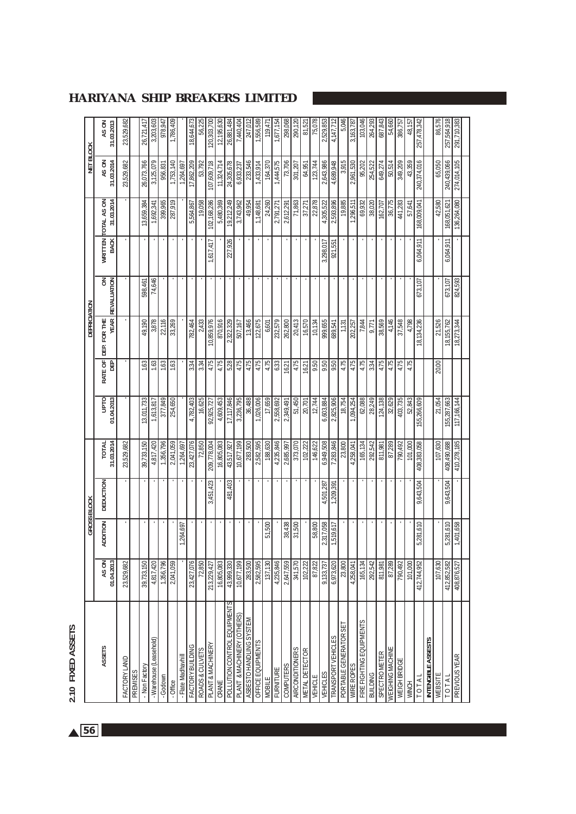| t. |  |
|----|--|
| ٦  |  |
|    |  |
|    |  |
|    |  |
| ı  |  |

| 2.10 FIXED ASSETS            |                     |                    |           |                     |                           |                 |              |             |                 |                                  |                     |                     |
|------------------------------|---------------------|--------------------|-----------|---------------------|---------------------------|-----------------|--------------|-------------|-----------------|----------------------------------|---------------------|---------------------|
|                              |                     | <b>GROSS BLOCK</b> |           |                     |                           |                 | DEPRICIATION |             |                 |                                  | <b>NET BLOCK</b>    |                     |
| <b>ASSETS</b>                | 01.04.2013<br>AS ON | <b>ADDITION</b>    | DEDUCTION | 31.03.2014<br>TOTAL | <b>DLdn</b><br>01.04.2013 | RATE OF<br>DEP  | DEP. FOR THE | REVALUATION | WRITTEN<br>BACK | 31.03.2014<br><b>TOTAL AS ON</b> | 31.03.2014<br>AS ON | 31.03.2013<br>AS ON |
| FACTORY LAND                 | 23,529,682          |                    |           | 23,529,682          |                           |                 |              |             |                 |                                  | 23,529,682          | 23,529,682          |
| PREMISES                     |                     |                    |           |                     |                           |                 |              |             |                 |                                  |                     |                     |
| - Non Factory                | 39,733,150          |                    |           | 39,733,150          | 13,011,733                | 1.63            | 49,190       | 598,461     |                 | 13,659,384                       | 26,073,766          | 26,721,417          |
| - Warehouse (Leasehold)      | 4,817,420           |                    |           | 4,817,420           | 1,613,817                 | 1.63            | 3,878        | 74,646      |                 | 1,692,341                        | 3,125,079           | 3,203,603           |
| -Godown                      | 1,356,796           |                    |           | 1,356,796           | 377,849                   | 1.63            | 22,116       |             |                 | 399,965                          | 956,831             | 978,947             |
| - Office                     | 2,041,059           |                    |           | 2,041,059           | 254,650                   | 1.63            | 33,269       |             |                 | 287,919                          | 1,753,140           | 1,786,409           |
| - Flate Madhavhil            |                     | 1,264,697          |           | 1,264,697           |                           |                 |              |             |                 |                                  | 1,264,697           |                     |
| FACTORY BUILDING             | 23,427,076          |                    |           | 23,427,076          | 4,782,403                 | 3.34            | 782,464      |             |                 | 5,564,867                        | 17,862,209          | 18,644,673          |
| ROADS & CULVETS              | 72,850              |                    |           | 72,850              | 16,625                    | 3.34            | 2,433        |             |                 | 19,058                           | 53,792              | 56,225              |
| PLANT & MACHINERY            | 213,229,427         |                    | 3,451,423 | 209,778,004         | 92,925,727                | 4.75            | 10,859,976   |             | 1,617,417       | 102,168,286                      | 107,609,718         | 120,303,700         |
| CRANE                        | 16,805,083          |                    |           | 16,805,083          | 4,609,453                 | 4.75            | 870,916      |             |                 | 5,480,369                        | 11,324,714          | 12,195,630          |
| POLLUTION CONTROL EQUIPMENTS | 43,999,330          |                    | 481,403   | 43,517,927          | 17,117,846                | 5.28            | 2,322,329    |             | 227,926         | 19,212,249                       | 24,305,678          | 26,881,484          |
| PLANT & MACHINERY (OTHERS)   | 10,677,199          |                    |           | 10,677,199          | 3,236,795                 | 4.75            | 507,167      |             |                 | 3,743,962                        | 6,933,237           | 7,440,404           |
| ASBESTO HANDLING SYSTEM      | 283,500             |                    |           | 283,500             | 36,488                    | 4.75            | 13,466       |             |                 | 49,954                           | 233,546             | 247,012             |
| OFFICE EQUIPMENTS            | 2,582,595           |                    |           | 2,582,595           | 1,026,006                 | 4.75            | 122,675      |             |                 | 1,148,681                        | 1,433,914           | 1,556,589           |
| <b>MOBILE</b>                | 137,130             | 51,500             |           | 188,630             | 17,659                    | 4.75            | 6,601        |             |                 | 24,260                           | 164,370             | 119,471             |
| <b>FURNITURE</b>             | 4,235,846           |                    |           | 4,235,846           | 2,558,692                 | 6.33            | 232,579      |             |                 | 2,791,271                        | 1,444,575           | 1,677,154           |
| <b>COMPUTERS</b>             | 2,647,559           | 38,438             |           | 2,685,997           | 2,349,491                 | 16.21           | 262,800      |             |                 | 2,612,291                        | 73,706              | 298,068             |
| <b>AIRCONDITIONERS</b>       | 341,570             | 31,500             |           | 373,070             | 51,450                    | 4.75            | 20,413       |             |                 | 71,863                           | 301,207             | 290,120             |
| METAL DETECTOR               | 102,222             |                    |           | 102,222             | 20,701                    | 16.21           | 16,570       |             |                 | 37,271                           | 64,951              | 81,521              |
| VEHICLE                      | 87,822              | 58,800             |           | 146,622             | 12.744                    | 9.50            | 10,134       |             |                 | 22,878                           | 123,744             | 75,078              |
| <b>VEHICLES</b>              | 9,133,737           | 2,317,058          | 4,501,287 | 6,949,508           | 6,603,884                 | 9.50            | 999,655      |             | 3,298,017       | 4,305,522                        | 2,643,986           | 2,529,853           |
| <b>TRANSPORT VEHICLES</b>    | 6,973,620           | 1,519,617          | 1,209,391 | 7,283,846           | 2,825,906                 | $\frac{6}{250}$ | 689,541      |             | 921,551         | 2,593,896                        | 4,689,948           | 4,147,712           |
| PORTABLE GENERATOR SE        | 23,800              |                    |           | 23,800              | 18,754                    | 4.75            | 1,131        |             |                 | 19,885                           | 3,915               | 5,046               |
| WIRE ROPES                   | 4,258,041           |                    |           | 4,258,041           | 1,094,254                 | 4.75            | 202,257      |             |                 | 1,296,511                        | 2,961,530           | 3,163,787           |
| FIRE FIGHTING EQUIPMENTS     | 165,134             |                    |           | 165,134             | 62,088                    | 4.75            | 7,844        |             |                 | 69,932                           | 95,202              | 103,046             |
| BUILDING                     | 292,542             |                    |           | 292,542             | 28,249                    | 3.34            | 9.771        |             |                 | 38,020                           | 254,522             | 264,293             |
| SPECTROMETER                 | 811,981             |                    |           | 811,981             | 124,138                   | 4.75            | 38,569       |             |                 | 162,707                          | 649,274             | 687,843             |
| WEIGHING MACHINE             | 87,289              |                    |           | 87,289              | 32,629                    | 4.75            | 4,146        |             |                 | 36,775                           | 50,514              | 54,660              |
| WEIGH BRIDGE                 | 790,492             |                    |           | 790,492             | 403,735                   | 4.75            | 37,548       |             |                 | 441,283                          | 349,209             | 386,757             |
| WINCH                        | 101,000             |                    |           | $\frac{101,000}{2}$ | 52,843                    | 4.75            | 4,798        |             |                 | 57,641                           | 43,359              | 48,157              |
| TOTA                         | 412,744,952         | 5,281,610          | 9,643,504 | 408,383,058         | 155,266,609               |                 | 18,134,236   | 673,107     | 6,064,911       | 168,009,041                      | 240,374,016         | 257,478,342         |
| <b>INTENGIBLE ASSESTS</b>    |                     |                    |           |                     |                           |                 |              |             |                 |                                  |                     |                     |
| WEBSITE                      | 107,630             |                    |           | 107,630             | 21,054                    | 20.00           | 21,526       |             |                 | 42,580                           | 65,050              | 86,576              |
| TO <sub>TA</sub>             | 412,852,582         | 5,281,610          | 9,643,504 | 408,490,688         | 155,287,663               |                 | 18,155,762   | 673,107     | 6,064,911       | 168,051,621                      | 240,439,066         | 257,564,918         |
| PREVIOUS YEAR                | 408,876,527         | 1,401,658          |           | 410,278,185         | 117,166,144               |                 | 18,273,344   | 824,593     |                 | 136,264,080                      | 274,014,105         | 291,710,383         |
|                              |                     |                    |           |                     |                           |                 |              |             |                 |                                  |                     |                     |

 $\triangle$  56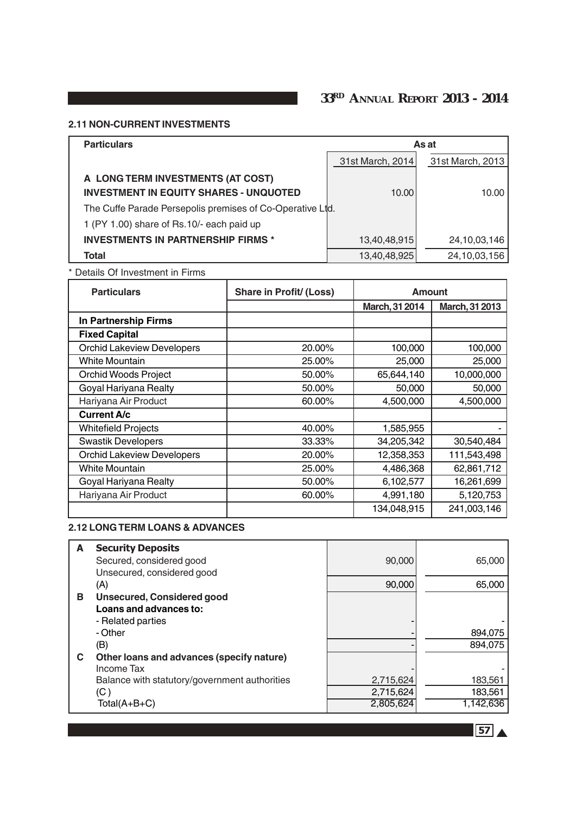# **2.11 NON-CURRENT INVESTMENTS**

| <b>Particulars</b>                                        |                  | As at            |
|-----------------------------------------------------------|------------------|------------------|
|                                                           | 31st March, 2014 | 31st March, 2013 |
| A LONG TERM INVESTMENTS (AT COST)                         |                  |                  |
| <b>INVESTMENT IN EQUITY SHARES - UNQUOTED</b>             | 10.00            | 10.00            |
| The Cuffe Parade Persepolis premises of Co-Operative Ltd. |                  |                  |
| 1 (PY 1.00) share of Rs.10/- each paid up                 |                  |                  |
| <b>INVESTMENTS IN PARTNERSHIP FIRMS *</b>                 | 13,40,48,915     | 24, 10, 03, 146  |
| Total                                                     | 13,40,48,925     | 24, 10, 03, 156  |

\* Details Of Investment in Firms

| <b>Particulars</b>                | <b>Share in Profit/ (Loss)</b> | Amount         |                |
|-----------------------------------|--------------------------------|----------------|----------------|
|                                   |                                | March, 31 2014 | March, 31 2013 |
| In Partnership Firms              |                                |                |                |
| <b>Fixed Capital</b>              |                                |                |                |
| <b>Orchid Lakeview Developers</b> | 20.00%                         | 100,000        | 100,000        |
| <b>White Mountain</b>             | 25.00%                         | 25,000         | 25,000         |
| <b>Orchid Woods Project</b>       | 50.00%                         | 65,644,140     | 10,000,000     |
| Goyal Hariyana Realty             | 50.00%                         | 50,000         | 50,000         |
| Hariyana Air Product              | 60.00%                         | 4,500,000      | 4,500,000      |
| <b>Current A/c</b>                |                                |                |                |
| <b>Whitefield Projects</b>        | 40.00%                         | 1,585,955      |                |
| <b>Swastik Developers</b>         | 33.33%                         | 34,205,342     | 30,540,484     |
| <b>Orchid Lakeview Developers</b> | 20.00%                         | 12,358,353     | 111,543,498    |
| <b>White Mountain</b>             | 25.00%                         | 4,486,368      | 62,861,712     |
| Goyal Hariyana Realty             | 50.00%                         | 6,102,577      | 16,261,699     |
| Hariyana Air Product              | 60.00%                         | 4,991,180      | 5,120,753      |
|                                   |                                | 134,048,915    | 241,003,146    |

#### **2.12 LONG TERM LOANS & ADVANCES**

| A | <b>Security Deposits</b><br>Secured, considered good<br>Unsecured, considered good | 90,000    | 65,000    |
|---|------------------------------------------------------------------------------------|-----------|-----------|
|   | (A)                                                                                | 90,000    | 65,000    |
| В | <b>Unsecured, Considered good</b>                                                  |           |           |
|   | Loans and advances to:                                                             |           |           |
|   | - Related parties                                                                  |           |           |
|   | - Other                                                                            |           | 894,075   |
|   | (B)                                                                                |           | 894,075   |
| С | Other loans and advances (specify nature)                                          |           |           |
|   | Income Tax                                                                         |           |           |
|   | Balance with statutory/government authorities                                      | 2,715,624 | 183,561   |
|   | (C)                                                                                | 2,715,624 | 183,561   |
|   | $Total(A+B+C)$                                                                     | 2,805,624 | 1,142,636 |

<u>57</u>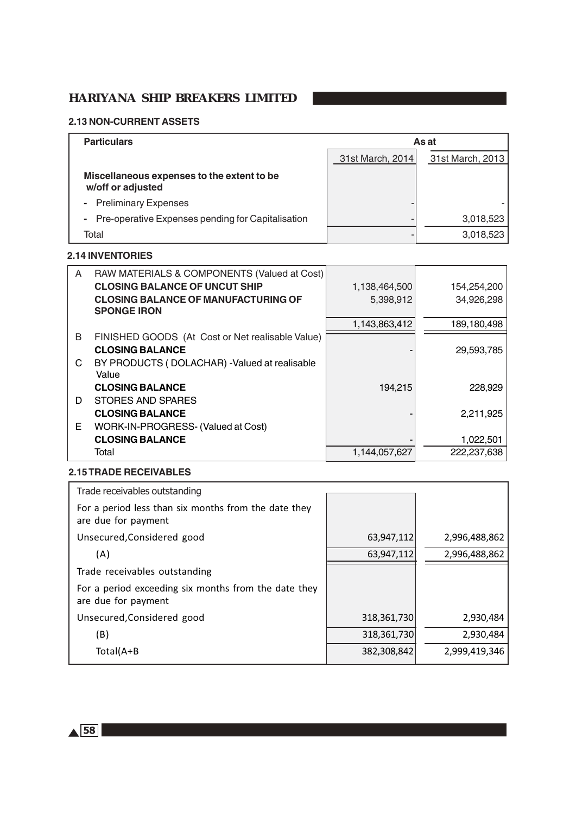#### **2.13 NON-CURRENT ASSETS**

| <b>Particulars</b>                                                  |                  | As at            |
|---------------------------------------------------------------------|------------------|------------------|
|                                                                     | 31st March, 2014 | 31st March, 2013 |
| Miscellaneous expenses to the extent to be<br>w/off or adjusted     |                  |                  |
| <b>Preliminary Expenses</b><br>$\blacksquare$                       |                  |                  |
| Pre-operative Expenses pending for Capitalisation<br>$\blacksquare$ |                  | 3,018,523        |
| Total                                                               |                  | 3,018,523        |

#### **2.14 INVENTORIES**

| A | RAW MATERIALS & COMPONENTS (Valued at Cost)      |               |             |
|---|--------------------------------------------------|---------------|-------------|
|   | <b>CLOSING BALANCE OF UNCUT SHIP</b>             | 1,138,464,500 | 154,254,200 |
|   | <b>CLOSING BALANCE OF MANUFACTURING OF</b>       | 5,398,912     | 34,926,298  |
|   | <b>SPONGE IRON</b>                               |               |             |
|   |                                                  | 1,143,863,412 | 189,180,498 |
| B | FINISHED GOODS (At Cost or Net realisable Value) |               |             |
|   | <b>CLOSING BALANCE</b>                           |               | 29,593,785  |
| C | BY PRODUCTS (DOLACHAR) - Valued at realisable    |               |             |
|   | Value                                            |               |             |
|   | <b>CLOSING BALANCE</b>                           | 194,215       | 228,929     |
| D | <b>STORES AND SPARES</b>                         |               |             |
|   | <b>CLOSING BALANCE</b>                           |               | 2,211,925   |
| Е | WORK-IN-PROGRESS- (Valued at Cost)               |               |             |
|   | <b>CLOSING BALANCE</b>                           |               | 1,022,501   |
|   | Total                                            | 1,144,057,627 | 222,237,638 |

# **2.15 TRADE RECEIVABLES**

| Trade receivables outstanding                                               |             |               |
|-----------------------------------------------------------------------------|-------------|---------------|
| For a period less than six months from the date they<br>are due for payment |             |               |
| Unsecured, Considered good                                                  | 63,947,112  | 2,996,488,862 |
| (A)                                                                         | 63,947,112  | 2,996,488,862 |
| Trade receivables outstanding                                               |             |               |
| For a period exceeding six months from the date they<br>are due for payment |             |               |
| Unsecured, Considered good                                                  | 318,361,730 | 2,930,484     |
| (B)                                                                         | 318,361,730 | 2,930,484     |
| Total(A+B                                                                   | 382,308,842 | 2,999,419,346 |

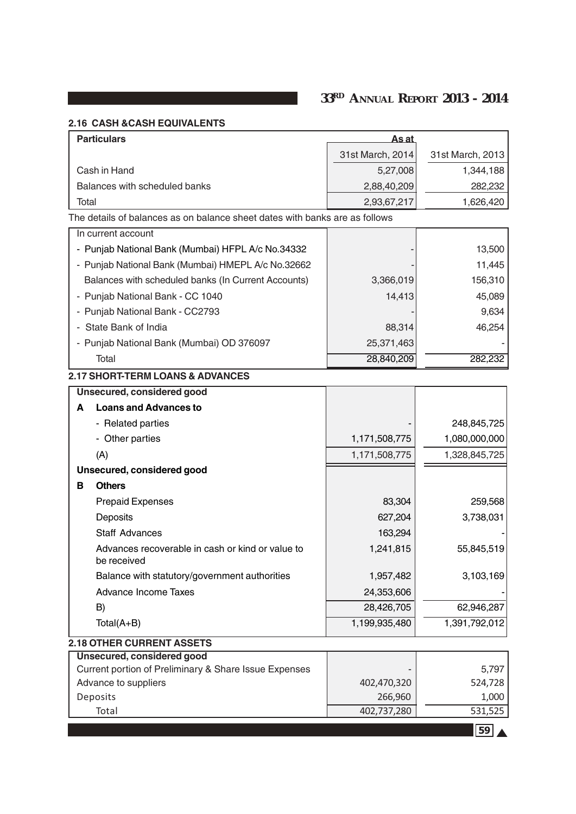# **2.16 CASH &CASH EQUIVALENTS**

| <b>Particulars</b>                                                          | <u>As at</u>           |                  |
|-----------------------------------------------------------------------------|------------------------|------------------|
|                                                                             | 31st March, 2014       | 31st March, 2013 |
| Cash in Hand                                                                | 5,27,008               | 1,344,188        |
| Balances with scheduled banks                                               | 2,88,40,209            | 282,232          |
| Total                                                                       | 2,93,67,217            | 1,626,420        |
| The details of balances as on balance sheet dates with banks are as follows |                        |                  |
| In current account                                                          |                        |                  |
| - Punjab National Bank (Mumbai) HFPL A/c No.34332                           |                        | 13,500           |
| - Punjab National Bank (Mumbai) HMEPL A/c No.32662                          |                        | 11,445           |
| Balances with scheduled banks (In Current Accounts)                         | 3,366,019              | 156,310          |
| - Punjab National Bank - CC 1040                                            | 14,413                 | 45,089           |
| - Punjab National Bank - CC2793                                             |                        | 9,634            |
| - State Bank of India                                                       | 88,314                 | 46,254           |
| - Punjab National Bank (Mumbai) OD 376097                                   | 25,371,463             |                  |
| Total                                                                       | 28,840,209             | 282,232          |
| <b>2.17 SHORT-TERM LOANS &amp; ADVANCES</b>                                 |                        |                  |
| Unsecured, considered good                                                  |                        |                  |
| <b>Loans and Advances to</b><br>A                                           |                        |                  |
| - Related parties                                                           |                        | 248,845,725      |
| - Other parties                                                             | 1,171,508,775          | 1,080,000,000    |
| (A)                                                                         | 1,171,508,775          | 1,328,845,725    |
| Unsecured, considered good                                                  |                        |                  |
| в<br><b>Others</b>                                                          |                        |                  |
| <b>Prepaid Expenses</b>                                                     | 83,304                 | 259,568          |
| Deposits                                                                    | 627,204                | 3,738,031        |
| <b>Staff Advances</b>                                                       | 163,294                |                  |
| Advances recoverable in cash or kind or value to<br>be received             | 1,241,815              | 55,845,519       |
| Balance with statutory/government authorities                               | 1,957,482              | 3,103,169        |
| Advance Income Taxes                                                        | 24,353,606             |                  |
| B)                                                                          | 28,426,705             | 62,946,287       |
| $Total(A+B)$                                                                | 1,199,935,480          | 1,391,792,012    |
| <b>2.18 OTHER CURRENT ASSETS</b>                                            |                        |                  |
| <b>Unsecured, considered good</b>                                           |                        |                  |
| Current portion of Preliminary & Share Issue Expenses                       |                        | 5,797            |
| Advance to suppliers<br>Deposits                                            | 402,470,320<br>266,960 | 524,728<br>1,000 |
| Total                                                                       | 402,737,280            | 531,525          |
|                                                                             |                        |                  |
|                                                                             |                        | 59               |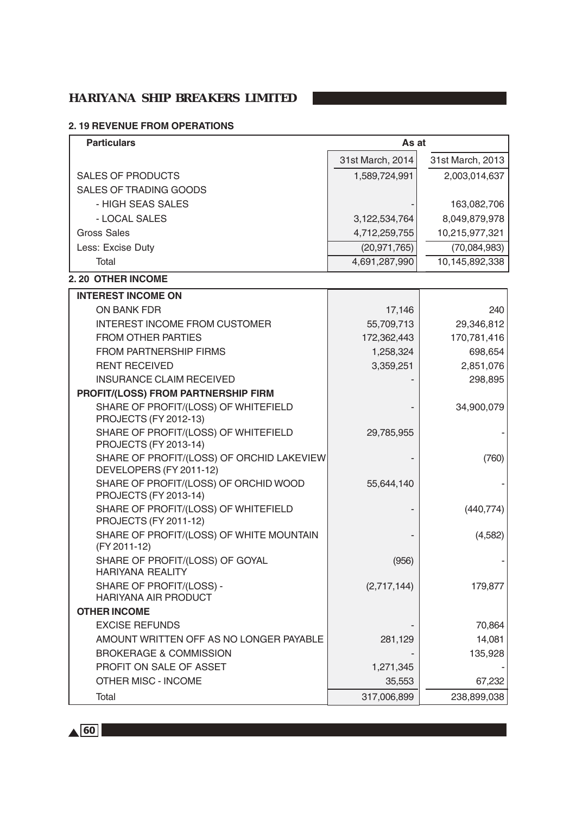# **2. 19 REVENUE FROM OPERATIONS**

| <b>Particulars</b>                                                   | As at            |                  |
|----------------------------------------------------------------------|------------------|------------------|
|                                                                      | 31st March, 2014 | 31st March, 2013 |
| <b>SALES OF PRODUCTS</b>                                             | 1,589,724,991    | 2,003,014,637    |
| SALES OF TRADING GOODS                                               |                  |                  |
| - HIGH SEAS SALES                                                    |                  | 163,082,706      |
| - LOCAL SALES                                                        | 3, 122, 534, 764 | 8,049,879,978    |
| <b>Gross Sales</b>                                                   | 4,712,259,755    | 10,215,977,321   |
| Less: Excise Duty                                                    | (20, 971, 765)   | (70,084,983)     |
| Total                                                                | 4,691,287,990    | 10,145,892,338   |
| 2.20 OTHER INCOME                                                    |                  |                  |
| <b>INTEREST INCOME ON</b>                                            |                  |                  |
| ON BANK FDR                                                          | 17,146           | 240              |
| <b>INTEREST INCOME FROM CUSTOMER</b>                                 | 55,709,713       | 29,346,812       |
| <b>FROM OTHER PARTIES</b>                                            | 172,362,443      | 170,781,416      |
| <b>FROM PARTNERSHIP FIRMS</b>                                        | 1,258,324        | 698,654          |
| <b>RENT RECEIVED</b>                                                 | 3,359,251        | 2,851,076        |
| <b>INSURANCE CLAIM RECEIVED</b>                                      |                  | 298,895          |
| PROFIT/(LOSS) FROM PARTNERSHIP FIRM                                  |                  |                  |
| SHARE OF PROFIT/(LOSS) OF WHITEFIELD<br>PROJECTS (FY 2012-13)        |                  | 34,900,079       |
| SHARE OF PROFIT/(LOSS) OF WHITEFIELD<br>PROJECTS (FY 2013-14)        | 29,785,955       |                  |
| SHARE OF PROFIT/(LOSS) OF ORCHID LAKEVIEW<br>DEVELOPERS (FY 2011-12) |                  | (760)            |
| SHARE OF PROFIT/(LOSS) OF ORCHID WOOD<br>PROJECTS (FY 2013-14)       | 55,644,140       |                  |
| SHARE OF PROFIT/(LOSS) OF WHITEFIELD<br>PROJECTS (FY 2011-12)        |                  | (440, 774)       |
| SHARE OF PROFIT/(LOSS) OF WHITE MOUNTAIN<br>(FY 2011-12)             |                  | (4,582)          |
| SHARE OF PROFIT/(LOSS) OF GOYAL<br><b>HARIYANA REALITY</b>           | (956)            |                  |
| SHARE OF PROFIT/(LOSS) -<br><b>HARIYANA AIR PRODUCT</b>              | (2,717,144)      | 179,877          |
| <b>OTHER INCOME</b>                                                  |                  |                  |
| <b>EXCISE REFUNDS</b>                                                |                  | 70,864           |
| AMOUNT WRITTEN OFF AS NO LONGER PAYABLE                              | 281,129          | 14,081           |
| <b>BROKERAGE &amp; COMMISSION</b>                                    |                  | 135,928          |
| PROFIT ON SALE OF ASSET                                              | 1,271,345        |                  |
| <b>OTHER MISC - INCOME</b>                                           | 35,553           | 67,232           |
| Total                                                                | 317,006,899      | 238,899,038      |

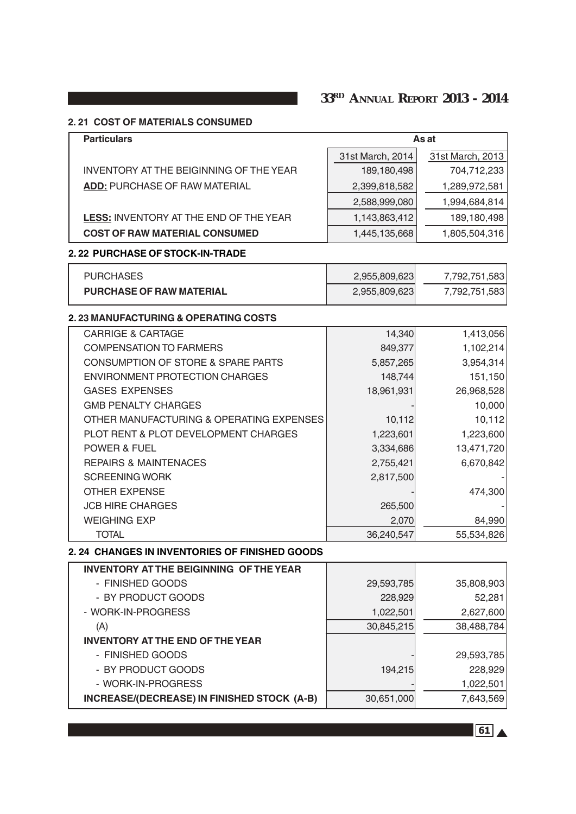# **2. 21 COST OF MATERIALS CONSUMED**

| <b>Particulars</b>                                   | As at                   |                  |  |
|------------------------------------------------------|-------------------------|------------------|--|
|                                                      | 31st March, 2014        | 31st March, 2013 |  |
| INVENTORY AT THE BEIGINNING OF THE YEAR              | 189,180,498             | 704,712,233      |  |
| <b>ADD: PURCHASE OF RAW MATERIAL</b>                 | 2,399,818,582           | 1,289,972,581    |  |
|                                                      | 2,588,999,080           | 1,994,684,814    |  |
| <b>LESS: INVENTORY AT THE END OF THE YEAR</b>        | 1,143,863,412           | 189,180,498      |  |
| <b>COST OF RAW MATERIAL CONSUMED</b>                 | 1,445,135,668           | 1,805,504,316    |  |
| 2.22 PURCHASE OF STOCK-IN-TRADE                      |                         |                  |  |
| <b>PURCHASES</b>                                     | 2,955,809,623           | 7,792,751,583    |  |
| <b>PURCHASE OF RAW MATERIAL</b>                      | 2,955,809,623           | 7,792,751,583    |  |
| 2.23 MANUFACTURING & OPERATING COSTS                 |                         |                  |  |
| <b>CARRIGE &amp; CARTAGE</b>                         | 14,340                  | 1,413,056        |  |
| <b>COMPENSATION TO FARMERS</b>                       | 849,377                 | 1,102,214        |  |
| <b>CONSUMPTION OF STORE &amp; SPARE PARTS</b>        | 5,857,265               | 3,954,314        |  |
| <b>ENVIRONMENT PROTECTION CHARGES</b>                | 148,744                 | 151,150          |  |
| <b>GASES EXPENSES</b>                                | 18,961,931              | 26,968,528       |  |
| <b>GMB PENALTY CHARGES</b>                           |                         | 10,000           |  |
| OTHER MANUFACTURING & OPERATING EXPENSES             | 10,112                  | 10,112           |  |
| PLOT RENT & PLOT DEVELOPMENT CHARGES                 | 1,223,601               | 1,223,600        |  |
| <b>POWER &amp; FUEL</b>                              | 13,471,720<br>3,334,686 |                  |  |
| <b>REPAIRS &amp; MAINTENACES</b>                     | 2,755,421               | 6,670,842        |  |
| <b>SCREENING WORK</b>                                | 2,817,500               |                  |  |
| <b>OTHER EXPENSE</b>                                 |                         | 474,300          |  |
| <b>JCB HIRE CHARGES</b>                              | 265,500                 |                  |  |
| <b>WEIGHING EXP</b>                                  | 2,070                   | 84,990           |  |
| <b>TOTAL</b>                                         | 36,240,547              | 55,534,826       |  |
| <b>2.24 CHANGES IN INVENTORIES OF FINISHED GOODS</b> |                         |                  |  |
| <b>INVENTORY AT THE BEIGINNING OF THE YEAR</b>       |                         |                  |  |
| - FINISHED GOODS                                     | 29,593,785              | 35,808,903       |  |
| - BY PRODUCT GOODS                                   | 228,929                 | 52,281           |  |
| - WORK-IN-PROGRESS                                   | 1,022,501               | 2,627,600        |  |
| (A)                                                  | 30,845,215              | 38,488,784       |  |
| <b>INVENTORY AT THE END OF THE YEAR</b>              |                         |                  |  |
| - FINISHED GOODS                                     |                         | 29,593,785       |  |
| - BY PRODUCT GOODS                                   | 194,215                 | 228,929          |  |
| - WORK-IN-PROGRESS                                   |                         | 1,022,501        |  |
| INCREASE/(DECREASE) IN FINISHED STOCK (A-B)          | 30,651,000              | 7,643,569        |  |

e de la construcción de la construcción de la construcción de la construcción de la construcción <mark>61.</mark> A la cons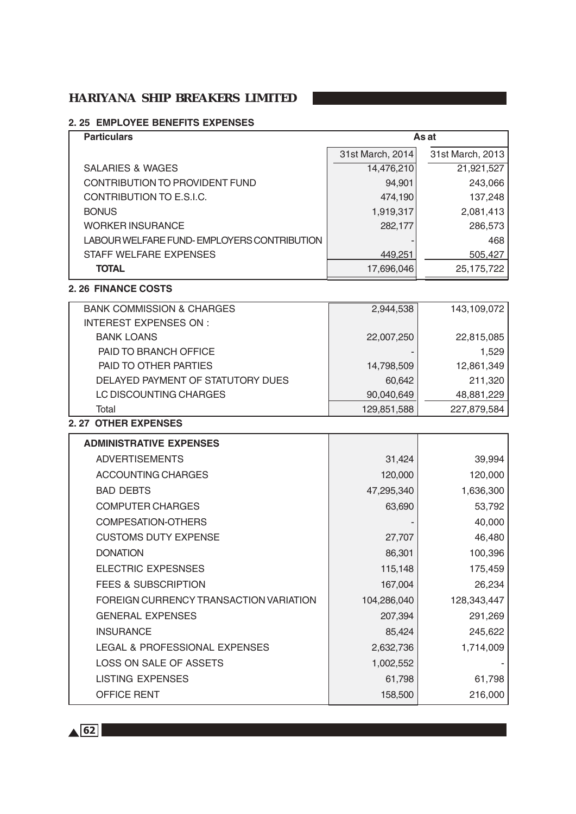# **2. 25 EMPLOYEE BENEFITS EXPENSES**

| <b>Particulars</b>                          | As at            |                  |  |
|---------------------------------------------|------------------|------------------|--|
|                                             | 31st March, 2014 | 31st March, 2013 |  |
| <b>SALARIES &amp; WAGES</b>                 | 14,476,210       | 21,921,527       |  |
| CONTRIBUTION TO PROVIDENT FUND              | 94,901           | 243,066          |  |
| CONTRIBUTION TO E.S.I.C.                    | 474,190          | 137,248          |  |
| <b>BONUS</b>                                | 1,919,317        | 2,081,413        |  |
| <b>WORKER INSURANCE</b>                     | 282,177          | 286,573          |  |
| LABOUR WELFARE FUND- EMPLOYERS CONTRIBUTION |                  | 468              |  |
| STAFF WELFARE EXPENSES                      | 449,251          | 505,427          |  |
| <b>TOTAL</b>                                | 17,696,046       | 25, 175, 722     |  |
| 2.26 FINANCE COSTS                          |                  |                  |  |
| <b>BANK COMMISSION &amp; CHARGES</b>        | 2,944,538        | 143,109,072      |  |
| <b>INTEREST EXPENSES ON:</b>                |                  |                  |  |
| <b>BANK LOANS</b>                           | 22,007,250       | 22,815,085       |  |
| PAID TO BRANCH OFFICE                       |                  | 1,529            |  |
| PAID TO OTHER PARTIES                       | 14,798,509       | 12,861,349       |  |
| DELAYED PAYMENT OF STATUTORY DUES           | 60,642           | 211,320          |  |
| LC DISCOUNTING CHARGES                      | 90,040,649       | 48,881,229       |  |
| Total                                       | 129,851,588      | 227,879,584      |  |
| 2.27 OTHER EXPENSES                         |                  |                  |  |
| <b>ADMINISTRATIVE EXPENSES</b>              |                  |                  |  |
| <b>ADVERTISEMENTS</b>                       | 31,424           | 39,994           |  |
| ACCOUNTING CHARGES                          | 120,000          | 120,000          |  |
| <b>BAD DEBTS</b>                            | 47,295,340       | 1,636,300        |  |
| <b>COMPUTER CHARGES</b>                     | 63,690           | 53,792           |  |
| <b>COMPESATION-OTHERS</b>                   |                  | 40,000           |  |
| <b>CUSTOMS DUTY EXPENSE</b>                 | 27,707           | 46,480           |  |
| <b>DONATION</b>                             | 86,301           | 100,396          |  |
| <b>ELECTRIC EXPESNSES</b>                   | 115,148          | 175,459          |  |
| <b>FEES &amp; SUBSCRIPTION</b>              | 167,004          | 26,234           |  |
| FOREIGN CURRENCY TRANSACTION VARIATION      | 104,286,040      | 128,343,447      |  |
| <b>GENERAL EXPENSES</b>                     | 207,394          | 291,269          |  |
| <b>INSURANCE</b>                            | 85,424           | 245,622          |  |
| LEGAL & PROFESSIONAL EXPENSES               | 2,632,736        | 1,714,009        |  |
| LOSS ON SALE OF ASSETS                      | 1,002,552        |                  |  |
| <b>LISTING EXPENSES</b>                     | 61,798           | 61,798           |  |
| OFFICE RENT                                 | 158,500          | 216,000          |  |
|                                             |                  |                  |  |

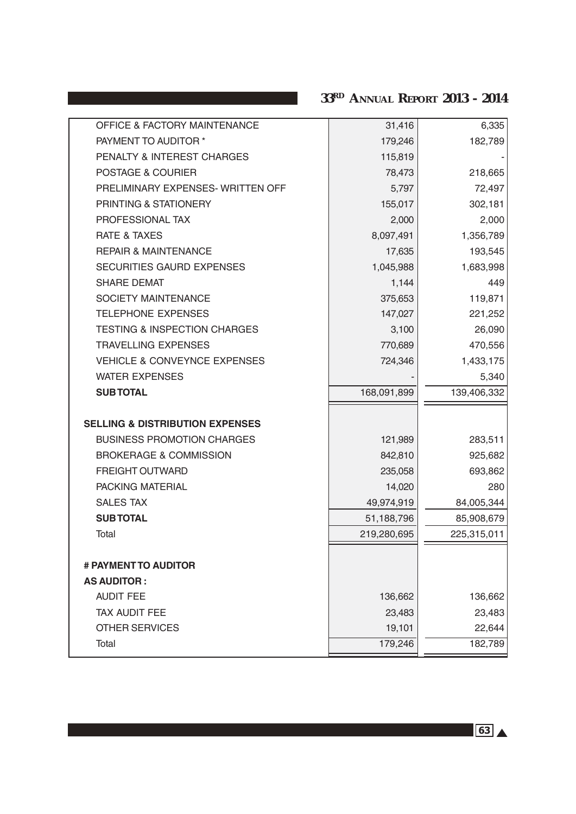| <b>OFFICE &amp; FACTORY MAINTENANCE</b>    | 31,416      | 6,335       |
|--------------------------------------------|-------------|-------------|
| PAYMENT TO AUDITOR *                       | 179,246     | 182,789     |
| PENALTY & INTEREST CHARGES                 | 115,819     |             |
| POSTAGE & COURIER                          | 78,473      | 218,665     |
| PRELIMINARY EXPENSES-WRITTEN OFF           | 5,797       | 72,497      |
| PRINTING & STATIONERY                      | 155,017     | 302,181     |
| PROFESSIONAL TAX                           | 2,000       | 2,000       |
| <b>RATE &amp; TAXES</b>                    | 8,097,491   | 1,356,789   |
| <b>REPAIR &amp; MAINTENANCE</b>            | 17,635      | 193,545     |
| SECURITIES GAURD EXPENSES                  | 1,045,988   | 1,683,998   |
| <b>SHARE DEMAT</b>                         | 1,144       | 449         |
| <b>SOCIETY MAINTENANCE</b>                 | 375,653     | 119,871     |
| <b>TELEPHONE EXPENSES</b>                  | 147,027     | 221,252     |
| <b>TESTING &amp; INSPECTION CHARGES</b>    | 3,100       | 26,090      |
| <b>TRAVELLING EXPENSES</b>                 | 770,689     | 470,556     |
| <b>VEHICLE &amp; CONVEYNCE EXPENSES</b>    | 724,346     | 1,433,175   |
| <b>WATER EXPENSES</b>                      |             | 5,340       |
|                                            |             |             |
| <b>SUBTOTAL</b>                            | 168,091,899 | 139,406,332 |
| <b>SELLING &amp; DISTRIBUTION EXPENSES</b> |             |             |
| <b>BUSINESS PROMOTION CHARGES</b>          | 121,989     | 283,511     |
| <b>BROKERAGE &amp; COMMISSION</b>          | 842,810     | 925,682     |
| <b>FREIGHT OUTWARD</b>                     | 235,058     | 693,862     |
| PACKING MATERIAL                           | 14,020      | 280         |
| <b>SALES TAX</b>                           | 49,974,919  | 84,005,344  |
| <b>SUBTOTAL</b>                            | 51,188,796  | 85,908,679  |
| Total                                      | 219,280,695 | 225,315,011 |
|                                            |             |             |
| # PAYMENT TO AUDITOR                       |             |             |
| <b>AS AUDITOR:</b>                         |             |             |
| <b>AUDIT FEE</b>                           | 136,662     | 136,662     |
| TAX AUDIT FEE                              | 23,483      | 23,483      |
| <b>OTHER SERVICES</b>                      | 19,101      | 22,644      |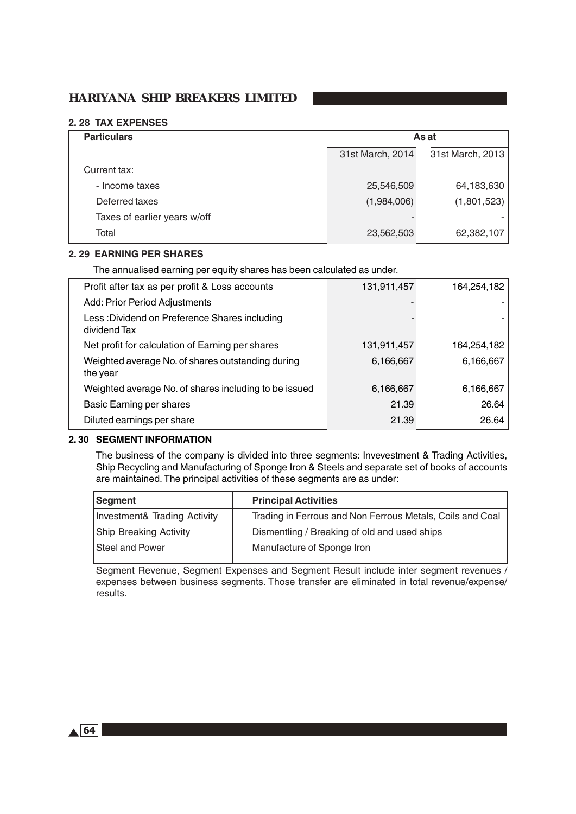#### **2. 28 TAX EXPENSES**

| <b>Particulars</b>           | As at                                |             |  |
|------------------------------|--------------------------------------|-------------|--|
|                              | 31st March, 2014<br>31st March, 2013 |             |  |
| Current tax:                 |                                      |             |  |
| - Income taxes               | 25,546,509                           | 64,183,630  |  |
| Deferred taxes               | (1,984,006)                          | (1,801,523) |  |
| Taxes of earlier years w/off | $\blacksquare$                       |             |  |
| Total                        | 23,562,503                           | 62,382,107  |  |

#### **2. 29 EARNING PER SHARES**

The annualised earning per equity shares has been calculated as under.

| Profit after tax as per profit & Loss accounts                | 131,911,457 | 164,254,182 |
|---------------------------------------------------------------|-------------|-------------|
| Add: Prior Period Adjustments                                 |             |             |
| Less: Dividend on Preference Shares including<br>dividend Tax |             |             |
| Net profit for calculation of Earning per shares              | 131,911,457 | 164,254,182 |
| Weighted average No. of shares outstanding during<br>the year | 6,166,667   | 6,166,667   |
| Weighted average No. of shares including to be issued         | 6,166,667   | 6,166,667   |
| <b>Basic Earning per shares</b>                               | 21.39       | 26.64       |
| Diluted earnings per share                                    | 21.39       | 26.64       |

#### **2. 30 SEGMENT INFORMATION**

The business of the company is divided into three segments: Invevestment & Trading Activities, Ship Recycling and Manufacturing of Sponge Iron & Steels and separate set of books of accounts are maintained. The principal activities of these segments are as under:

| <b>Principal Activities</b>                               |
|-----------------------------------------------------------|
| Trading in Ferrous and Non Ferrous Metals, Coils and Coal |
| Dismentling / Breaking of old and used ships              |
| Manufacture of Sponge Iron                                |
|                                                           |

Segment Revenue, Segment Expenses and Segment Result include inter segment revenues / expenses between business segments. Those transfer are eliminated in total revenue/expense/ results.

 $\triangle$  64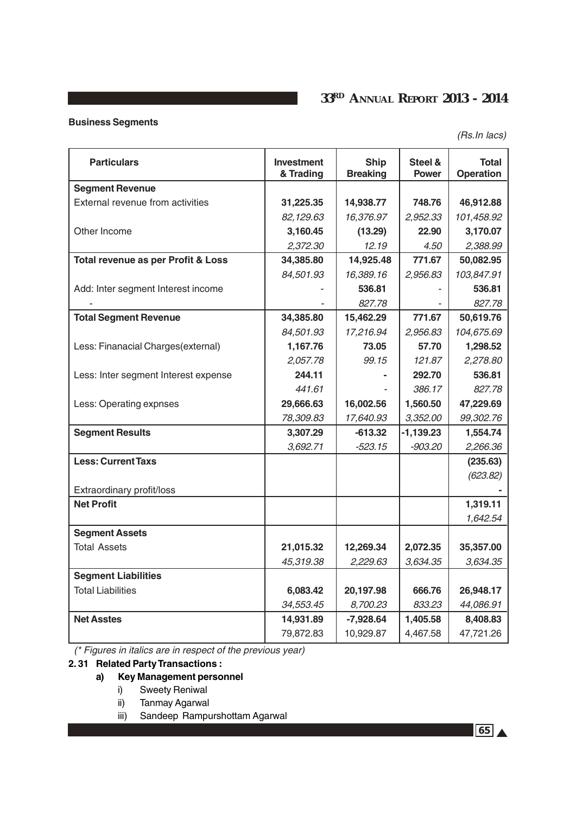# **Business Segments**

(Rs.In lacs)

| <b>Particulars</b>                   | <b>Investment</b><br>& Trading | <b>Ship</b><br><b>Breaking</b> | Steel &<br><b>Power</b> | <b>Total</b><br><b>Operation</b> |
|--------------------------------------|--------------------------------|--------------------------------|-------------------------|----------------------------------|
| <b>Segment Revenue</b>               |                                |                                |                         |                                  |
| External revenue from activities     | 31,225.35                      | 14,938.77                      | 748.76                  | 46,912.88                        |
|                                      | 82,129.63                      | 16,376.97                      | 2,952.33                | 101,458.92                       |
| Other Income                         | 3,160.45                       | (13.29)                        | 22.90                   | 3,170.07                         |
|                                      | 2,372.30                       | 12.19                          | 4.50                    | 2,388.99                         |
| Total revenue as per Profit & Loss   | 34,385.80                      | 14,925.48                      | 771.67                  | 50,082.95                        |
|                                      | 84,501.93                      | 16,389.16                      | 2,956.83                | 103,847.91                       |
| Add: Inter segment Interest income   |                                | 536.81                         |                         | 536.81                           |
|                                      |                                | 827.78                         |                         | 827.78                           |
| <b>Total Segment Revenue</b>         | 34,385.80                      | 15,462.29                      | 771.67                  | 50,619.76                        |
|                                      | 84,501.93                      | 17,216.94                      | 2,956.83                | 104,675.69                       |
| Less: Finanacial Charges(external)   | 1,167.76                       | 73.05                          | 57.70                   | 1,298.52                         |
|                                      | 2,057.78                       | 99.15                          | 121.87                  | 2,278.80                         |
| Less: Inter segment Interest expense | 244.11                         |                                | 292.70                  | 536.81                           |
|                                      | 441.61                         |                                | 386.17                  | 827.78                           |
| Less: Operating expnses              | 29,666.63                      | 16,002.56                      | 1,560.50                | 47,229.69                        |
|                                      | 78,309.83                      | 17,640.93                      | 3,352.00                | 99,302.76                        |
| <b>Segment Results</b>               | 3,307.29                       | $-613.32$                      | $-1,139.23$             | 1,554.74                         |
|                                      | 3,692.71                       | -523.15                        | -903.20                 | 2,266.36                         |
| <b>Less: Current Taxs</b>            |                                |                                |                         | (235.63)                         |
|                                      |                                |                                |                         | (623.82)                         |
| Extraordinary profit/loss            |                                |                                |                         |                                  |
| <b>Net Profit</b>                    |                                |                                |                         | 1,319.11                         |
|                                      |                                |                                |                         | 1,642.54                         |
| <b>Segment Assets</b>                |                                |                                |                         |                                  |
| <b>Total Assets</b>                  | 21,015.32                      | 12,269.34                      | 2,072.35                | 35,357.00                        |
|                                      | 45,319.38                      | 2,229.63                       | 3,634.35                | 3,634.35                         |
| <b>Segment Liabilities</b>           |                                |                                |                         |                                  |
| <b>Total Liabilities</b>             | 6,083.42                       | 20,197.98                      | 666.76                  | 26,948.17                        |
|                                      | 34,553.45                      | 8,700.23                       | 833.23                  | 44,086.91                        |
| <b>Net Asstes</b>                    | 14,931.89                      | $-7,928.64$                    | 1,405.58                | 8,408.83                         |
|                                      | 79,872.83                      | 10,929.87                      | 4,467.58                | 47,721.26                        |

(\* Figures in italics are in respect of the previous year)

# **2. 31 Related Party Transactions :**

### **a) Key Management personnel**

- i) Sweety Reniwal
- ii) Tanmay Agarwal
- iii) Sandeep Rampurshottam Agarwal

65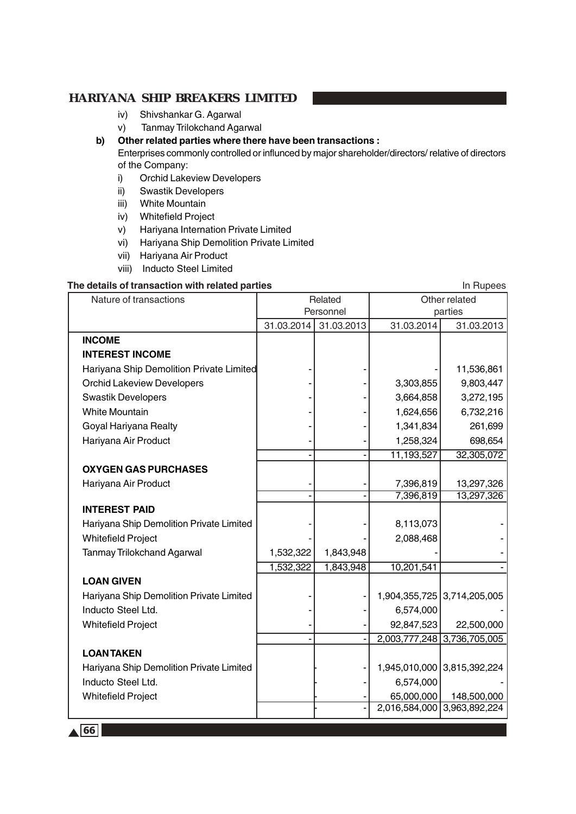- iv) Shivshankar G. Agarwal
- v) Tanmay Trilokchand Agarwal
- **b) Other related parties where there have been transactions :**

Enterprises commonly controlled or influnced by major shareholder/directors/ relative of directors of the Company:

- i) Orchid Lakeview Developers
- ii) Swastik Developers
- iii) White Mountain
- iv) Whitefield Project
- v) Hariyana Internation Private Limited
- vi) Hariyana Ship Demolition Private Limited
- vii) Hariyana Air Product
- viii) Inducto Steel Limited

#### **The details of transaction with related parties In Rupees** In Rupees

| Nature of transactions                   | Related    |            | Other related |                             |
|------------------------------------------|------------|------------|---------------|-----------------------------|
|                                          | Personnel  |            | parties       |                             |
|                                          | 31.03.2014 | 31.03.2013 | 31.03.2014    | 31.03.2013                  |
| <b>INCOME</b>                            |            |            |               |                             |
| <b>INTEREST INCOME</b>                   |            |            |               |                             |
| Hariyana Ship Demolition Private Limited |            |            |               | 11,536,861                  |
| <b>Orchid Lakeview Developers</b>        |            |            | 3,303,855     | 9,803,447                   |
| <b>Swastik Developers</b>                |            |            | 3,664,858     | 3,272,195                   |
| <b>White Mountain</b>                    |            |            | 1,624,656     | 6,732,216                   |
| Goyal Hariyana Realty                    |            |            | 1,341,834     | 261,699                     |
| Hariyana Air Product                     |            |            | 1,258,324     | 698,654                     |
|                                          |            |            | 11,193,527    | 32,305,072                  |
| <b>OXYGEN GAS PURCHASES</b>              |            |            |               |                             |
| Hariyana Air Product                     |            |            | 7,396,819     | 13,297,326                  |
|                                          |            |            | 7,396,819     | 13,297,326                  |
| <b>INTEREST PAID</b>                     |            |            |               |                             |
| Hariyana Ship Demolition Private Limited |            |            | 8,113,073     |                             |
| <b>Whitefield Project</b>                |            |            | 2,088,468     |                             |
| <b>Tanmay Trilokchand Agarwal</b>        | 1,532,322  | 1,843,948  |               |                             |
|                                          | 1,532,322  | 1,843,948  | 10,201,541    |                             |
| <b>LOAN GIVEN</b>                        |            |            |               |                             |
| Hariyana Ship Demolition Private Limited |            |            |               | 1,904,355,725 3,714,205,005 |
| Inducto Steel Ltd.                       |            |            | 6,574,000     |                             |
| <b>Whitefield Project</b>                |            |            | 92,847,523    | 22,500,000                  |
|                                          |            |            |               | 2,003,777,248 3,736,705,005 |
| <b>LOANTAKEN</b>                         |            |            |               |                             |
| Hariyana Ship Demolition Private Limited |            |            |               | 1,945,010,000 3,815,392,224 |
| Inducto Steel Ltd.                       |            |            | 6,574,000     |                             |
| <b>Whitefield Project</b>                |            |            | 65,000,000    | 148,500,000                 |
|                                          |            |            |               | 2,016,584,000 3,963,892,224 |
|                                          |            |            |               |                             |

 $\triangle$  66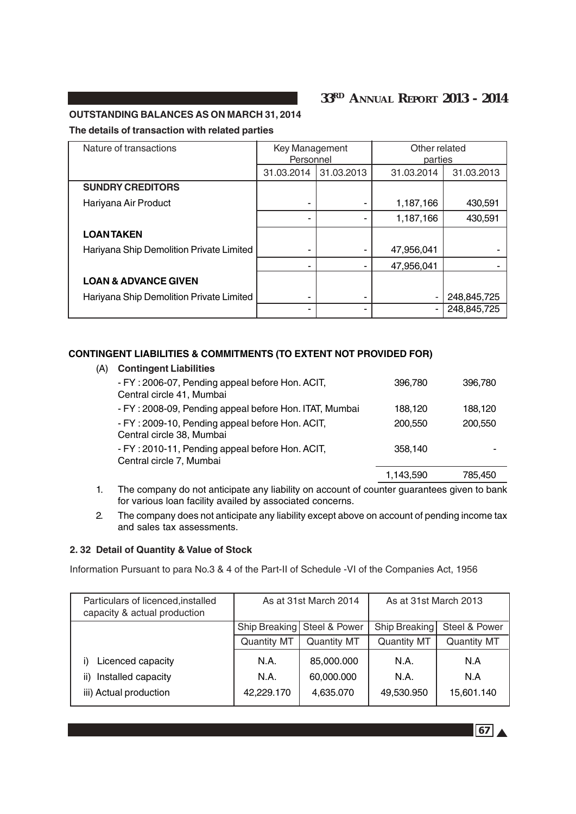# **33RD ANNUAL REPORT 2013 - 2014**

#### **OUTSTANDING BALANCES AS ON MARCH 31, 2014**

#### **The details of transaction with related parties**

| Nature of transactions                   | Key Management<br>Personnel |            | Other related<br>parties |             |
|------------------------------------------|-----------------------------|------------|--------------------------|-------------|
|                                          | 31.03.2014                  | 31.03.2013 | 31.03.2014               | 31.03.2013  |
| <b>SUNDRY CREDITORS</b>                  |                             |            |                          |             |
| Hariyana Air Product                     |                             |            | 1,187,166                | 430,591     |
|                                          |                             |            | 1,187,166                | 430,591     |
| <b>LOANTAKEN</b>                         |                             |            |                          |             |
| Hariyana Ship Demolition Private Limited |                             |            | 47,956,041               |             |
|                                          |                             |            | 47,956,041               |             |
| <b>LOAN &amp; ADVANCE GIVEN</b>          |                             |            |                          |             |
| Hariyana Ship Demolition Private Limited | -                           | ۰          |                          | 248,845,725 |
|                                          |                             |            |                          | 248,845,725 |

#### **CONTINGENT LIABILITIES & COMMITMENTS (TO EXTENT NOT PROVIDED FOR)**

| (A) | <b>Contingent Liabilities</b>                                                |           |         |
|-----|------------------------------------------------------------------------------|-----------|---------|
|     | - FY: 2006-07, Pending appeal before Hon. ACIT,<br>Central circle 41, Mumbai | 396.780   | 396,780 |
|     | - FY: 2008-09, Pending appeal before Hon. ITAT, Mumbai                       | 188.120   | 188,120 |
|     | - FY: 2009-10, Pending appeal before Hon. ACIT,<br>Central circle 38, Mumbai | 200,550   | 200,550 |
|     | - FY: 2010-11, Pending appeal before Hon. ACIT,<br>Central circle 7, Mumbai  | 358,140   |         |
|     |                                                                              | 1,143,590 | 785.450 |

- 1. The company do not anticipate any liability on account of counter guarantees given to bank for various loan facility availed by associated concerns.
- 2. The company does not anticipate any liability except above on account of pending income tax and sales tax assessments.

#### **2. 32 Detail of Quantity & Value of Stock**

Information Pursuant to para No.3 & 4 of the Part-II of Schedule -VI of the Companies Act, 1956

| Particulars of licenced, installed<br>capacity & actual production | As at 31st March 2014          |             | As at 31st March 2013 |                    |
|--------------------------------------------------------------------|--------------------------------|-------------|-----------------------|--------------------|
|                                                                    | Steel & Power<br>Ship Breaking |             | Ship Breaking         | Steel & Power      |
|                                                                    | <b>Quantity MT</b>             | Quantity MT | <b>Quantity MT</b>    | <b>Quantity MT</b> |
| Licenced capacity                                                  | N.A.                           | 85,000.000  | N.A.                  | N.A                |
| Installed capacity<br>ii)                                          | N.A.                           | 60,000.000  | N.A.                  | N.A                |
| iii) Actual production                                             | 42,229.170                     | 4,635.070   | 49,530.950            | 15,601.140         |

 $\boxed{67}$   $\blacktriangle$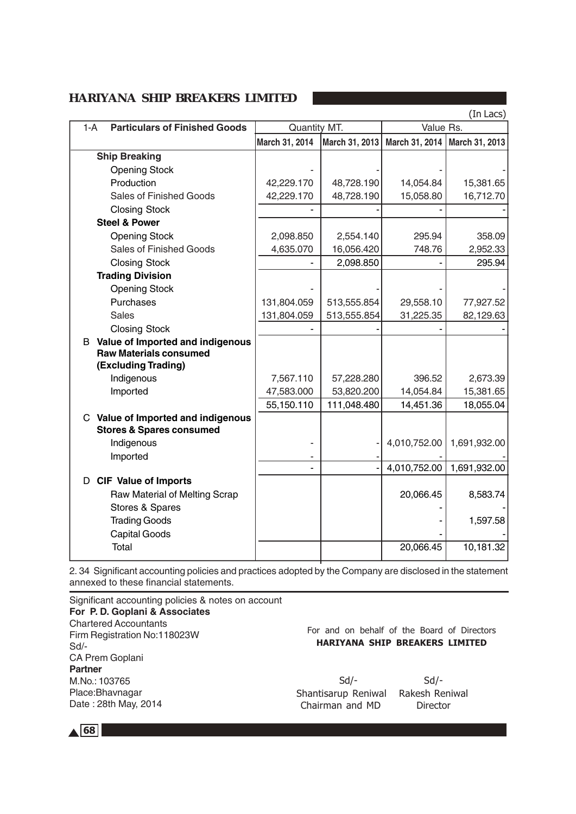|       |                                           |                |                          |                                 | (In Lacs)             |
|-------|-------------------------------------------|----------------|--------------------------|---------------------------------|-----------------------|
| $1-A$ | <b>Particulars of Finished Goods</b>      | Quantity MT.   |                          | Value Rs.                       |                       |
|       |                                           | March 31, 2014 | March 31, 2013           | March 31, 2014   March 31, 2013 |                       |
|       | <b>Ship Breaking</b>                      |                |                          |                                 |                       |
|       | <b>Opening Stock</b>                      |                |                          |                                 |                       |
|       | Production                                | 42,229.170     | 48,728.190               | 14,054.84                       | 15,381.65             |
|       | <b>Sales of Finished Goods</b>            | 42,229.170     | 48,728.190               | 15,058.80                       | 16,712.70             |
|       | <b>Closing Stock</b>                      |                |                          |                                 |                       |
|       | <b>Steel &amp; Power</b>                  |                |                          |                                 |                       |
|       | <b>Opening Stock</b>                      | 2,098.850      | 2,554.140                | 295.94                          | 358.09                |
|       | <b>Sales of Finished Goods</b>            | 4,635.070      | 16,056.420               | 748.76                          | 2,952.33              |
|       | <b>Closing Stock</b>                      |                | 2,098.850                |                                 | 295.94                |
|       | <b>Trading Division</b>                   |                |                          |                                 |                       |
|       | <b>Opening Stock</b>                      |                |                          |                                 |                       |
|       | Purchases                                 | 131,804.059    | 513,555.854              | 29,558.10                       | 77,927.52             |
|       | <b>Sales</b>                              | 131,804.059    | 513,555.854              | 31,225.35                       | 82,129.63             |
|       | <b>Closing Stock</b>                      |                |                          |                                 |                       |
|       | <b>B</b> Value of Imported and indigenous |                |                          |                                 |                       |
|       | <b>Raw Materials consumed</b>             |                |                          |                                 |                       |
|       | (Excluding Trading)                       | 7,567.110      |                          | 396.52                          |                       |
|       | Indigenous<br>Imported                    | 47,583.000     | 57,228.280<br>53,820.200 | 14,054.84                       | 2,673.39<br>15,381.65 |
|       |                                           | 55,150.110     | 111,048.480              | 14,451.36                       | 18,055.04             |
|       | C Value of Imported and indigenous        |                |                          |                                 |                       |
|       | <b>Stores &amp; Spares consumed</b>       |                |                          |                                 |                       |
|       | Indigenous                                |                |                          | 4,010,752.00                    | 1,691,932.00          |
|       | Imported                                  |                |                          |                                 |                       |
|       |                                           |                |                          | 4,010,752.00                    | 1,691,932.00          |
|       | D CIF Value of Imports                    |                |                          |                                 |                       |
|       | Raw Material of Melting Scrap             |                |                          | 20,066.45                       | 8,583.74              |
|       | Stores & Spares                           |                |                          |                                 |                       |
|       | <b>Trading Goods</b>                      |                |                          |                                 | 1,597.58              |
|       | <b>Capital Goods</b>                      |                |                          |                                 |                       |
|       | Total                                     |                |                          | 20,066.45                       | 10,181.32             |
|       |                                           |                |                          |                                 |                       |

2. 34 Significant accounting policies and practices adopted by the Company are disclosed in the statement annexed to these financial statements.

Significant accounting policies & notes on account **For P. D. Goplani & Associates** Chartered Accountants Firm Registration No:118023W Sd/- CA Prem Goplani **Partner** M.No.: 103765 Place:Bhavnagar Date : 28th May, 2014

For and on behalf of the Board of Directors HARIYANA SHIP BREAKERS LIMITED

 Sd/- Sd/- Shantisarup Reniwal Rakesh Reniwal Chairman and MD Director

 $\triangle$  68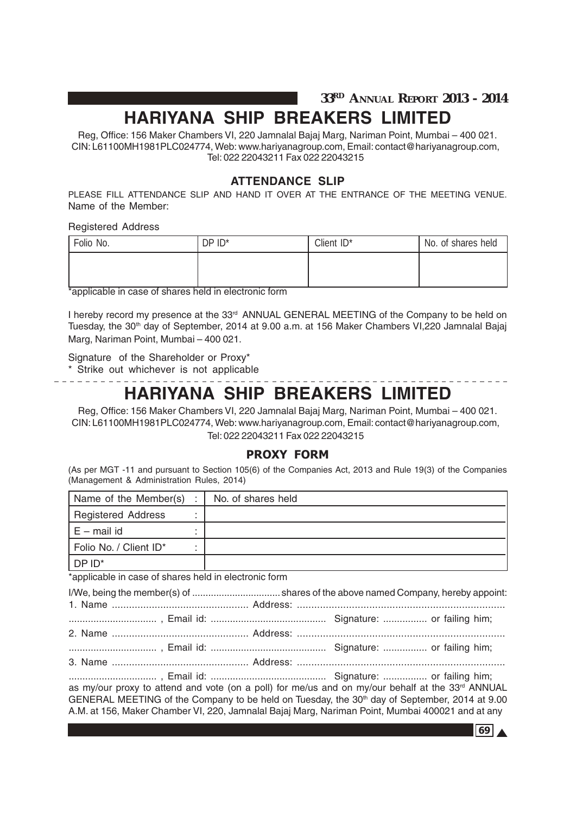**33RD ANNUAL REPORT 2013 - 2014**

# **HARIYANA SHIP BREAKERS LIMITED**

Reg, Office: 156 Maker Chambers VI, 220 Jamnalal Bajaj Marg, Nariman Point, Mumbai – 400 021. CIN: L61100MH1981PLC024774, Web: www.hariyanagroup.com, Email: contact@hariyanagroup.com, Tel: 022 22043211 Fax 022 22043215

# **ATTENDANCE SLIP**

PLEASE FILL ATTENDANCE SLIP AND HAND IT OVER AT THE ENTRANCE OF THE MEETING VENUE. Name of the Member:

Registered Address

| Folio No. | DP ID*                         | Client ID* | No. of shares held |
|-----------|--------------------------------|------------|--------------------|
|           |                                |            |                    |
| --        | $\overline{\phantom{0}}$<br>-- |            |                    |

\*applicable in case of shares held in electronic form

I hereby record my presence at the 33<sup>rd</sup> ANNUAL GENERAL MEETING of the Company to be held on Tuesday, the 30<sup>th</sup> day of September, 2014 at 9.00 a.m. at 156 Maker Chambers VI, 220 Jamnalal Bajaj Marg, Nariman Point, Mumbai – 400 021.

Signature of the Shareholder or Proxy\*

\* Strike out whichever is not applicable

# **HARIYANA SHIP BREAKERS LIMITED**

Reg, Office: 156 Maker Chambers VI, 220 Jamnalal Bajaj Marg, Nariman Point, Mumbai – 400 021. CIN: L61100MH1981PLC024774, Web: www.hariyanagroup.com, Email: contact@hariyanagroup.com, Tel: 022 22043211 Fax 022 22043215

### PROXY FORM

(As per MGT -11 and pursuant to Section 105(6) of the Companies Act, 2013 and Rule 19(3) of the Companies (Management & Administration Rules, 2014)

| Name of the Member(s) :   | No. of shares held |
|---------------------------|--------------------|
| <b>Registered Address</b> |                    |
| $E$ – mail id             |                    |
| Folio No. / Client ID*    |                    |
| DP ID <sup>*</sup>        |                    |

\*applicable in case of shares held in electronic form

................................ , Email id: .......................................... Signature: ................ or failing him; as my/our proxy to attend and vote (on a poll) for me/us and on my/our behalf at the 33rd ANNUAL GENERAL MEETING of the Company to be held on Tuesday, the 30<sup>th</sup> day of September, 2014 at 9.00 A.M. at 156, Maker Chamber VI, 220, Jamnalal Bajaj Marg, Nariman Point, Mumbai 400021 and at any

69 A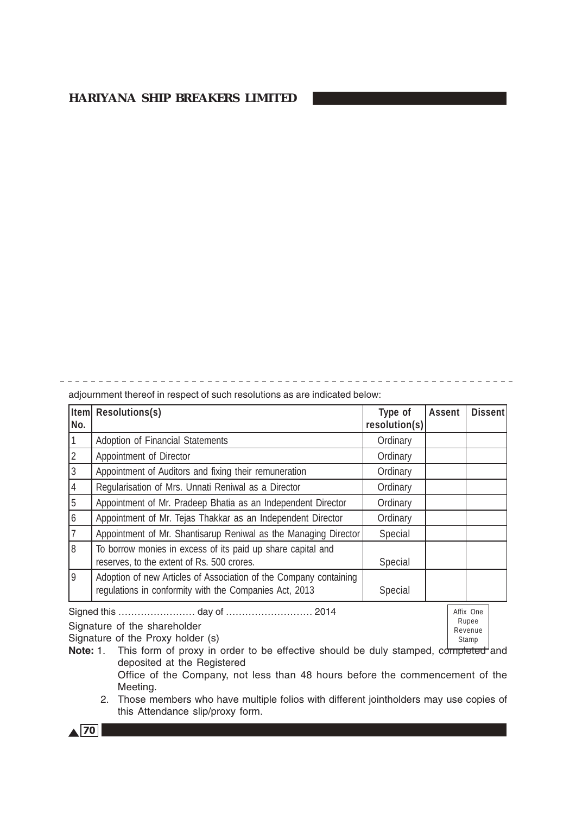adjournment thereof in respect of such resolutions as are indicated below:

| Iteml          | Resolutions(s)                                                                                                              | Type of       | <b>Assent</b> | Dissent |
|----------------|-----------------------------------------------------------------------------------------------------------------------------|---------------|---------------|---------|
| No.            |                                                                                                                             | resolution(s) |               |         |
|                | Adoption of Financial Statements                                                                                            | Ordinary      |               |         |
| 2              | Appointment of Director                                                                                                     | Ordinary      |               |         |
| 3              | Appointment of Auditors and fixing their remuneration                                                                       | Ordinary      |               |         |
| $\overline{4}$ | Regularisation of Mrs. Unnati Reniwal as a Director                                                                         | Ordinary      |               |         |
| 5              | Appointment of Mr. Pradeep Bhatia as an Independent Director                                                                | Ordinary      |               |         |
| 6              | Appointment of Mr. Tejas Thakkar as an Independent Director                                                                 | Ordinary      |               |         |
| 17             | Appointment of Mr. Shantisarup Reniwal as the Managing Director                                                             | Special       |               |         |
| 18             | To borrow monies in excess of its paid up share capital and<br>reserves, to the extent of Rs. 500 crores.                   | Special       |               |         |
| 9              | Adoption of new Articles of Association of the Company containing<br>regulations in conformity with the Companies Act, 2013 | Special       |               |         |

Signed this …………………… day of ……………………… 2014

Signature of the shareholder

Signature of the Proxy holder (s)

Affix One Rupee Revenue Stamp

- Note: 1. This form of proxy in order to be effective should be duly stamped, completed and deposited at the Registered Office of the Company, not less than 48 hours before the commencement of the Meeting.
	- 2. Those members who have multiple folios with different jointholders may use copies of this Attendance slip/proxy form.

 $\triangle$  70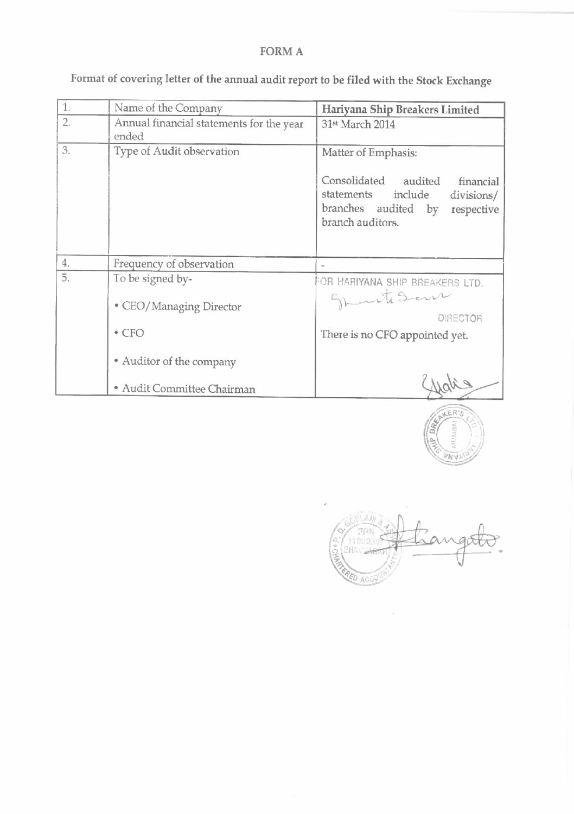# FORM A

| 1. | Name of the Company                               | Hariyana Ship Breakers Limited                                                                                                                        |
|----|---------------------------------------------------|-------------------------------------------------------------------------------------------------------------------------------------------------------|
| 2. | Annual financial statements for the year<br>ended | 31st March 2014                                                                                                                                       |
| 3. | Type of Audit observation                         | Matter of Emphasis:<br>Consolidated audited<br>financial<br>statements include<br>divisions/<br>branches audited by<br>respective<br>branch auditors. |
| 4. | Frequency of observation                          |                                                                                                                                                       |
| 5. | To be signed by-<br>• CEO/Managing Director       | FOR HARIYANA SHIP BREAKERS LTD.<br>Sprinte Seur<br><b>DIRECTOR</b>                                                                                    |
|    | $\cdot$ CFO<br>• Auditor of the company           | There is no CFO appointed yet.                                                                                                                        |
|    | · Audit Committee Chairman                        |                                                                                                                                                       |

Format of covering letter of the annual audit report to be filed with the Stock Exchange

ER **NV** 

ED ACI